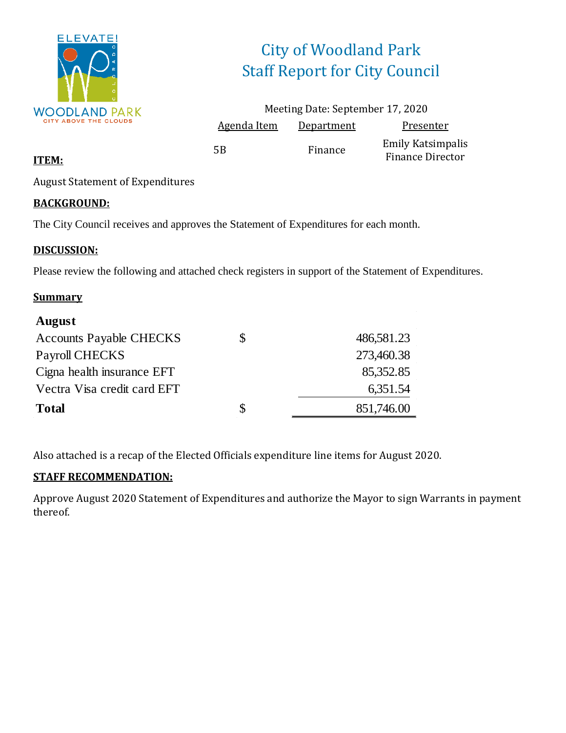

# City of Woodland Park Staff Report for City Council

|                    | Meeting Date: September 17, 2020 |                                                     |
|--------------------|----------------------------------|-----------------------------------------------------|
| <b>Agenda Item</b> | <u>Department</u>                | Presenter                                           |
| 5Β                 | Finance                          | <b>Emily Katsimpalis</b><br><b>Finance Director</b> |

#### **ITEM:**

August Statement of Expenditures

#### **BACKGROUND:**

The City Council receives and approves the Statement of Expenditures for each month.

#### **DISCUSSION:**

Please review the following and attached check registers in support of the Statement of Expenditures.

#### **Summary**

| <b>August</b>                  |                  |
|--------------------------------|------------------|
| <b>Accounts Payable CHECKS</b> | \$<br>486,581.23 |
| Payroll CHECKS                 | 273,460.38       |
| Cigna health insurance EFT     | 85, 352.85       |
| Vectra Visa credit card EFT    | 6,351.54         |
| <b>Total</b>                   | \$<br>851,746.00 |

Also attached is a recap of the Elected Officials expenditure line items for August 2020.

#### **STAFF RECOMMENDATION:**

Approve August 2020 Statement of Expenditures and authorize the Mayor to sign Warrants in payment thereof.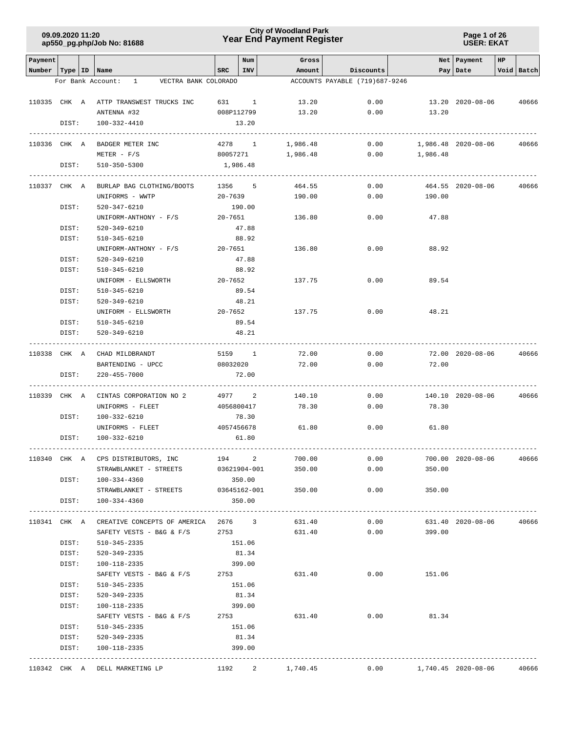### **Year End Payment Register City of Woodland Park 09.09.2020 11:20**

**Page 1 of 26 USER: EKAT**

| Payment |                           |                                             |             | Num             | Gross                |                                |          | Net Payment         | HP |            |
|---------|---------------------------|---------------------------------------------|-------------|-----------------|----------------------|--------------------------------|----------|---------------------|----|------------|
|         | Number   Type   ID   Name |                                             | SRC         | INV             | Amount               | Discounts                      |          | Pay Date            |    | Void Batch |
|         |                           | VECTRA BANK COLORADO<br>For Bank Account: 1 |             |                 |                      | ACCOUNTS PAYABLE (719)687-9246 |          |                     |    |            |
|         |                           | 110335 CHK A ATTP TRANSWEST TRUCKS INC      | 631 1       |                 | 13.20                | 0.00                           |          | 13.20 2020-08-06    |    | 40666      |
|         |                           | ANTENNA #32                                 | 008P112799  |                 | 13.20                | 0.00                           | 13.20    |                     |    |            |
|         | DIST:                     | 100-332-4410                                |             | 13.20           |                      |                                |          |                     |    |            |
|         |                           |                                             | --------    |                 |                      |                                |          |                     |    |            |
|         | 110336 CHK A              | BADGER METER INC<br>$METER - F/S$           | 80057271    | 4278 1          | 1,986.48<br>1,986.48 | 0.00<br>0.00                   | 1,986.48 | 1,986.48 2020-08-06 |    | 40666      |
|         | DIST:                     | 510-350-5300                                | 1,986.48    |                 |                      |                                |          |                     |    |            |
|         |                           |                                             |             |                 |                      |                                |          |                     |    |            |
|         | 110337 CHK A              | BURLAP BAG CLOTHING/BOOTS                   | 1356 5      |                 | 464.55               | 0.00                           |          | 464.55 2020-08-06   |    | 40666      |
|         |                           | UNIFORMS - WWTP                             | 20-7639     |                 | 190.00               | 0.00                           | 190.00   |                     |    |            |
|         | DIST:                     | 520-347-6210                                |             | 190.00          |                      |                                |          |                     |    |            |
|         |                           | UNIFORM-ANTHONY - F/S                       | 20-7651     |                 | 136.80               | 0.00                           | 47.88    |                     |    |            |
|         | DIST:                     | 520-349-6210                                |             | 47.88           |                      |                                |          |                     |    |            |
|         | DIST:                     | 510-345-6210                                |             | 88.92           |                      |                                |          |                     |    |            |
|         |                           | UNIFORM-ANTHONY - F/S                       | 20-7651     |                 | 136.80               | 0.00                           | 88.92    |                     |    |            |
|         | DIST:                     | 520-349-6210                                |             | 47.88           |                      |                                |          |                     |    |            |
|         | DIST:                     | 510-345-6210                                |             | 88.92           |                      |                                |          |                     |    |            |
|         |                           | UNIFORM - ELLSWORTH                         | $20 - 7652$ |                 | 137.75               | 0.00                           | 89.54    |                     |    |            |
|         | DIST:                     | 510-345-6210                                |             | 89.54           |                      |                                |          |                     |    |            |
|         | DIST:                     | 520-349-6210                                |             | 48.21           |                      |                                |          |                     |    |            |
|         |                           | UNIFORM - ELLSWORTH                         | $20 - 7652$ |                 | 137.75               | 0.00                           | 48.21    |                     |    |            |
|         | DIST:                     | 510-345-6210                                |             | 89.54           |                      |                                |          |                     |    |            |
|         | DIST:                     | 520-349-6210                                |             | 48.21           |                      |                                |          |                     |    |            |
|         |                           | 110338 CHK A CHAD MILDBRANDT                |             | 5159 1          | 72.00                | 0.00                           |          | 72.00 2020-08-06    |    | 40666      |
|         |                           | BARTENDING - UPCC                           | 08032020    |                 | 72.00                | 0.00                           | 72.00    |                     |    |            |
|         | DIST:                     | 220-455-7000                                |             | 72.00           |                      |                                |          |                     |    |            |
|         | 110339 CHK A              | CINTAS CORPORATION NO 2                     |             | 4977 2          | 140.10               | 0.00                           |          | 140.10 2020-08-06   |    | 40666      |
|         |                           | UNIFORMS - FLEET                            | 4056800417  |                 | 78.30                | 0.00                           | 78.30    |                     |    |            |
|         | DIST:                     | 100-332-6210                                |             | 78.30           |                      |                                |          |                     |    |            |
|         |                           | UNIFORMS - FLEET                            | 4057456678  |                 | 61.80                | 0.00                           | 61.80    |                     |    |            |
|         | DIST:                     | 100-332-6210                                |             | 61.80           |                      |                                |          |                     |    |            |
|         |                           | 110340 CHK A CPS DISTRIBUTORS, INC          | 194 2       |                 | 700.00               | 0.00                           |          | 700.00 2020-08-06   |    | 40666      |
|         |                           | STRAWBLANKET - STREETS                      |             | 03621904-001    | 350.00               | 0.00                           | 350.00   |                     |    |            |
|         | DIST:                     | 100-334-4360                                |             | 350.00          |                      |                                |          |                     |    |            |
|         |                           | STRAWBLANKET - STREETS 03645162-001 350.00  |             |                 |                      | 0.00                           | 350.00   |                     |    |            |
|         | DIST:                     | 100-334-4360                                |             | 350.00          |                      |                                |          |                     |    |            |
|         |                           |                                             |             |                 |                      |                                |          |                     |    |            |
|         | 110341 CHK A              | CREATIVE CONCEPTS OF AMERICA 2676 3         |             |                 | 631.40               | 0.00                           |          | 631.40 2020-08-06   |    | 40666      |
|         |                           | SAFETY VESTS - B&G & F/S                    | 2753        |                 | 631.40               | 0.00                           | 399.00   |                     |    |            |
|         | DIST:                     | 510-345-2335                                |             | 151.06          |                      |                                |          |                     |    |            |
|         | DIST:                     | 520-349-2335                                |             | 81.34           |                      |                                |          |                     |    |            |
|         | DIST:                     | 100-118-2335                                |             | 399.00          |                      |                                |          |                     |    |            |
|         |                           | SAFETY VESTS - B&G & F/S                    | 2753        |                 | 631.40               | 0.00                           | 151.06   |                     |    |            |
|         | DIST:                     | 510-345-2335                                |             | 151.06          |                      |                                |          |                     |    |            |
|         | DIST:                     | 520-349-2335                                |             | 81.34           |                      |                                |          |                     |    |            |
|         | DIST:                     | 100-118-2335                                |             | 399.00          |                      |                                |          |                     |    |            |
|         |                           | SAFETY VESTS - B&G & F/S $2753$             |             |                 | 631.40               | 0.00                           | 81.34    |                     |    |            |
|         | DIST:                     | 510-345-2335                                |             | 151.06          |                      |                                |          |                     |    |            |
|         | DIST:<br>DIST:            | 520-349-2335<br>100-118-2335                |             | 81.34<br>399.00 |                      |                                |          |                     |    |            |
|         |                           |                                             |             |                 |                      |                                |          |                     |    |            |
|         |                           | 110342 CHK A DELL MARKETING LP              |             | 1192 2          | 1,740.45             | 0.00                           |          | 1,740.45 2020-08-06 |    | 40666      |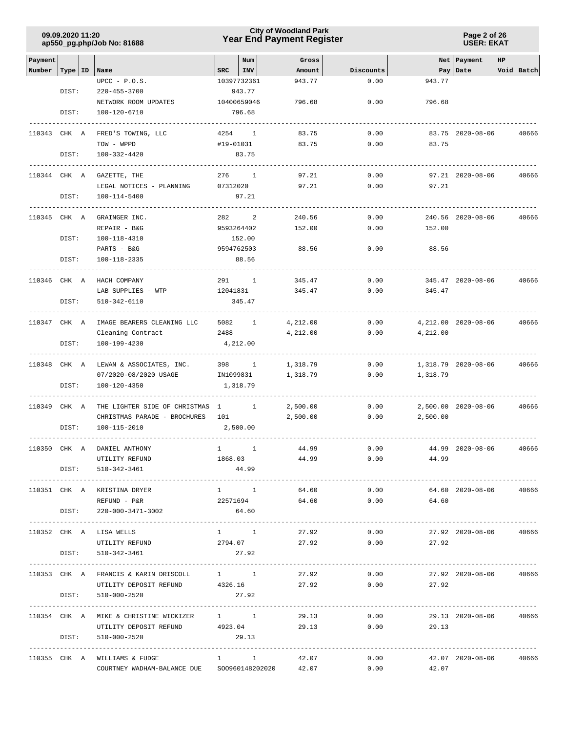### **Year End Payment Register City of Woodland Park 09.09.2020 11:20**

**Page 2 of 26 USER: EKAT**

| Payment      |           |                                                                       |                        | Num                 | Gross                |                   |               | Net Payment            | HP           |            |
|--------------|-----------|-----------------------------------------------------------------------|------------------------|---------------------|----------------------|-------------------|---------------|------------------------|--------------|------------|
| Number       | Type   ID | Name<br>$UPCC - P.0.S.$                                               | SRC                    | INV<br>10397732361  | Amount<br>943.77     | Discounts<br>0.00 | 943.77        | Pay   Date             |              | Void Batch |
|              | DIST:     | 220-455-3700                                                          |                        | 943.77              |                      |                   |               |                        |              |            |
|              |           | NETWORK ROOM UPDATES                                                  |                        | 10400659046         | 796.68               | 0.00              | 796.68        |                        |              |            |
|              | DIST:     | 100-120-6710                                                          |                        | 796.68              |                      |                   |               |                        |              |            |
|              |           |                                                                       |                        |                     |                      |                   |               |                        |              |            |
| 110343 CHK A |           | FRED'S TOWING, LLC                                                    |                        | 4254 1              | 83.75                | 0.00              |               | 83.75 2020-08-06       |              | 40666      |
|              |           | TOW - WPPD                                                            |                        | #19-01031           | 83.75                | 0.00              | 83.75         |                        |              |            |
|              | DIST:     | 100-332-4420                                                          |                        | 83.75               |                      |                   |               |                        |              |            |
|              |           |                                                                       |                        |                     |                      |                   |               |                        |              |            |
| 110344 CHK A |           | GAZETTE, THE                                                          |                        | 276 1               | 97.21                | 0.00              |               | 97.21 2020-08-06       |              | 40666      |
|              |           | LEGAL NOTICES - PLANNING                                              |                        | 07312020            | 97.21                | 0.00              | 97.21         |                        |              |            |
|              | DIST:     | 100-114-5400                                                          |                        | 97.21               |                      |                   |               |                        |              |            |
|              |           |                                                                       |                        |                     |                      |                   |               |                        |              |            |
| 110345 CHK A |           | GRAINGER INC.                                                         | 282                    | 2                   | 240.56               | 0.00              |               | 240.56 2020-08-06      |              | 40666      |
|              |           | REPAIR - B&G                                                          |                        | 9593264402          | 152.00               | 0.00              | 152.00        |                        |              |            |
|              | DIST:     | 100-118-4310                                                          |                        | 152.00              |                      |                   |               |                        |              |            |
|              | DIST:     | PARTS - B&G<br>100-118-2335                                           |                        | 9594762503<br>88.56 | 88.56                | 0.00              | 88.56         |                        |              |            |
|              |           |                                                                       |                        |                     |                      |                   |               |                        |              |            |
| 110346 CHK A |           | HACH COMPANY                                                          |                        | $291$ 1             | 345.47               | 0.00              |               | 345.47 2020-08-06      |              | 40666      |
|              |           | LAB SUPPLIES - WTP                                                    | 12041831               |                     | 345.47               | 0.00              | 345.47        |                        |              |            |
|              | DIST:     | 510-342-6110                                                          |                        | 345.47              |                      |                   |               |                        |              |            |
|              |           |                                                                       |                        |                     |                      |                   |               |                        |              |            |
| 110347 CHK A |           | IMAGE BEARERS CLEANING LLC                                            |                        | 5082 1              | 4,212.00             | 0.00              |               | 4, 212.00 2020-08-06   |              | 40666      |
|              |           | Cleaning Contract                                                     | 2488                   |                     | 4,212.00             | 0.00              | 4,212.00      |                        |              |            |
|              | DIST:     | 100-199-4230                                                          |                        | 4,212.00            |                      |                   |               |                        |              |            |
|              |           |                                                                       |                        |                     |                      |                   |               |                        |              |            |
| 110348 CHK A |           | LEWAN & ASSOCIATES, INC.                                              |                        | 398 1               | 1,318.79             | 0.00              |               | 1,318.79 2020-08-06    |              | 40666      |
|              |           | 07/2020-08/2020 USAGE                                                 | IN1099831              |                     | 1,318.79             | 0.00              | 1,318.79      |                        |              |            |
|              | DIST:     | 100-120-4350                                                          |                        | 1,318.79            |                      |                   |               |                        |              |            |
|              |           |                                                                       |                        |                     |                      |                   |               |                        |              |            |
| 110349 CHK A |           | THE LIGHTER SIDE OF CHRISTMAS 1 1<br>CHRISTMAS PARADE - BROCHURES 101 |                        |                     | 2,500.00<br>2,500.00 | 0.00<br>0.00      | 2,500.00      | 2,500.00 2020-08-06    |              | 40666      |
|              | DIST:     | 100-115-2010                                                          |                        | 2,500.00            |                      |                   |               |                        |              |            |
|              |           |                                                                       |                        |                     |                      |                   |               |                        |              |            |
| 110350 CHK A |           | DANIEL ANTHONY                                                        | $1 \quad \blacksquare$ | $\mathbf{1}$        | 44.99                | 0.00              |               | 44.99 2020-08-06       |              | 40666      |
|              |           | UTILITY REFUND                                                        | 1868.03                |                     | 44.99                | 0.00              | 44.99         |                        |              |            |
|              | DIST:     | 510-342-3461                                                          |                        | 44.99               |                      |                   |               |                        |              |            |
|              |           |                                                                       |                        |                     |                      |                   |               |                        |              |            |
|              |           | 110351 CHK A KRISTINA DRYER                                           |                        | $1 \quad 1 \quad$   | 64.60                | 0.00              |               | 64.60 2020-08-06       |              | 40666      |
|              |           | REFUND - P&R                                                          |                        | 22571694            | 64.60                |                   | $0.00$ 64.60  |                        |              |            |
|              | DIST:     | 220-000-3471-3002                                                     |                        | 64.60               |                      |                   |               |                        |              |            |
|              |           |                                                                       |                        |                     |                      |                   |               |                        |              |            |
|              |           | 110352 CHK A LISAWELLS                                                |                        | $1 \quad 1$         | 27.92                | 0.00              |               | 27.92 2020-08-06       |              | 40666      |
|              |           | UTILITY REFUND                                                        | 2794.07                |                     | 27.92                | 0.00              | 27.92         |                        |              |            |
|              | DIST:     | 510-342-3461                                                          |                        | 27.92               |                      |                   |               |                        |              |            |
|              |           | 110353 CHK A FRANCIS & KARIN DRISCOLL                                 |                        | $1 \quad 1$         | 27.92                | 0.00              |               | 27.92 2020-08-06       |              | 40666      |
|              |           | UTILITY DEPOSIT REFUND 4326.16                                        |                        |                     | 27.92                |                   | 0.00<br>27.92 |                        |              |            |
|              | DIST:     | 510-000-2520                                                          |                        | 27.92               |                      |                   |               |                        |              |            |
|              |           |                                                                       |                        |                     |                      |                   |               |                        | . <u>.</u> . |            |
|              |           | 110354 CHK A MIKE & CHRISTINE WICKIZER                                |                        | $1 \quad 1$         | 29.13                | 0.00              |               | 29.13 2020-08-06       |              | 40666      |
|              |           | UTILITY DEPOSIT REFUND 4923.04                                        |                        |                     | 29.13                | 0.00              | 29.13         |                        |              |            |
|              | DIST:     | 510-000-2520                                                          |                        | 29.13               |                      |                   |               |                        |              |            |
|              |           |                                                                       |                        |                     |                      |                   |               |                        |              |            |
|              |           | 110355 CHK A WILLIAMS & FUDGE                                         |                        | $1 \quad 1$         | 42.07                | 0.00              |               | 42.07 2020-08-06 40666 |              |            |
|              |           | COURTNEY WADHAM-BALANCE DUE SOO960148202020 42.07                     |                        |                     |                      | 0.00              | 42.07         |                        |              |            |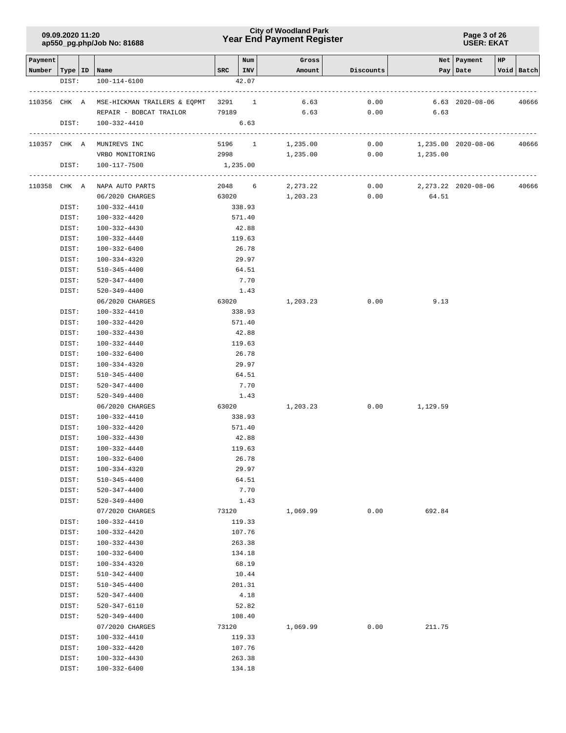### **Year End Payment Register City of Woodland Park 09.09.2020 11:20**

**Page 3 of 26 USER: EKAT**

| $SRC$   INV<br>Number   Type   ID   Name<br>Pay   Date<br>Void Batch<br>Amount<br>Discounts<br>42.07<br>DIST:<br>100-114-6100<br>110356 CHK A<br>MSE-HICKMAN TRAILERS & EQPMT 3291 1<br>6.63<br>0.00<br>$6.63$ 2020-08-06<br>REPAIR - BOBCAT TRAILOR 79189<br>6.63<br>0.00<br>6.63<br>DIST:<br>6.63<br>100-332-4410<br>0.00<br>110357 CHK A MUNIREVS INC<br>5196 1<br>1,235.00<br>1,235.00 2020-08-06<br>2998<br>0.00<br>VRBO MONITORING<br>1,235.00<br>1,235.00<br>DIST:<br>1,235.00<br>100-117-7500<br>2048 6<br>2,273.22<br>0.00<br>110358 CHK A<br>NAPA AUTO PARTS<br>2,273.22 2020-08-06<br>63020 1,203.23<br>$0.00$ 64.51<br>06/2020 CHARGES<br>DIST:<br>100-332-4410<br>338.93<br>DIST:<br>100-332-4420<br>571.40<br>DIST:<br>100-332-4430<br>42.88<br>DIST:<br>100-332-4440<br>119.63<br>26.78<br>DIST:<br>100-332-6400<br>DIST:<br>100-334-4320<br>29.97<br>DIST:<br>510-345-4400<br>64.51<br>DIST:<br>520-347-4400<br>7.70<br>DIST:<br>520-349-4400<br>1.43<br>63020<br>06/2020 CHARGES<br>1,203.23<br>0.00<br>9.13<br>DIST:<br>100-332-4410<br>338.93<br>DIST:<br>100-332-4420<br>571.40<br>DIST:<br>100-332-4430<br>42.88<br>119.63<br>DIST:<br>100-332-4440<br>26.78<br>DIST:<br>100-332-6400<br>29.97<br>DIST:<br>100-334-4320<br>DIST:<br>510-345-4400<br>64.51<br>7.70<br>DIST:<br>520-347-4400<br>DIST:<br>520-349-4400<br>1.43<br>06/2020 CHARGES<br>63020<br>1,203.23<br>0.00<br>1,129.59<br>DIST:<br>100-332-4410<br>338.93<br>100-332-4420<br>571.40<br>DIST:<br>DIST:<br>100-332-4430<br>42.88<br>100-332-4440<br>119.63<br>DIST:<br>26.78<br>DIST:<br>100-332-6400<br>DIST:<br>29.97<br>100-334-4320<br>DIST:<br>64.51<br>$510 - 345 - 4400$<br>7.70<br>DIST:<br>520-347-4400<br>DIST:<br>1.43<br>520-349-4400<br>0.00<br>692.84<br>07/2020 CHARGES<br>73120<br>1,069.99<br>DIST:<br>119.33<br>100-332-4410<br>107.76<br>DIST:<br>100-332-4420<br>DIST:<br>100-332-4430<br>263.38<br>DIST:<br>$100 - 332 - 6400$<br>134.18<br>DIST:<br>68.19<br>100-334-4320<br>DIST:<br>10.44<br>$510 - 342 - 4400$<br>DIST:<br>201.31<br>510-345-4400<br>4.18<br>DIST:<br>520-347-4400<br>52.82<br>DIST:<br>520-347-6110<br>108.40<br>DIST:<br>520-349-4400<br>07/2020 CHARGES<br>73120<br>1,069.99<br>0.00<br>211.75<br>119.33<br>DIST:<br>100-332-4410<br>DIST:<br>100-332-4420<br>107.76<br>DIST:<br>263.38<br>100-332-4430<br>DIST:<br>134.18<br>100-332-6400 | Payment |  |  | Num | Gross |  | Net   Payment | HP |       |
|----------------------------------------------------------------------------------------------------------------------------------------------------------------------------------------------------------------------------------------------------------------------------------------------------------------------------------------------------------------------------------------------------------------------------------------------------------------------------------------------------------------------------------------------------------------------------------------------------------------------------------------------------------------------------------------------------------------------------------------------------------------------------------------------------------------------------------------------------------------------------------------------------------------------------------------------------------------------------------------------------------------------------------------------------------------------------------------------------------------------------------------------------------------------------------------------------------------------------------------------------------------------------------------------------------------------------------------------------------------------------------------------------------------------------------------------------------------------------------------------------------------------------------------------------------------------------------------------------------------------------------------------------------------------------------------------------------------------------------------------------------------------------------------------------------------------------------------------------------------------------------------------------------------------------------------------------------------------------------------------------------------------------------------------------------------------------------------------------------------------------------------------------------------------------------------------------------------------------------------------------------------------------------------------------------------------------------------------------------------------------|---------|--|--|-----|-------|--|---------------|----|-------|
|                                                                                                                                                                                                                                                                                                                                                                                                                                                                                                                                                                                                                                                                                                                                                                                                                                                                                                                                                                                                                                                                                                                                                                                                                                                                                                                                                                                                                                                                                                                                                                                                                                                                                                                                                                                                                                                                                                                                                                                                                                                                                                                                                                                                                                                                                                                                                                            |         |  |  |     |       |  |               |    |       |
|                                                                                                                                                                                                                                                                                                                                                                                                                                                                                                                                                                                                                                                                                                                                                                                                                                                                                                                                                                                                                                                                                                                                                                                                                                                                                                                                                                                                                                                                                                                                                                                                                                                                                                                                                                                                                                                                                                                                                                                                                                                                                                                                                                                                                                                                                                                                                                            |         |  |  |     |       |  |               |    |       |
|                                                                                                                                                                                                                                                                                                                                                                                                                                                                                                                                                                                                                                                                                                                                                                                                                                                                                                                                                                                                                                                                                                                                                                                                                                                                                                                                                                                                                                                                                                                                                                                                                                                                                                                                                                                                                                                                                                                                                                                                                                                                                                                                                                                                                                                                                                                                                                            |         |  |  |     |       |  |               |    | 40666 |
|                                                                                                                                                                                                                                                                                                                                                                                                                                                                                                                                                                                                                                                                                                                                                                                                                                                                                                                                                                                                                                                                                                                                                                                                                                                                                                                                                                                                                                                                                                                                                                                                                                                                                                                                                                                                                                                                                                                                                                                                                                                                                                                                                                                                                                                                                                                                                                            |         |  |  |     |       |  |               |    |       |
|                                                                                                                                                                                                                                                                                                                                                                                                                                                                                                                                                                                                                                                                                                                                                                                                                                                                                                                                                                                                                                                                                                                                                                                                                                                                                                                                                                                                                                                                                                                                                                                                                                                                                                                                                                                                                                                                                                                                                                                                                                                                                                                                                                                                                                                                                                                                                                            |         |  |  |     |       |  |               |    |       |
|                                                                                                                                                                                                                                                                                                                                                                                                                                                                                                                                                                                                                                                                                                                                                                                                                                                                                                                                                                                                                                                                                                                                                                                                                                                                                                                                                                                                                                                                                                                                                                                                                                                                                                                                                                                                                                                                                                                                                                                                                                                                                                                                                                                                                                                                                                                                                                            |         |  |  |     |       |  |               |    | 40666 |
|                                                                                                                                                                                                                                                                                                                                                                                                                                                                                                                                                                                                                                                                                                                                                                                                                                                                                                                                                                                                                                                                                                                                                                                                                                                                                                                                                                                                                                                                                                                                                                                                                                                                                                                                                                                                                                                                                                                                                                                                                                                                                                                                                                                                                                                                                                                                                                            |         |  |  |     |       |  |               |    |       |
|                                                                                                                                                                                                                                                                                                                                                                                                                                                                                                                                                                                                                                                                                                                                                                                                                                                                                                                                                                                                                                                                                                                                                                                                                                                                                                                                                                                                                                                                                                                                                                                                                                                                                                                                                                                                                                                                                                                                                                                                                                                                                                                                                                                                                                                                                                                                                                            |         |  |  |     |       |  |               |    |       |
|                                                                                                                                                                                                                                                                                                                                                                                                                                                                                                                                                                                                                                                                                                                                                                                                                                                                                                                                                                                                                                                                                                                                                                                                                                                                                                                                                                                                                                                                                                                                                                                                                                                                                                                                                                                                                                                                                                                                                                                                                                                                                                                                                                                                                                                                                                                                                                            |         |  |  |     |       |  |               |    | 40666 |
|                                                                                                                                                                                                                                                                                                                                                                                                                                                                                                                                                                                                                                                                                                                                                                                                                                                                                                                                                                                                                                                                                                                                                                                                                                                                                                                                                                                                                                                                                                                                                                                                                                                                                                                                                                                                                                                                                                                                                                                                                                                                                                                                                                                                                                                                                                                                                                            |         |  |  |     |       |  |               |    |       |
|                                                                                                                                                                                                                                                                                                                                                                                                                                                                                                                                                                                                                                                                                                                                                                                                                                                                                                                                                                                                                                                                                                                                                                                                                                                                                                                                                                                                                                                                                                                                                                                                                                                                                                                                                                                                                                                                                                                                                                                                                                                                                                                                                                                                                                                                                                                                                                            |         |  |  |     |       |  |               |    |       |
|                                                                                                                                                                                                                                                                                                                                                                                                                                                                                                                                                                                                                                                                                                                                                                                                                                                                                                                                                                                                                                                                                                                                                                                                                                                                                                                                                                                                                                                                                                                                                                                                                                                                                                                                                                                                                                                                                                                                                                                                                                                                                                                                                                                                                                                                                                                                                                            |         |  |  |     |       |  |               |    |       |
|                                                                                                                                                                                                                                                                                                                                                                                                                                                                                                                                                                                                                                                                                                                                                                                                                                                                                                                                                                                                                                                                                                                                                                                                                                                                                                                                                                                                                                                                                                                                                                                                                                                                                                                                                                                                                                                                                                                                                                                                                                                                                                                                                                                                                                                                                                                                                                            |         |  |  |     |       |  |               |    |       |
|                                                                                                                                                                                                                                                                                                                                                                                                                                                                                                                                                                                                                                                                                                                                                                                                                                                                                                                                                                                                                                                                                                                                                                                                                                                                                                                                                                                                                                                                                                                                                                                                                                                                                                                                                                                                                                                                                                                                                                                                                                                                                                                                                                                                                                                                                                                                                                            |         |  |  |     |       |  |               |    |       |
|                                                                                                                                                                                                                                                                                                                                                                                                                                                                                                                                                                                                                                                                                                                                                                                                                                                                                                                                                                                                                                                                                                                                                                                                                                                                                                                                                                                                                                                                                                                                                                                                                                                                                                                                                                                                                                                                                                                                                                                                                                                                                                                                                                                                                                                                                                                                                                            |         |  |  |     |       |  |               |    |       |
|                                                                                                                                                                                                                                                                                                                                                                                                                                                                                                                                                                                                                                                                                                                                                                                                                                                                                                                                                                                                                                                                                                                                                                                                                                                                                                                                                                                                                                                                                                                                                                                                                                                                                                                                                                                                                                                                                                                                                                                                                                                                                                                                                                                                                                                                                                                                                                            |         |  |  |     |       |  |               |    |       |
|                                                                                                                                                                                                                                                                                                                                                                                                                                                                                                                                                                                                                                                                                                                                                                                                                                                                                                                                                                                                                                                                                                                                                                                                                                                                                                                                                                                                                                                                                                                                                                                                                                                                                                                                                                                                                                                                                                                                                                                                                                                                                                                                                                                                                                                                                                                                                                            |         |  |  |     |       |  |               |    |       |
|                                                                                                                                                                                                                                                                                                                                                                                                                                                                                                                                                                                                                                                                                                                                                                                                                                                                                                                                                                                                                                                                                                                                                                                                                                                                                                                                                                                                                                                                                                                                                                                                                                                                                                                                                                                                                                                                                                                                                                                                                                                                                                                                                                                                                                                                                                                                                                            |         |  |  |     |       |  |               |    |       |
|                                                                                                                                                                                                                                                                                                                                                                                                                                                                                                                                                                                                                                                                                                                                                                                                                                                                                                                                                                                                                                                                                                                                                                                                                                                                                                                                                                                                                                                                                                                                                                                                                                                                                                                                                                                                                                                                                                                                                                                                                                                                                                                                                                                                                                                                                                                                                                            |         |  |  |     |       |  |               |    |       |
|                                                                                                                                                                                                                                                                                                                                                                                                                                                                                                                                                                                                                                                                                                                                                                                                                                                                                                                                                                                                                                                                                                                                                                                                                                                                                                                                                                                                                                                                                                                                                                                                                                                                                                                                                                                                                                                                                                                                                                                                                                                                                                                                                                                                                                                                                                                                                                            |         |  |  |     |       |  |               |    |       |
|                                                                                                                                                                                                                                                                                                                                                                                                                                                                                                                                                                                                                                                                                                                                                                                                                                                                                                                                                                                                                                                                                                                                                                                                                                                                                                                                                                                                                                                                                                                                                                                                                                                                                                                                                                                                                                                                                                                                                                                                                                                                                                                                                                                                                                                                                                                                                                            |         |  |  |     |       |  |               |    |       |
|                                                                                                                                                                                                                                                                                                                                                                                                                                                                                                                                                                                                                                                                                                                                                                                                                                                                                                                                                                                                                                                                                                                                                                                                                                                                                                                                                                                                                                                                                                                                                                                                                                                                                                                                                                                                                                                                                                                                                                                                                                                                                                                                                                                                                                                                                                                                                                            |         |  |  |     |       |  |               |    |       |
|                                                                                                                                                                                                                                                                                                                                                                                                                                                                                                                                                                                                                                                                                                                                                                                                                                                                                                                                                                                                                                                                                                                                                                                                                                                                                                                                                                                                                                                                                                                                                                                                                                                                                                                                                                                                                                                                                                                                                                                                                                                                                                                                                                                                                                                                                                                                                                            |         |  |  |     |       |  |               |    |       |
|                                                                                                                                                                                                                                                                                                                                                                                                                                                                                                                                                                                                                                                                                                                                                                                                                                                                                                                                                                                                                                                                                                                                                                                                                                                                                                                                                                                                                                                                                                                                                                                                                                                                                                                                                                                                                                                                                                                                                                                                                                                                                                                                                                                                                                                                                                                                                                            |         |  |  |     |       |  |               |    |       |
|                                                                                                                                                                                                                                                                                                                                                                                                                                                                                                                                                                                                                                                                                                                                                                                                                                                                                                                                                                                                                                                                                                                                                                                                                                                                                                                                                                                                                                                                                                                                                                                                                                                                                                                                                                                                                                                                                                                                                                                                                                                                                                                                                                                                                                                                                                                                                                            |         |  |  |     |       |  |               |    |       |
|                                                                                                                                                                                                                                                                                                                                                                                                                                                                                                                                                                                                                                                                                                                                                                                                                                                                                                                                                                                                                                                                                                                                                                                                                                                                                                                                                                                                                                                                                                                                                                                                                                                                                                                                                                                                                                                                                                                                                                                                                                                                                                                                                                                                                                                                                                                                                                            |         |  |  |     |       |  |               |    |       |
|                                                                                                                                                                                                                                                                                                                                                                                                                                                                                                                                                                                                                                                                                                                                                                                                                                                                                                                                                                                                                                                                                                                                                                                                                                                                                                                                                                                                                                                                                                                                                                                                                                                                                                                                                                                                                                                                                                                                                                                                                                                                                                                                                                                                                                                                                                                                                                            |         |  |  |     |       |  |               |    |       |
|                                                                                                                                                                                                                                                                                                                                                                                                                                                                                                                                                                                                                                                                                                                                                                                                                                                                                                                                                                                                                                                                                                                                                                                                                                                                                                                                                                                                                                                                                                                                                                                                                                                                                                                                                                                                                                                                                                                                                                                                                                                                                                                                                                                                                                                                                                                                                                            |         |  |  |     |       |  |               |    |       |
|                                                                                                                                                                                                                                                                                                                                                                                                                                                                                                                                                                                                                                                                                                                                                                                                                                                                                                                                                                                                                                                                                                                                                                                                                                                                                                                                                                                                                                                                                                                                                                                                                                                                                                                                                                                                                                                                                                                                                                                                                                                                                                                                                                                                                                                                                                                                                                            |         |  |  |     |       |  |               |    |       |
|                                                                                                                                                                                                                                                                                                                                                                                                                                                                                                                                                                                                                                                                                                                                                                                                                                                                                                                                                                                                                                                                                                                                                                                                                                                                                                                                                                                                                                                                                                                                                                                                                                                                                                                                                                                                                                                                                                                                                                                                                                                                                                                                                                                                                                                                                                                                                                            |         |  |  |     |       |  |               |    |       |
|                                                                                                                                                                                                                                                                                                                                                                                                                                                                                                                                                                                                                                                                                                                                                                                                                                                                                                                                                                                                                                                                                                                                                                                                                                                                                                                                                                                                                                                                                                                                                                                                                                                                                                                                                                                                                                                                                                                                                                                                                                                                                                                                                                                                                                                                                                                                                                            |         |  |  |     |       |  |               |    |       |
|                                                                                                                                                                                                                                                                                                                                                                                                                                                                                                                                                                                                                                                                                                                                                                                                                                                                                                                                                                                                                                                                                                                                                                                                                                                                                                                                                                                                                                                                                                                                                                                                                                                                                                                                                                                                                                                                                                                                                                                                                                                                                                                                                                                                                                                                                                                                                                            |         |  |  |     |       |  |               |    |       |
|                                                                                                                                                                                                                                                                                                                                                                                                                                                                                                                                                                                                                                                                                                                                                                                                                                                                                                                                                                                                                                                                                                                                                                                                                                                                                                                                                                                                                                                                                                                                                                                                                                                                                                                                                                                                                                                                                                                                                                                                                                                                                                                                                                                                                                                                                                                                                                            |         |  |  |     |       |  |               |    |       |
|                                                                                                                                                                                                                                                                                                                                                                                                                                                                                                                                                                                                                                                                                                                                                                                                                                                                                                                                                                                                                                                                                                                                                                                                                                                                                                                                                                                                                                                                                                                                                                                                                                                                                                                                                                                                                                                                                                                                                                                                                                                                                                                                                                                                                                                                                                                                                                            |         |  |  |     |       |  |               |    |       |
|                                                                                                                                                                                                                                                                                                                                                                                                                                                                                                                                                                                                                                                                                                                                                                                                                                                                                                                                                                                                                                                                                                                                                                                                                                                                                                                                                                                                                                                                                                                                                                                                                                                                                                                                                                                                                                                                                                                                                                                                                                                                                                                                                                                                                                                                                                                                                                            |         |  |  |     |       |  |               |    |       |
|                                                                                                                                                                                                                                                                                                                                                                                                                                                                                                                                                                                                                                                                                                                                                                                                                                                                                                                                                                                                                                                                                                                                                                                                                                                                                                                                                                                                                                                                                                                                                                                                                                                                                                                                                                                                                                                                                                                                                                                                                                                                                                                                                                                                                                                                                                                                                                            |         |  |  |     |       |  |               |    |       |
|                                                                                                                                                                                                                                                                                                                                                                                                                                                                                                                                                                                                                                                                                                                                                                                                                                                                                                                                                                                                                                                                                                                                                                                                                                                                                                                                                                                                                                                                                                                                                                                                                                                                                                                                                                                                                                                                                                                                                                                                                                                                                                                                                                                                                                                                                                                                                                            |         |  |  |     |       |  |               |    |       |
|                                                                                                                                                                                                                                                                                                                                                                                                                                                                                                                                                                                                                                                                                                                                                                                                                                                                                                                                                                                                                                                                                                                                                                                                                                                                                                                                                                                                                                                                                                                                                                                                                                                                                                                                                                                                                                                                                                                                                                                                                                                                                                                                                                                                                                                                                                                                                                            |         |  |  |     |       |  |               |    |       |
|                                                                                                                                                                                                                                                                                                                                                                                                                                                                                                                                                                                                                                                                                                                                                                                                                                                                                                                                                                                                                                                                                                                                                                                                                                                                                                                                                                                                                                                                                                                                                                                                                                                                                                                                                                                                                                                                                                                                                                                                                                                                                                                                                                                                                                                                                                                                                                            |         |  |  |     |       |  |               |    |       |
|                                                                                                                                                                                                                                                                                                                                                                                                                                                                                                                                                                                                                                                                                                                                                                                                                                                                                                                                                                                                                                                                                                                                                                                                                                                                                                                                                                                                                                                                                                                                                                                                                                                                                                                                                                                                                                                                                                                                                                                                                                                                                                                                                                                                                                                                                                                                                                            |         |  |  |     |       |  |               |    |       |
|                                                                                                                                                                                                                                                                                                                                                                                                                                                                                                                                                                                                                                                                                                                                                                                                                                                                                                                                                                                                                                                                                                                                                                                                                                                                                                                                                                                                                                                                                                                                                                                                                                                                                                                                                                                                                                                                                                                                                                                                                                                                                                                                                                                                                                                                                                                                                                            |         |  |  |     |       |  |               |    |       |
|                                                                                                                                                                                                                                                                                                                                                                                                                                                                                                                                                                                                                                                                                                                                                                                                                                                                                                                                                                                                                                                                                                                                                                                                                                                                                                                                                                                                                                                                                                                                                                                                                                                                                                                                                                                                                                                                                                                                                                                                                                                                                                                                                                                                                                                                                                                                                                            |         |  |  |     |       |  |               |    |       |
|                                                                                                                                                                                                                                                                                                                                                                                                                                                                                                                                                                                                                                                                                                                                                                                                                                                                                                                                                                                                                                                                                                                                                                                                                                                                                                                                                                                                                                                                                                                                                                                                                                                                                                                                                                                                                                                                                                                                                                                                                                                                                                                                                                                                                                                                                                                                                                            |         |  |  |     |       |  |               |    |       |
|                                                                                                                                                                                                                                                                                                                                                                                                                                                                                                                                                                                                                                                                                                                                                                                                                                                                                                                                                                                                                                                                                                                                                                                                                                                                                                                                                                                                                                                                                                                                                                                                                                                                                                                                                                                                                                                                                                                                                                                                                                                                                                                                                                                                                                                                                                                                                                            |         |  |  |     |       |  |               |    |       |
|                                                                                                                                                                                                                                                                                                                                                                                                                                                                                                                                                                                                                                                                                                                                                                                                                                                                                                                                                                                                                                                                                                                                                                                                                                                                                                                                                                                                                                                                                                                                                                                                                                                                                                                                                                                                                                                                                                                                                                                                                                                                                                                                                                                                                                                                                                                                                                            |         |  |  |     |       |  |               |    |       |
|                                                                                                                                                                                                                                                                                                                                                                                                                                                                                                                                                                                                                                                                                                                                                                                                                                                                                                                                                                                                                                                                                                                                                                                                                                                                                                                                                                                                                                                                                                                                                                                                                                                                                                                                                                                                                                                                                                                                                                                                                                                                                                                                                                                                                                                                                                                                                                            |         |  |  |     |       |  |               |    |       |
|                                                                                                                                                                                                                                                                                                                                                                                                                                                                                                                                                                                                                                                                                                                                                                                                                                                                                                                                                                                                                                                                                                                                                                                                                                                                                                                                                                                                                                                                                                                                                                                                                                                                                                                                                                                                                                                                                                                                                                                                                                                                                                                                                                                                                                                                                                                                                                            |         |  |  |     |       |  |               |    |       |
|                                                                                                                                                                                                                                                                                                                                                                                                                                                                                                                                                                                                                                                                                                                                                                                                                                                                                                                                                                                                                                                                                                                                                                                                                                                                                                                                                                                                                                                                                                                                                                                                                                                                                                                                                                                                                                                                                                                                                                                                                                                                                                                                                                                                                                                                                                                                                                            |         |  |  |     |       |  |               |    |       |
|                                                                                                                                                                                                                                                                                                                                                                                                                                                                                                                                                                                                                                                                                                                                                                                                                                                                                                                                                                                                                                                                                                                                                                                                                                                                                                                                                                                                                                                                                                                                                                                                                                                                                                                                                                                                                                                                                                                                                                                                                                                                                                                                                                                                                                                                                                                                                                            |         |  |  |     |       |  |               |    |       |
|                                                                                                                                                                                                                                                                                                                                                                                                                                                                                                                                                                                                                                                                                                                                                                                                                                                                                                                                                                                                                                                                                                                                                                                                                                                                                                                                                                                                                                                                                                                                                                                                                                                                                                                                                                                                                                                                                                                                                                                                                                                                                                                                                                                                                                                                                                                                                                            |         |  |  |     |       |  |               |    |       |
|                                                                                                                                                                                                                                                                                                                                                                                                                                                                                                                                                                                                                                                                                                                                                                                                                                                                                                                                                                                                                                                                                                                                                                                                                                                                                                                                                                                                                                                                                                                                                                                                                                                                                                                                                                                                                                                                                                                                                                                                                                                                                                                                                                                                                                                                                                                                                                            |         |  |  |     |       |  |               |    |       |
|                                                                                                                                                                                                                                                                                                                                                                                                                                                                                                                                                                                                                                                                                                                                                                                                                                                                                                                                                                                                                                                                                                                                                                                                                                                                                                                                                                                                                                                                                                                                                                                                                                                                                                                                                                                                                                                                                                                                                                                                                                                                                                                                                                                                                                                                                                                                                                            |         |  |  |     |       |  |               |    |       |
|                                                                                                                                                                                                                                                                                                                                                                                                                                                                                                                                                                                                                                                                                                                                                                                                                                                                                                                                                                                                                                                                                                                                                                                                                                                                                                                                                                                                                                                                                                                                                                                                                                                                                                                                                                                                                                                                                                                                                                                                                                                                                                                                                                                                                                                                                                                                                                            |         |  |  |     |       |  |               |    |       |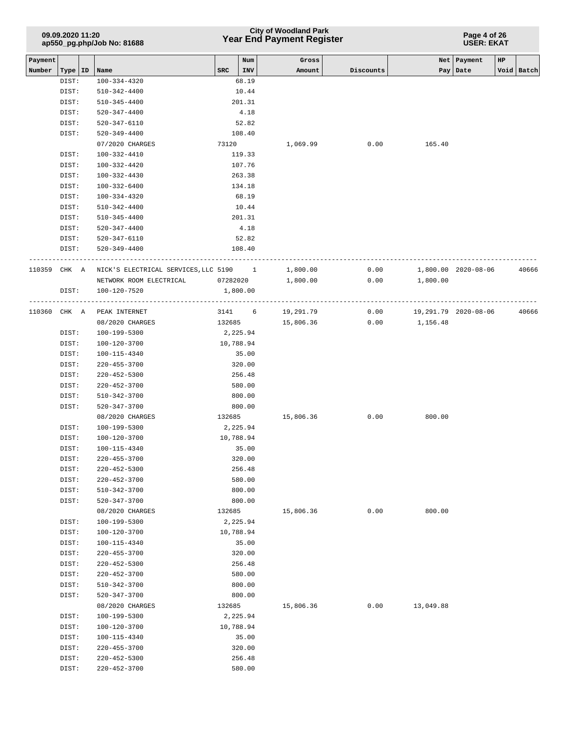| 09.09.2020 11:20<br>ap550_pg.php/Job No: 81688 |                |  |                                        |            |                  | <b>City of Woodland Park</b><br><b>Year End Payment Register</b> |           | Page 4 of 26<br><b>USER: EKAT</b> |                      |    |            |
|------------------------------------------------|----------------|--|----------------------------------------|------------|------------------|------------------------------------------------------------------|-----------|-----------------------------------|----------------------|----|------------|
| Payment                                        |                |  |                                        |            | Num              | Gross                                                            |           | Net                               | Payment              | HP |            |
| Number                                         | Type   ID      |  | Name                                   | <b>SRC</b> | INV              | Amount                                                           | Discounts |                                   | Pay   Date           |    | Void Batch |
|                                                | DIST:          |  | 100-334-4320                           |            | 68.19            |                                                                  |           |                                   |                      |    |            |
|                                                | DIST:          |  | $510 - 342 - 4400$                     |            | 10.44            |                                                                  |           |                                   |                      |    |            |
|                                                | DIST:          |  | 510-345-4400                           |            | 201.31           |                                                                  |           |                                   |                      |    |            |
|                                                | DIST:          |  | $520 - 347 - 4400$                     |            | 4.18             |                                                                  |           |                                   |                      |    |            |
|                                                | DIST:<br>DIST: |  | 520-347-6110<br>$520 - 349 - 4400$     |            | 52.82<br>108.40  |                                                                  |           |                                   |                      |    |            |
|                                                |                |  | 07/2020 CHARGES                        | 73120      |                  | 1,069.99                                                         | 0.00      | 165.40                            |                      |    |            |
|                                                | DIST:          |  | 100-332-4410                           |            | 119.33           |                                                                  |           |                                   |                      |    |            |
|                                                | DIST:          |  | 100-332-4420                           |            | 107.76           |                                                                  |           |                                   |                      |    |            |
|                                                | DIST:          |  | 100-332-4430                           |            | 263.38           |                                                                  |           |                                   |                      |    |            |
|                                                | DIST:          |  | $100 - 332 - 6400$                     |            | 134.18           |                                                                  |           |                                   |                      |    |            |
|                                                | DIST:          |  | 100-334-4320                           |            | 68.19            |                                                                  |           |                                   |                      |    |            |
|                                                | DIST:          |  | $510 - 342 - 4400$                     |            | 10.44            |                                                                  |           |                                   |                      |    |            |
|                                                | DIST:          |  | 510-345-4400                           |            | 201.31           |                                                                  |           |                                   |                      |    |            |
|                                                | DIST:          |  | $520 - 347 - 4400$                     |            | 4.18             |                                                                  |           |                                   |                      |    |            |
|                                                | DIST:          |  | 520-347-6110                           |            | 52.82            |                                                                  |           |                                   |                      |    |            |
|                                                | DIST:          |  | 520-349-4400                           |            | 108.40           |                                                                  |           |                                   |                      |    |            |
|                                                |                |  |                                        |            |                  |                                                                  |           |                                   |                      |    |            |
| 110359                                         | CHK A          |  | NICK'S ELECTRICAL SERVICES, LLC 5190 1 |            |                  | 1,800.00                                                         | 0.00      |                                   | 1,800.00 2020-08-06  |    | 40666      |
|                                                |                |  | NETWORK ROOM ELECTRICAL                | 07282020   |                  | 1,800.00                                                         | 0.00      | 1,800.00                          |                      |    |            |
|                                                | DIST:          |  | 100-120-7520                           |            | 1,800.00         |                                                                  |           |                                   |                      |    |            |
|                                                |                |  |                                        |            |                  | ------------                                                     |           |                                   |                      |    |            |
| 110360 CHK A                                   |                |  | PEAK INTERNET                          | 3141       | 6                | 19,291.79                                                        | 0.00      |                                   | 19,291.79 2020-08-06 |    | 40666      |
|                                                |                |  | 08/2020 CHARGES                        | 132685     |                  | 15,806.36                                                        | 0.00      | 1,156.48                          |                      |    |            |
|                                                | DIST:          |  | 100-199-5300                           |            | 2,225.94         |                                                                  |           |                                   |                      |    |            |
|                                                | DIST:          |  | 100-120-3700                           |            | 10,788.94        |                                                                  |           |                                   |                      |    |            |
|                                                | DIST:          |  | 100-115-4340                           |            | 35.00            |                                                                  |           |                                   |                      |    |            |
|                                                | DIST:          |  | $220 - 455 - 3700$                     |            | 320.00           |                                                                  |           |                                   |                      |    |            |
|                                                | DIST:          |  | $220 - 452 - 5300$                     |            | 256.48           |                                                                  |           |                                   |                      |    |            |
|                                                | DIST:          |  | $220 - 452 - 3700$                     |            | 580.00           |                                                                  |           |                                   |                      |    |            |
|                                                | DIST:          |  | $510 - 342 - 3700$                     |            | 800.00           |                                                                  |           |                                   |                      |    |            |
|                                                | DIST:          |  | 520-347-3700                           |            | 800.00           |                                                                  |           |                                   |                      |    |            |
|                                                |                |  | 08/2020 CHARGES                        | 132685     |                  | 15,806.36                                                        | 0.00      | 800.00                            |                      |    |            |
|                                                | DIST:          |  | 100-199-5300                           |            | 2,225.94         |                                                                  |           |                                   |                      |    |            |
|                                                | DIST:          |  | 100-120-3700                           |            | 10,788.94        |                                                                  |           |                                   |                      |    |            |
|                                                | DIST:          |  | 100-115-4340                           |            | 35.00            |                                                                  |           |                                   |                      |    |            |
|                                                | DIST:          |  | $220 - 455 - 3700$                     |            | 320.00           |                                                                  |           |                                   |                      |    |            |
|                                                | DIST:          |  | $220 - 452 - 5300$                     |            | 256.48           |                                                                  |           |                                   |                      |    |            |
|                                                | DIST:<br>DIST: |  | 220-452-3700<br>$510 - 342 - 3700$     |            | 580.00<br>800.00 |                                                                  |           |                                   |                      |    |            |
|                                                | DIST:          |  | 520-347-3700                           |            | 800.00           |                                                                  |           |                                   |                      |    |            |
|                                                |                |  | 08/2020 CHARGES                        | 132685     |                  | 15,806.36                                                        | 0.00      | 800.00                            |                      |    |            |
|                                                | DIST:          |  | 100-199-5300                           |            | 2,225.94         |                                                                  |           |                                   |                      |    |            |
|                                                | DIST:          |  | 100-120-3700                           |            | 10,788.94        |                                                                  |           |                                   |                      |    |            |
|                                                | DIST:          |  | 100-115-4340                           |            | 35.00            |                                                                  |           |                                   |                      |    |            |
|                                                | DIST:          |  | 220-455-3700                           |            | 320.00           |                                                                  |           |                                   |                      |    |            |
|                                                | DIST:          |  | 220-452-5300                           |            | 256.48           |                                                                  |           |                                   |                      |    |            |
|                                                | DIST:          |  | 220-452-3700                           |            | 580.00           |                                                                  |           |                                   |                      |    |            |
|                                                | DIST:          |  | 510-342-3700                           |            | 800.00           |                                                                  |           |                                   |                      |    |            |
|                                                | DIST:          |  | 520-347-3700                           |            | 800.00           |                                                                  |           |                                   |                      |    |            |
|                                                |                |  | 08/2020 CHARGES                        | 132685     |                  | 15,806.36                                                        | 0.00      | 13,049.88                         |                      |    |            |
|                                                | DIST:          |  | 100-199-5300                           |            | 2,225.94         |                                                                  |           |                                   |                      |    |            |
|                                                | DIST:          |  | 100-120-3700                           |            | 10,788.94        |                                                                  |           |                                   |                      |    |            |
|                                                | DIST:          |  | 100-115-4340                           |            | 35.00            |                                                                  |           |                                   |                      |    |            |
|                                                | DIST:          |  | 220-455-3700                           |            | 320.00           |                                                                  |           |                                   |                      |    |            |
|                                                | DIST:          |  | 220-452-5300                           |            | 256.48           |                                                                  |           |                                   |                      |    |            |
|                                                | DIST:          |  | 220-452-3700                           |            | 580.00           |                                                                  |           |                                   |                      |    |            |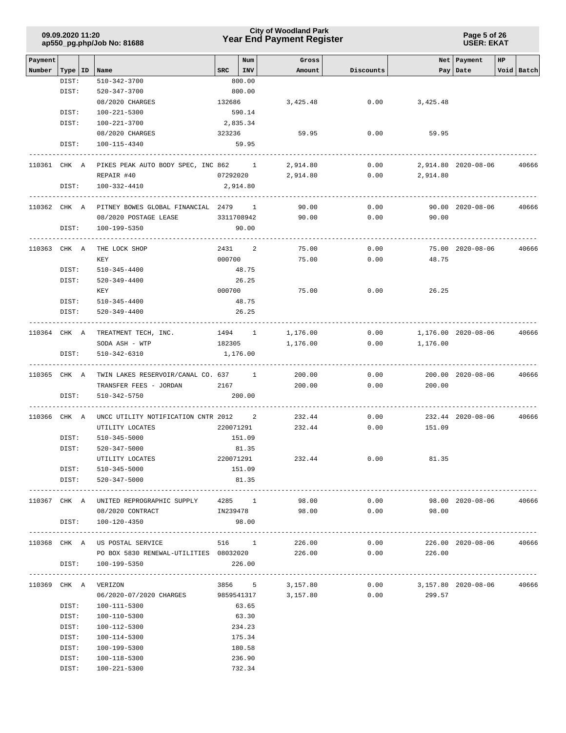### **Year End Payment Register City of Woodland Park 09.09.2020 11:20**

**Page 5 of 26 USER: EKAT**

| Payment |                  |                                                   |        | Num              | Gross               |           |                            | Net Payment         | HP |            |
|---------|------------------|---------------------------------------------------|--------|------------------|---------------------|-----------|----------------------------|---------------------|----|------------|
| Number  | Type   ID   Name |                                                   |        | SRC   INV        | Amount              | Discounts |                            | Pay   Date          |    | Void Batch |
|         | DIST:<br>DIST:   | 510-342-3700<br>520-347-3700                      |        | 800.00<br>800.00 |                     |           |                            |                     |    |            |
|         |                  | 08/2020 CHARGES                                   | 132686 |                  | 3,425.48            | 0.00      | 3,425.48                   |                     |    |            |
|         | DIST:            | $100 - 221 - 5300$                                |        | 590.14           |                     |           |                            |                     |    |            |
|         | DIST:            | 100-221-3700                                      |        | 2,835.34         |                     |           |                            |                     |    |            |
|         |                  | 08/2020 CHARGES                                   | 323236 |                  | 59.95               | 0.00      | 59.95                      |                     |    |            |
|         | DIST:            | 100-115-4340                                      |        | 59.95            |                     |           |                            |                     |    |            |
|         |                  |                                                   |        |                  |                     |           |                            |                     |    |            |
|         |                  | 110361 CHK A PIKES PEAK AUTO BODY SPEC, INC 862 1 |        |                  | 2,914.80            | 0.00      |                            | 2,914.80 2020-08-06 |    | 40666      |
|         |                  | REPAIR #40                                        |        | 07292020         | 2,914.80            | 0.00      | 2,914.80                   |                     |    |            |
|         | DIST:            | 100-332-4410                                      |        | 2,914.80         |                     |           |                            |                     |    |            |
|         |                  |                                                   |        |                  |                     |           |                            |                     |    |            |
|         | 110362 CHK A     | PITNEY BOWES GLOBAL FINANCIAL 2479 1              |        |                  | 90.00               | 0.00      |                            | 90.00 2020-08-06    |    | 40666      |
|         |                  | 08/2020 POSTAGE LEASE<br>3311708942               |        |                  | 90.00               | 0.00      | 90.00                      |                     |    |            |
|         | DIST:            | 100-199-5350                                      |        | 90.00            |                     |           |                            |                     |    |            |
|         |                  |                                                   |        |                  |                     |           |                            |                     |    |            |
|         | 110363 CHK A     | THE LOCK SHOP                                     |        | 2431 2           | 75.00               | 0.00      |                            | 75.00 2020-08-06    |    | 40666      |
|         |                  | KEY                                               | 000700 |                  | 75.00               | 0.00      | 48.75                      |                     |    |            |
|         | DIST:            | 510-345-4400                                      |        | 48.75            |                     |           |                            |                     |    |            |
|         | DIST:            | $520 - 349 - 4400$                                |        | 26.25            |                     |           |                            |                     |    |            |
|         |                  | KEY                                               | 000700 |                  | 75.00               | 0.00      | 26.25                      |                     |    |            |
|         | DIST:            | 510-345-4400                                      |        | 48.75            |                     |           |                            |                     |    |            |
|         | DIST:            | $520 - 349 - 4400$                                |        | 26.25            |                     |           |                            |                     |    |            |
|         |                  |                                                   |        |                  |                     |           |                            |                     |    |            |
|         |                  | 110364 CHK A TREATMENT TECH, INC.                 |        | 1494 1           | 1,176.00            | 0.00      | 1,176.00 2020-08-06        |                     |    | 40666      |
|         |                  | SODA ASH - WTP                                    |        | 182305           | 1,176.00            | 0.00      | 1,176.00                   |                     |    |            |
|         | DIST:            | 510-342-6310                                      |        | 1,176.00         |                     |           |                            |                     |    |            |
|         |                  |                                                   |        |                  |                     |           |                            |                     |    |            |
|         | 110365 CHK A     | TWIN LAKES RESERVOIR/CANAL CO. 637 1              |        |                  | 200.00              | 0.00      |                            | 200.00 2020-08-06   |    | 40666      |
|         |                  | 2167<br>TRANSFER FEES - JORDAN                    |        |                  | 200.00              | 0.00      | 200.00                     |                     |    |            |
|         | DIST:            | 510-342-5750                                      |        | 200.00           |                     |           |                            |                     |    |            |
|         | 110366 CHK A     | UNCC UTILITY NOTIFICATION CNTR 2012 2             |        |                  | 232.44              | 0.00      |                            | 232.44 2020-08-06   |    | 40666      |
|         |                  | UTILITY LOCATES                                   |        | 220071291        | 232.44              | 0.00      | 151.09                     |                     |    |            |
|         | DIST:            | 510-345-5000                                      |        | 151.09           |                     |           |                            |                     |    |            |
|         | DIST:            | 520-347-5000                                      |        | 81.35            |                     |           |                            |                     |    |            |
|         |                  | UTILITY LOCATES                                   |        | 220071291        | 232.44              | 0.00      | 81.35                      |                     |    |            |
|         | DIST:            | 510-345-5000                                      |        | 151.09           |                     |           |                            |                     |    |            |
|         | DIST:            | 520-347-5000                                      |        | 81.35            |                     |           |                            |                     |    |            |
|         |                  | -------------------------------                   |        |                  |                     |           |                            |                     |    |            |
|         |                  | 110367 CHK A UNITED REPROGRAPHIC SUPPLY 4285 1    |        |                  | 98.00               | 0.00      |                            | 98.00 2020-08-06    |    | 40666      |
|         |                  | 08/2020 CONTRACT                                  |        | IN239478         | 98.00               |           | 0.00<br>98.00              |                     |    |            |
|         | DIST:            | 100-120-4350                                      |        | 98.00            |                     |           |                            |                     |    |            |
|         |                  |                                                   |        |                  |                     |           |                            |                     |    |            |
|         |                  | 110368 CHK A US POSTAL SERVICE                    |        | 516 1            | 226.00              | 0.00      |                            | 226.00 2020-08-06   |    | 40666      |
|         |                  | PO BOX 5830 RENEWAL-UTILITIES 08032020            |        |                  | 226.00              | 0.00      | 226.00                     |                     |    |            |
|         | DIST:            | 100-199-5350                                      |        | 226.00           |                     |           |                            |                     |    |            |
|         |                  |                                                   |        |                  |                     |           |                            |                     |    |            |
|         | 110369 CHK A     | VERIZON                                           |        |                  | 3856 5 3,157.80     |           | $0.00$ 3,157.80 2020-08-06 |                     |    | 40666      |
|         |                  | 06/2020-07/2020 CHARGES                           |        |                  | 9859541317 3,157.80 |           | $0.00$ 299.57              |                     |    |            |
|         | DIST:            | 100-111-5300                                      |        | 63.65            |                     |           |                            |                     |    |            |
|         | DIST:            | 100-110-5300                                      |        | 63.30            |                     |           |                            |                     |    |            |
|         | DIST:            | 100-112-5300                                      |        | 234.23           |                     |           |                            |                     |    |            |
|         | DIST:            | 100-114-5300                                      |        | 175.34           |                     |           |                            |                     |    |            |
|         | DIST:            | 100-199-5300                                      |        | 180.58           |                     |           |                            |                     |    |            |
|         | DIST:            | 100-118-5300                                      |        | 236.90           |                     |           |                            |                     |    |            |
|         | DIST:            | 100-221-5300                                      |        | 732.34           |                     |           |                            |                     |    |            |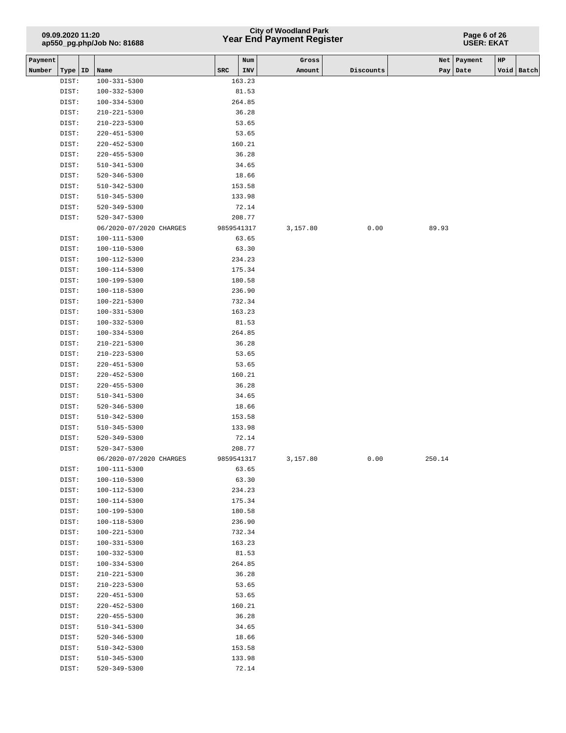# **Year End Payment Register City of Woodland Park 09.09.2020 11:20**

#### **Page 6 of 26 USER: EKAT**

| Payment |                |                                    |            | Num             | Gross    |           |        | Net   Payment | HP |            |
|---------|----------------|------------------------------------|------------|-----------------|----------|-----------|--------|---------------|----|------------|
| Number  | Type   ID      | Name                               | SRC        | INV             | Amount   | Discounts |        | Pay   Date    |    | Void Batch |
|         | DIST:          | 100-331-5300                       |            | 163.23          |          |           |        |               |    |            |
|         | DIST:          | 100-332-5300                       |            | 81.53           |          |           |        |               |    |            |
|         | DIST:          | 100-334-5300                       |            | 264.85          |          |           |        |               |    |            |
|         | DIST:          | 210-221-5300                       |            | 36.28           |          |           |        |               |    |            |
|         | DIST:          | 210-223-5300                       |            | 53.65           |          |           |        |               |    |            |
|         | DIST:          | 220-451-5300                       |            | 53.65           |          |           |        |               |    |            |
|         | DIST:          | 220-452-5300                       |            | 160.21          |          |           |        |               |    |            |
|         | DIST:          | 220-455-5300                       |            | 36.28           |          |           |        |               |    |            |
|         | DIST:          | 510-341-5300                       |            | 34.65           |          |           |        |               |    |            |
|         | DIST:          | 520-346-5300                       |            | 18.66           |          |           |        |               |    |            |
|         | DIST:          | 510-342-5300                       |            | 153.58          |          |           |        |               |    |            |
|         | DIST:          | 510-345-5300                       |            | 133.98          |          |           |        |               |    |            |
|         | DIST:          | 520-349-5300                       |            | 72.14           |          |           |        |               |    |            |
|         | DIST:          | 520-347-5300                       |            | 208.77          |          |           |        |               |    |            |
|         |                | 06/2020-07/2020 CHARGES            | 9859541317 |                 | 3,157.80 | 0.00      | 89.93  |               |    |            |
|         | DIST:          | 100-111-5300                       |            | 63.65           |          |           |        |               |    |            |
|         | DIST:          | 100-110-5300                       |            | 63.30           |          |           |        |               |    |            |
|         | DIST:          | 100-112-5300                       |            | 234.23          |          |           |        |               |    |            |
|         | DIST:          | 100-114-5300                       |            | 175.34          |          |           |        |               |    |            |
|         | DIST:          | 100-199-5300                       |            | 180.58          |          |           |        |               |    |            |
|         | DIST:          | 100-118-5300                       |            | 236.90          |          |           |        |               |    |            |
|         | DIST:          | 100-221-5300                       |            | 732.34          |          |           |        |               |    |            |
|         | DIST:          | $100 - 331 - 5300$                 |            | 163.23          |          |           |        |               |    |            |
|         | DIST:          | 100-332-5300                       |            | 81.53           |          |           |        |               |    |            |
|         | DIST:          | 100-334-5300                       |            | 264.85          |          |           |        |               |    |            |
|         | DIST:          | 210-221-5300                       |            | 36.28           |          |           |        |               |    |            |
|         | DIST:          | 210-223-5300                       |            | 53.65           |          |           |        |               |    |            |
|         | DIST:          | 220-451-5300                       |            | 53.65           |          |           |        |               |    |            |
|         | DIST:          | 220-452-5300                       |            | 160.21          |          |           |        |               |    |            |
|         | DIST:          | 220-455-5300                       |            | 36.28           |          |           |        |               |    |            |
|         | DIST:          | 510-341-5300                       |            | 34.65           |          |           |        |               |    |            |
|         | DIST:          | 520-346-5300                       |            | 18.66           |          |           |        |               |    |            |
|         | DIST:          | 510-342-5300                       |            | 153.58          |          |           |        |               |    |            |
|         | DIST:          | $510 - 345 - 5300$                 |            | 133.98          |          |           |        |               |    |            |
|         | DIST:          | 520-349-5300                       |            | 72.14           |          |           |        |               |    |            |
|         | DIST:          | $520 - 347 - 5300$                 |            | 208.77          |          |           |        |               |    |            |
|         |                | 06/2020-07/2020 CHARGES            | 9859541317 |                 | 3,157.80 | 0.00      | 250.14 |               |    |            |
|         | DIST:          | 100-111-5300                       |            | 63.65           |          |           |        |               |    |            |
|         | DIST:          | 100-110-5300                       |            | 63.30           |          |           |        |               |    |            |
|         | DIST:          | 100-112-5300                       |            | 234.23          |          |           |        |               |    |            |
|         | DIST:          | 100-114-5300                       |            | 175.34          |          |           |        |               |    |            |
|         | DIST:          | $100 - 199 - 5300$                 |            | 180.58          |          |           |        |               |    |            |
|         | DIST:          | 100-118-5300                       |            | 236.90          |          |           |        |               |    |            |
|         | DIST:          | 100-221-5300                       |            | 732.34          |          |           |        |               |    |            |
|         | DIST:          | 100-331-5300                       |            | 163.23          |          |           |        |               |    |            |
|         | DIST:          | 100-332-5300                       |            | 81.53<br>264.85 |          |           |        |               |    |            |
|         | DIST:          | 100-334-5300                       |            |                 |          |           |        |               |    |            |
|         | DIST:          | 210-221-5300                       |            | 36.28           |          |           |        |               |    |            |
|         | DIST:          | $210 - 223 - 5300$<br>220-451-5300 |            | 53.65<br>53.65  |          |           |        |               |    |            |
|         | DIST:<br>DIST: | $220 - 452 - 5300$                 |            |                 |          |           |        |               |    |            |
|         | DIST:          | $220 - 455 - 5300$                 |            | 160.21<br>36.28 |          |           |        |               |    |            |
|         | DIST:          | 510-341-5300                       |            | 34.65           |          |           |        |               |    |            |
|         | DIST:          | 520-346-5300                       |            | 18.66           |          |           |        |               |    |            |
|         | DIST:          | 510-342-5300                       |            | 153.58          |          |           |        |               |    |            |
|         | DIST:          | 510-345-5300                       |            | 133.98          |          |           |        |               |    |            |
|         | DIST:          | 520-349-5300                       |            | 72.14           |          |           |        |               |    |            |
|         |                |                                    |            |                 |          |           |        |               |    |            |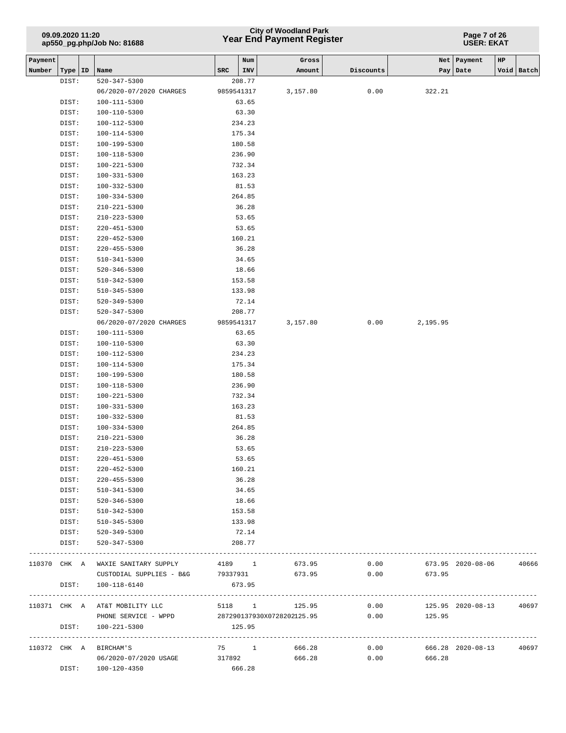## **Year End Payment Register City of Woodland Park 09.09.2020 11:20**

**Page 7 of 26 USER: EKAT**

| Payment |           |                                          |             | Num    | Gross                      |                                  |                                    | Net   Payment     | HP |            |
|---------|-----------|------------------------------------------|-------------|--------|----------------------------|----------------------------------|------------------------------------|-------------------|----|------------|
| Number  | Type   ID | Name                                     | ${\tt SRC}$ | INV    | Amount                     | Discounts                        |                                    | Pay   Date        |    | Void Batch |
|         | DIST:     | $520 - 347 - 5300$                       |             | 208.77 |                            |                                  |                                    |                   |    |            |
|         |           | 06/2020-07/2020 CHARGES                  | 9859541317  |        | 3,157.80                   | 0.00                             | 322.21                             |                   |    |            |
|         | DIST:     | 100-111-5300                             |             | 63.65  |                            |                                  |                                    |                   |    |            |
|         | DIST:     | 100-110-5300                             |             | 63.30  |                            |                                  |                                    |                   |    |            |
|         | DIST:     | 100-112-5300                             |             | 234.23 |                            |                                  |                                    |                   |    |            |
|         | DIST:     | 100-114-5300                             |             | 175.34 |                            |                                  |                                    |                   |    |            |
|         | DIST:     | 100-199-5300                             |             | 180.58 |                            |                                  |                                    |                   |    |            |
|         | DIST:     | 100-118-5300                             |             | 236.90 |                            |                                  |                                    |                   |    |            |
|         | DIST:     | 100-221-5300                             |             | 732.34 |                            |                                  |                                    |                   |    |            |
|         | DIST:     | $100 - 331 - 5300$                       |             | 163.23 |                            |                                  |                                    |                   |    |            |
|         | DIST:     | 100-332-5300                             |             | 81.53  |                            |                                  |                                    |                   |    |            |
|         | DIST:     | $100 - 334 - 5300$                       |             | 264.85 |                            |                                  |                                    |                   |    |            |
|         | DIST:     | $210 - 221 - 5300$                       |             | 36.28  |                            |                                  |                                    |                   |    |            |
|         | DIST:     | $210 - 223 - 5300$                       |             | 53.65  |                            |                                  |                                    |                   |    |            |
|         | DIST:     | $220 - 451 - 5300$                       |             | 53.65  |                            |                                  |                                    |                   |    |            |
|         | DIST:     | 220-452-5300                             |             | 160.21 |                            |                                  |                                    |                   |    |            |
|         | DIST:     | $220 - 455 - 5300$                       |             | 36.28  |                            |                                  |                                    |                   |    |            |
|         | DIST:     | $510 - 341 - 5300$                       |             | 34.65  |                            |                                  |                                    |                   |    |            |
|         | DIST:     | $520 - 346 - 5300$                       |             | 18.66  |                            |                                  |                                    |                   |    |            |
|         | DIST:     | $510 - 342 - 5300$                       |             | 153.58 |                            |                                  |                                    |                   |    |            |
|         | DIST:     | $510 - 345 - 5300$                       |             | 133.98 |                            |                                  |                                    |                   |    |            |
|         | DIST:     | 520-349-5300                             |             | 72.14  |                            |                                  |                                    |                   |    |            |
|         | DIST:     | 520-347-5300                             |             | 208.77 |                            |                                  |                                    |                   |    |            |
|         |           | 06/2020-07/2020 CHARGES                  | 9859541317  |        | 3,157.80                   | 0.00                             | 2,195.95                           |                   |    |            |
|         | DIST:     | 100-111-5300                             |             | 63.65  |                            |                                  |                                    |                   |    |            |
|         | DIST:     | 100-110-5300                             |             | 63.30  |                            |                                  |                                    |                   |    |            |
|         | DIST:     | 100-112-5300                             |             | 234.23 |                            |                                  |                                    |                   |    |            |
|         | DIST:     | 100-114-5300                             |             | 175.34 |                            |                                  |                                    |                   |    |            |
|         | DIST:     | 100-199-5300                             |             | 180.58 |                            |                                  |                                    |                   |    |            |
|         | DIST:     | 100-118-5300                             |             | 236.90 |                            |                                  |                                    |                   |    |            |
|         | DIST:     | 100-221-5300                             |             | 732.34 |                            |                                  |                                    |                   |    |            |
|         | DIST:     | 100-331-5300                             |             | 163.23 |                            |                                  |                                    |                   |    |            |
|         | DIST:     | 100-332-5300                             |             | 81.53  |                            |                                  |                                    |                   |    |            |
|         | DIST:     | 100-334-5300                             |             | 264.85 |                            |                                  |                                    |                   |    |            |
|         | DIST:     | $210 - 221 - 5300$                       |             | 36.28  |                            |                                  |                                    |                   |    |            |
|         | DIST:     | 210-223-5300                             |             | 53.65  |                            |                                  |                                    |                   |    |            |
|         | DIST:     | $220 - 451 - 5300$                       |             | 53.65  |                            |                                  |                                    |                   |    |            |
|         | DIST:     | $220 - 452 - 5300$                       |             | 160.21 |                            |                                  |                                    |                   |    |            |
|         | DIST:     | 220-455-5300                             |             | 36.28  |                            |                                  |                                    |                   |    |            |
|         | DIST:     | 510-341-5300                             |             | 34.65  |                            |                                  |                                    |                   |    |            |
|         | DIST:     | 520-346-5300                             |             | 18.66  |                            |                                  |                                    |                   |    |            |
|         | DIST:     | 510-342-5300                             |             | 153.58 |                            |                                  |                                    |                   |    |            |
|         | DIST:     | 510-345-5300                             |             | 133.98 |                            |                                  |                                    |                   |    |            |
|         | DIST:     | 520-349-5300                             |             | 72.14  |                            |                                  |                                    |                   |    |            |
|         | DIST:     | 520-347-5300                             |             | 208.77 |                            |                                  |                                    |                   |    |            |
|         |           | 110370 CHK A WAXIE SANITARY SUPPLY       |             |        | 4189 1 673.95              | .<br>0.00                        |                                    | 673.95 2020-08-06 |    | 40666      |
|         |           | CUSTODIAL SUPPLIES - B&G 79337931 673.95 |             |        |                            | 0.00                             | 673.95                             |                   |    |            |
|         | DIST:     | 100-118-6140                             |             | 673.95 |                            |                                  |                                    |                   |    |            |
|         |           | 110371 CHK A AT&T MOBILITY LLC           |             |        | 5118 1 125.95              | 0.00                             |                                    | 125.95 2020-08-13 |    | 40697      |
|         |           | PHONE SERVICE - WPPD                     |             |        | 287290137930X0728202125.95 | 0.00                             | 125.95                             |                   |    |            |
|         |           | DIST: 100-221-5300                       |             | 125.95 |                            |                                  |                                    |                   |    |            |
|         |           | ---------------                          |             |        |                            | -------------------------------- | ---------------------------------- |                   |    |            |
|         |           | 110372 CHK A BIRCHAM'S                   |             |        | 75 1<br>666.28             | 0.00                             |                                    | 666.28 2020-08-13 |    | 40697      |
|         |           | 06/2020-07/2020 USAGE                    | 317892      |        | 666.28                     |                                  | 0.00<br>666.28                     |                   |    |            |
|         |           | DIST: 100-120-4350                       |             | 666.28 |                            |                                  |                                    |                   |    |            |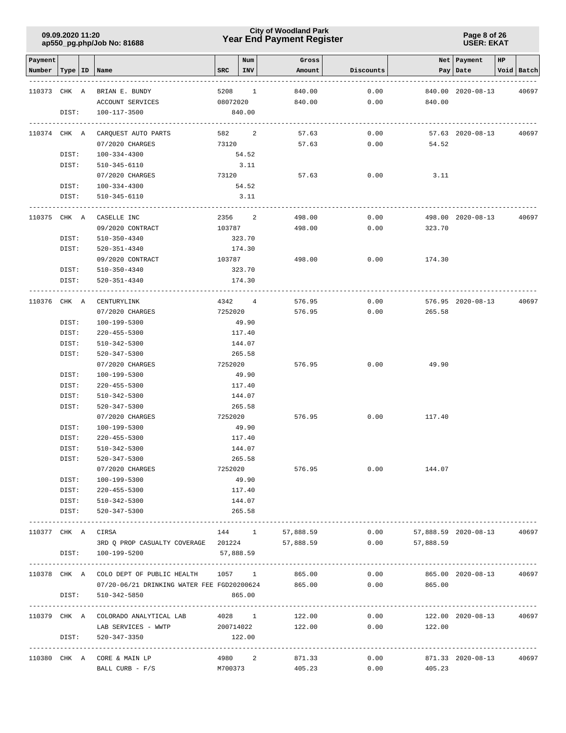### **Year End Payment Register City of Woodland Park 09.09.2020 11:20**

#### **Page 8 of 26 USER: EKAT**

| Payment<br>Number  | Type  | ID | Name                                              | <b>SRC</b> | Num<br><b>INV</b> | Gross<br>Amount | Discounts |                      | Net   Payment<br>Pay   Date | HP | Void Batch |
|--------------------|-------|----|---------------------------------------------------|------------|-------------------|-----------------|-----------|----------------------|-----------------------------|----|------------|
|                    |       |    |                                                   |            |                   |                 |           |                      |                             |    |            |
| 110373 CHK A       |       |    | BRIAN E. BUNDY                                    | 5208       | $\mathbf{1}$      | 840.00          | 0.00      |                      | 840.00 2020-08-13           |    | 40697      |
|                    |       |    | ACCOUNT SERVICES                                  | 08072020   |                   | 840.00          | 0.00      | 840.00               |                             |    |            |
|                    | DIST: |    | 100-117-3500                                      |            | 840.00            |                 |           |                      |                             |    |            |
| 110374 CHK A       |       |    | CARQUEST AUTO PARTS                               | 582 7      | 2                 | 57.63           | 0.00      |                      | 57.63 2020-08-13            |    | 40697      |
|                    |       |    | 07/2020 CHARGES                                   | 73120      |                   | 57.63           | 0.00      | 54.52                |                             |    |            |
|                    | DIST: |    | 100-334-4300                                      |            | 54.52             |                 |           |                      |                             |    |            |
|                    | DIST: |    | 510-345-6110                                      |            | 3.11              |                 |           |                      |                             |    |            |
|                    |       |    | 07/2020 CHARGES                                   | 73120      |                   | 57.63           | 0.00      | 3.11                 |                             |    |            |
|                    | DIST: |    | 100-334-4300                                      |            | 54.52             |                 |           |                      |                             |    |            |
|                    | DIST: |    | 510-345-6110                                      |            | 3.11              |                 |           |                      |                             |    |            |
| 110375 CHK A       |       |    | CASELLE INC                                       | 2356       | 2                 | 498.00          | 0.00      |                      | 498.00 2020-08-13           |    | 40697      |
|                    |       |    | 09/2020 CONTRACT                                  | 103787     |                   | 498.00          | 0.00      | 323.70               |                             |    |            |
|                    | DIST: |    | 510-350-4340                                      |            | 323.70            |                 |           |                      |                             |    |            |
|                    | DIST: |    | 520-351-4340                                      |            | 174.30            |                 |           |                      |                             |    |            |
|                    |       |    | 09/2020 CONTRACT                                  | 103787     |                   | 498.00          | 0.00      | 174.30               |                             |    |            |
|                    | DIST: |    | 510-350-4340                                      |            | 323.70            |                 |           |                      |                             |    |            |
|                    | DIST: |    | 520-351-4340                                      |            | 174.30            |                 |           |                      |                             |    |            |
| 110376 CHK A       |       |    | CENTURYLINK                                       | 4342 4     |                   | 576.95          | 0.00      |                      | 576.95 2020-08-13           |    | 40697      |
|                    |       |    | 07/2020 CHARGES                                   | 7252020    |                   | 576.95          | 0.00      | 265.58               |                             |    |            |
|                    | DIST: |    | 100-199-5300                                      |            | 49.90             |                 |           |                      |                             |    |            |
|                    | DIST: |    | $220 - 455 - 5300$                                |            | 117.40            |                 |           |                      |                             |    |            |
|                    | DIST: |    | 510-342-5300                                      |            | 144.07            |                 |           |                      |                             |    |            |
|                    | DIST: |    | 520-347-5300                                      |            | 265.58            |                 |           |                      |                             |    |            |
|                    |       |    | 07/2020 CHARGES                                   | 7252020    |                   | 576.95          | 0.00      | 49.90                |                             |    |            |
|                    | DIST: |    | 100-199-5300                                      |            | 49.90             |                 |           |                      |                             |    |            |
|                    | DIST: |    | $220 - 455 - 5300$                                |            | 117.40            |                 |           |                      |                             |    |            |
|                    | DIST: |    | 510-342-5300                                      |            | 144.07            |                 |           |                      |                             |    |            |
|                    | DIST: |    | 520-347-5300                                      |            | 265.58            |                 |           |                      |                             |    |            |
|                    |       |    | 07/2020 CHARGES                                   | 7252020    |                   | 576.95          | 0.00      | 117.40               |                             |    |            |
|                    | DIST: |    | 100-199-5300                                      |            | 49.90             |                 |           |                      |                             |    |            |
|                    | DIST: |    | $220 - 455 - 5300$                                |            | 117.40            |                 |           |                      |                             |    |            |
|                    | DIST: |    | 510-342-5300                                      |            | 144.07            |                 |           |                      |                             |    |            |
|                    | DIST: |    | 520-347-5300                                      |            | 265.58            |                 |           |                      |                             |    |            |
|                    |       |    | 07/2020 CHARGES                                   | 7252020    |                   | 576.95          | 0.00      | 144.07               |                             |    |            |
|                    | DIST: |    | 100-199-5300                                      |            | 49.90             |                 |           |                      |                             |    |            |
|                    | DIST: |    | 220-455-5300                                      |            | 117.40            |                 |           |                      |                             |    |            |
|                    | DIST: |    | 510-342-5300                                      |            | 144.07            |                 |           |                      |                             |    |            |
|                    | DIST: |    | 520-347-5300                                      |            | 265.58            |                 |           |                      |                             |    |            |
| 110377 CHK A CIRSA |       |    |                                                   | 144 1      |                   | 57,888.59       | 0.00      | 57,888.59 2020-08-13 |                             |    | 40697      |
|                    |       |    | 3RD Q PROP CASUALTY COVERAGE 201224               |            |                   | 57,888.59       | 0.00      | 57,888.59            |                             |    |            |
|                    | DIST: |    | 100-199-5200                                      | 57,888.59  |                   |                 |           |                      |                             |    |            |
|                    |       |    | 110378 CHK A COLO DEPT OF PUBLIC HEALTH           |            |                   | 1057 1 865.00   | 0.00      |                      | 865.00 2020-08-13           |    | 40697      |
|                    |       |    | 07/20-06/21 DRINKING WATER FEE FGD20200624 865.00 |            |                   |                 |           | 0.00<br>865.00       |                             |    |            |
|                    | DIST: |    | 510-342-5850                                      |            | 865.00            |                 |           |                      |                             |    |            |
|                    |       |    | 110379 CHK A COLORADO ANALYTICAL LAB              | 4028 1     |                   | 122.00          | 0.00      |                      | 122.00 2020-08-13           |    | 40697      |
|                    |       |    | LAB SERVICES - WWTP                               | 200714022  |                   | 122.00          | 0.00      | 122.00               |                             |    |            |
|                    | DIST: |    | 520-347-3350                                      |            | 122.00            |                 |           |                      |                             |    |            |
|                    |       |    | 110380 CHK A CORE & MAIN LP                       | 4980 2     |                   | 871.33          | 0.00      |                      | 871.33 2020-08-13           |    | 40697      |
|                    |       |    | BALL CURB $- F/S$                                 | M700373    |                   | 405.23          | 0.00      | 405.23               |                             |    |            |
|                    |       |    |                                                   |            |                   |                 |           |                      |                             |    |            |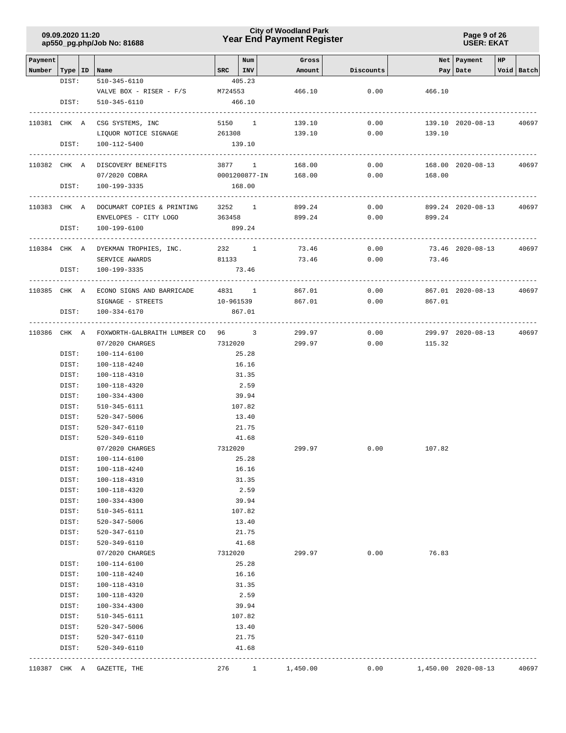### **Year End Payment Register City of Woodland Park 09.09.2020 11:20**

**Page 9 of 26 USER: EKAT**

| Payment      |                |                                                |           | Num            | Gross    |           |                | Net   Payment           | HP |            |
|--------------|----------------|------------------------------------------------|-----------|----------------|----------|-----------|----------------|-------------------------|----|------------|
|              |                | Number   Type   ID   Name                      |           | $SRC$   $INV$  | Amount   | Discounts |                | Pay Date                |    | Void Batch |
|              | DIST:          | 510-345-6110                                   |           | 405.23         |          |           |                |                         |    |            |
|              |                | VALVE BOX - RISER - F/S                        | M724553   |                | 466.10   | 0.00      | 466.10         |                         |    |            |
|              | DIST:          | 510-345-6110                                   |           | 466.10         |          |           |                |                         |    |            |
| 110381 CHK A |                | -------------<br>CSG SYSTEMS, INC              |           | 5150 1         | 139.10   | 0.00      |                | 139.10 2020-08-13       |    | 40697      |
|              |                | LIQUOR NOTICE SIGNAGE 261308                   |           |                | 139.10   | 0.00      | 139.10         |                         |    |            |
|              | DIST:          | 100-112-5400                                   |           | 139.10         |          |           |                |                         |    |            |
|              |                |                                                |           |                |          |           |                |                         |    |            |
|              |                | 110382 CHK A DISCOVERY BENEFITS                |           | 3877 1         | 168.00   | 0.00      |                | 168.00 2020-08-13       |    | 40697      |
|              |                | 07/2020 COBRA                                  |           | 0001200877-IN  | 168.00   | 0.00      | 168.00         |                         |    |            |
|              | DIST:          | 100-199-3335                                   |           | 168.00         |          |           |                |                         |    |            |
|              |                |                                                |           |                | 899.24   | 0.00      |                | 899.24 2020-08-13       |    |            |
| 110383 CHK A |                | DOCUMART COPIES & PRINTING 3252 1              |           |                |          | 899.24    | $0.00$ 899.24  |                         |    | 40697      |
|              | DIST:          | ENVELOPES - CITY LOGO 363458<br>100-199-6100   |           | 899.24         |          |           |                |                         |    |            |
|              |                | --------------------------                     |           |                |          |           |                |                         |    |            |
|              |                | 110384 CHK A DYEKMAN TROPHIES, INC.            | 232 1     |                | 73.46    | 0.00      |                | 73.46 2020-08-13        |    | 40697      |
|              |                | SERVICE AWARDS                                 | 81133     |                | 73.46    | 0.00      | 73.46          |                         |    |            |
|              | DIST:          | 100-199-3335                                   |           | 73.46          |          |           |                |                         |    |            |
|              |                |                                                |           |                |          |           |                |                         |    |            |
| 110385 CHK A |                | ECONO SIGNS AND BARRICADE 4831 1               |           |                | 867.01   | 0.00      |                | 867.01 2020-08-13       |    | 40697      |
|              | DIST:          | SIGNAGE - STREETS<br>100-334-6170              | 10-961539 | 867.01         | 867.01   |           | 0.00<br>867.01 |                         |    |            |
|              |                |                                                |           |                |          |           |                |                         |    |            |
|              |                | 110386 CHK A FOXWORTH-GALBRAITH LUMBER CO 96 3 |           |                | 299.97   | 0.00      |                | 299.97 2020-08-13 40697 |    |            |
|              |                | 07/2020 CHARGES                                |           | 7312020        | 299.97   | 0.00      | 115.32         |                         |    |            |
|              | DIST:          | 100-114-6100                                   |           | 25.28          |          |           |                |                         |    |            |
|              | DIST:          | 100-118-4240                                   |           | 16.16          |          |           |                |                         |    |            |
|              | DIST:          | 100-118-4310                                   |           | 31.35          |          |           |                |                         |    |            |
|              | DIST:          | 100-118-4320                                   |           | 2.59           |          |           |                |                         |    |            |
|              | DIST:          | 100-334-4300                                   |           | 39.94          |          |           |                |                         |    |            |
|              | DIST:          | 510-345-6111                                   |           | 107.82         |          |           |                |                         |    |            |
|              | DIST:          | 520-347-5006                                   |           | 13.40          |          |           |                |                         |    |            |
|              | DIST:          | 520-347-6110                                   |           | 21.75          |          |           |                |                         |    |            |
|              | DIST:          | 520-349-6110                                   |           | 41.68          |          |           |                |                         |    |            |
|              |                | 07/2020 CHARGES                                | 7312020   |                | 299.97   |           | $0.00$ 107.82  |                         |    |            |
|              | DIST:          | 100-114-6100                                   |           | 25.28          |          |           |                |                         |    |            |
|              | DIST:<br>DIST: | 100-118-4240<br>100-118-4310                   |           | 16.16<br>31.35 |          |           |                |                         |    |            |
|              | DIST:          | 100-118-4320                                   |           | 2.59           |          |           |                |                         |    |            |
|              | DIST:          | 100-334-4300                                   |           | 39.94          |          |           |                |                         |    |            |
|              | DIST:          | 510-345-6111                                   |           | 107.82         |          |           |                |                         |    |            |
|              | DIST:          | 520-347-5006                                   |           | 13.40          |          |           |                |                         |    |            |
|              | DIST:          | 520-347-6110                                   |           | 21.75          |          |           |                |                         |    |            |
|              | DIST:          | 520-349-6110                                   |           | 41.68          |          |           |                |                         |    |            |
|              |                | 07/2020 CHARGES                                | 7312020   |                | 299.97   | 0.00      | 76.83          |                         |    |            |
|              | DIST:          | 100-114-6100                                   |           | 25.28          |          |           |                |                         |    |            |
|              | DIST:          | 100-118-4240                                   |           | 16.16          |          |           |                |                         |    |            |
|              | DIST:          | 100-118-4310                                   |           | 31.35          |          |           |                |                         |    |            |
|              | DIST:          | 100-118-4320                                   |           | 2.59           |          |           |                |                         |    |            |
|              | DIST:          | 100-334-4300                                   |           | 39.94          |          |           |                |                         |    |            |
|              | DIST:          | 510-345-6111                                   |           | 107.82         |          |           |                |                         |    |            |
|              | DIST:          | 520-347-5006                                   |           | 13.40          |          |           |                |                         |    |            |
|              | DIST:          | 520-347-6110                                   |           | 21.75          |          |           |                |                         |    |            |
|              | DIST:          | 520-349-6110                                   |           | 41.68          |          |           |                |                         |    |            |
| 110387 CHK A |                | GAZETTE, THE                                   | 276       | $\mathbf{1}$   | 1,450.00 | 0.00      |                | 1,450.00 2020-08-13     |    | 40697      |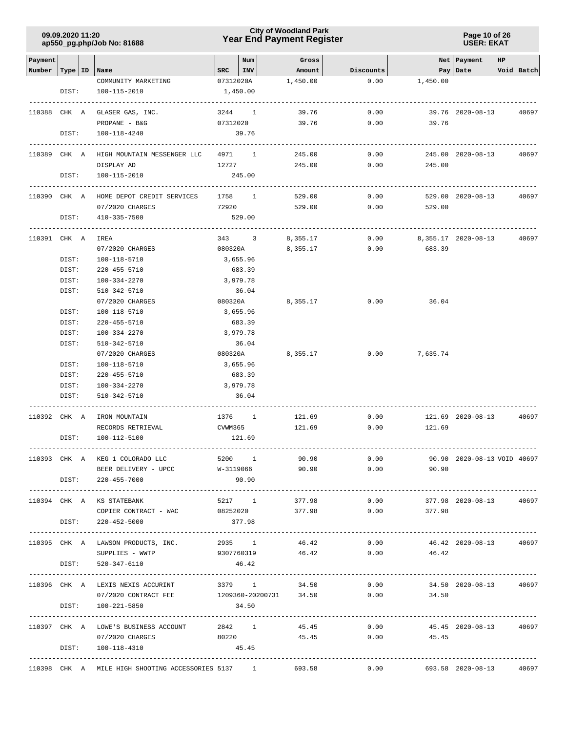### **Year End Payment Register City of Woodland Park 09.09.2020 11:20**

**Page 10 of 26 USER: EKAT**

| Payment |              |                                                           | Num                   | Gross              |           |                             | Net   Payment<br>HP         |            |
|---------|--------------|-----------------------------------------------------------|-----------------------|--------------------|-----------|-----------------------------|-----------------------------|------------|
| Number  |              | Type   ID   Name                                          | $SRC$   INV           | Amount<br>1,450.00 | Discounts | Pay   Date                  |                             | Void Batch |
|         | DIST:        | COMMUNITY MARKETING<br>100-115-2010                       | 07312020A<br>1,450.00 |                    | 0.00      | 1,450.00                    |                             |            |
|         |              |                                                           |                       |                    |           |                             |                             |            |
|         | 110388 CHK A | GLASER GAS, INC.                                          | 3244 1                | 39.76              | 0.00      |                             | 39.76 2020-08-13            | 40697      |
|         |              | PROPANE - B&G                                             | 07312020              | 39.76              | 0.00      | 39.76                       |                             |            |
|         | DIST:        | 100-118-4240                                              | 39.76                 |                    |           |                             |                             |            |
|         |              |                                                           |                       |                    |           |                             |                             |            |
|         |              | 110389 CHK A HIGH MOUNTAIN MESSENGER LLC 4971 1           |                       | 245.00             | 0.00      |                             | 245.00 2020-08-13           | 40697      |
|         |              | DISPLAY AD                                                | 12727                 | 245.00             | 0.00      | 245.00                      |                             |            |
|         | DIST:        | 100-115-2010                                              | 245.00                |                    |           |                             |                             |            |
|         | 110390 CHK A | HOME DEPOT CREDIT SERVICES                                | 1758 1                | 529.00             | 0.00      |                             | 529.00 2020-08-13           | 40697      |
|         |              | 07/2020 CHARGES                                           | 72920 20              | 529.00             |           | 0.00<br>529.00              |                             |            |
|         | DIST:        | 410-335-7500                                              | 529.00                |                    |           |                             |                             |            |
|         |              |                                                           |                       |                    |           |                             |                             |            |
|         | 110391 CHK A | IREA                                                      | 343 3                 | 8,355.17           | 0.00      |                             | 8,355.17 2020-08-13         | 40697      |
|         |              | 07/2020 CHARGES                                           | 080320A               | 8,355.17           | 0.00      | 683.39                      |                             |            |
|         | DIST:        | 100-118-5710                                              | 3,655.96              |                    |           |                             |                             |            |
|         | DIST:        | 220-455-5710                                              | 683.39                |                    |           |                             |                             |            |
|         | DIST:        | 100-334-2270                                              | 3,979.78              |                    |           |                             |                             |            |
|         | DIST:        | 510-342-5710                                              | 36.04                 |                    |           |                             |                             |            |
|         |              | 07/2020 CHARGES                                           | 080320A               | 8,355.17           | 0.00      | 36.04                       |                             |            |
|         | DIST:        | 100-118-5710                                              | 3,655.96              |                    |           |                             |                             |            |
|         | DIST:        | 220-455-5710                                              | 683.39                |                    |           |                             |                             |            |
|         | DIST:        | 100-334-2270                                              | 3,979.78              |                    |           |                             |                             |            |
|         | DIST:        | 510-342-5710                                              | 36.04                 |                    |           |                             |                             |            |
|         |              | 07/2020 CHARGES                                           | 080320A               | 8,355.17           | 0.00      | 7,635.74                    |                             |            |
|         | DIST:        | 100-118-5710                                              | 3,655.96              |                    |           |                             |                             |            |
|         | DIST:        | 220-455-5710                                              | 683.39                |                    |           |                             |                             |            |
|         | DIST:        | 100-334-2270                                              | 3,979.78              |                    |           |                             |                             |            |
|         | DIST:        | 510-342-5710                                              | 36.04                 |                    |           |                             |                             |            |
|         |              |                                                           |                       |                    |           |                             |                             |            |
|         | 110392 CHK A | IRON MOUNTAIN                                             | 1376 1                | 121.69             | 0.00      |                             | 121.69 2020-08-13           | 40697      |
|         |              | RECORDS RETRIEVAL                                         | CVWM365               | 121.69             | 0.00      | 121.69                      |                             |            |
|         | DIST:        | 100-112-5100                                              | 121.69                |                    |           |                             |                             |            |
|         |              | 110393 CHK A KEG 1 COLORADO LLC                           | 5200 1                | 90.90              | 0.00      |                             | 90.90 2020-08-13 VOID 40697 |            |
|         |              | BEER DELIVERY - UPCC                                      | W-3119066             | 90.90              | 0.00      | 90.90                       |                             |            |
|         |              | DIST: 220-455-7000                                        | 90.90                 |                    |           |                             |                             |            |
|         |              |                                                           |                       |                    |           |                             |                             |            |
|         |              | 110394 CHK A KS STATEBANK                                 | 5217 1                | 377.98             | 0.00      |                             | 377.98 2020-08-13           | 40697      |
|         |              | COPIER CONTRACT - WAC 08252020 377.98                     |                       |                    |           | $0.00$ 377.98               |                             |            |
|         |              | DIST: 220-452-5000                                        | 377.98                |                    |           |                             |                             |            |
|         |              | 110395 CHK A LAWSON PRODUCTS, INC.                        | 2935 1                | 46.42              | 0.00      |                             | 46.42 2020-08-13            | 40697      |
|         |              | SUPPLIES - WWTP                                           | 9307760319            | 46.42              | 0.00      | 46.42                       |                             |            |
|         | DIST:        | 520-347-6110                                              | 46.42                 |                    |           |                             |                             |            |
|         |              |                                                           |                       |                    |           |                             |                             |            |
|         |              | 110396 CHK A LEXIS NEXIS ACCURINT                         |                       | 3379 1 34.50       |           | $0.00$ $34.50$ $2020-08-13$ |                             | 40697      |
|         |              | 07/2020 CONTRACT FEE 1209360-20200731 34.50 0.00 34.50    |                       |                    |           |                             |                             |            |
|         | DIST:        | 100-221-5850                                              | 34.50                 |                    |           |                             |                             |            |
|         |              |                                                           |                       |                    |           |                             |                             |            |
|         |              | 110397 CHK A LOWE'S BUSINESS ACCOUNT                      | 2842 1                | 45.45              | 0.00      |                             | 45.45 2020-08-13            | 40697      |
|         |              | 07/2020 CHARGES                                           | 80220                 | 45.45              | 0.00      | 45.45                       |                             |            |
|         |              | DIST: 100-118-4310                                        | 45.45                 |                    |           |                             |                             |            |
|         |              | 110398 CHK A MILE HIGH SHOOTING ACCESSORIES 5137 1 693.58 |                       |                    |           | $0.00$ 693.58 2020-08-13    |                             | 40697      |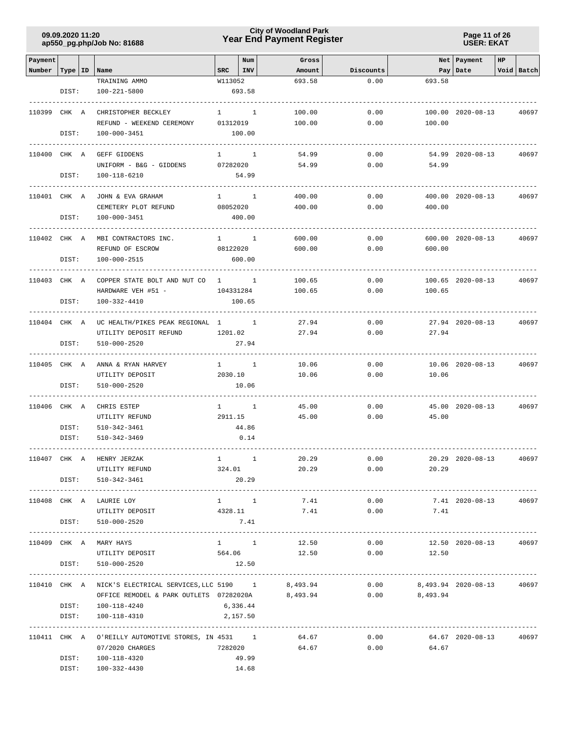### **Year End Payment Register City of Woodland Park 09.09.2020 11:20**

**Page 11 of 26 USER: EKAT**

| Payment      |       |                                                              |                   | Num             | Gross            |              |                         | Net   Payment     | HP            |            |
|--------------|-------|--------------------------------------------------------------|-------------------|-----------------|------------------|--------------|-------------------------|-------------------|---------------|------------|
| Number       |       | Type   ID   Name                                             | $_{\tt SRC}$      | INV             | Amount           | Discounts    |                         | Pay   Date        |               | Void Batch |
|              |       | TRAINING AMMO                                                | W113052           |                 | 693.58           | 0.00         | 693.58                  |                   |               |            |
|              | DIST: | $100 - 221 - 5800$                                           |                   | 693.58          |                  |              |                         |                   |               |            |
| 110399 CHK A |       | CHRISTOPHER BECKLEY                                          | $1 \qquad \qquad$ | $\mathbf{1}$    | 100.00           | 0.00         |                         | 100.00 2020-08-13 |               | 40697      |
|              |       | REFUND - WEEKEND CEREMONY                                    | 01312019          |                 | 100.00           | 0.00         | 100.00                  |                   |               |            |
|              | DIST: | 100-000-3451                                                 |                   | 100.00          |                  |              |                         |                   |               |            |
|              |       |                                                              |                   |                 |                  |              |                         |                   |               |            |
| 110400 CHK A |       | GEFF GIDDENS                                                 |                   | $1 \quad 1$     | 54.99            | 0.00         |                         | 54.99 2020-08-13  |               | 40697      |
|              |       | UNIFORM - B&G - GIDDENS                                      | 07282020          |                 | 54.99            | 0.00         | 54.99                   |                   |               |            |
|              | DIST: | 100-118-6210                                                 |                   | 54.99           |                  |              |                         |                   |               |            |
| 110401 CHK A |       | JOHN & EVA GRAHAM                                            |                   | $1 \quad 1$     | 400.00           | 0.00         |                         | 400.00 2020-08-13 |               | 40697      |
|              |       | CEMETERY PLOT REFUND                                         | 08052020          |                 | 400.00           | 0.00         | 400.00                  |                   |               |            |
|              | DIST: | 100-000-3451                                                 |                   | 400.00          |                  |              |                         |                   |               |            |
|              |       |                                                              |                   |                 |                  |              |                         |                   |               |            |
| 110402 CHK A |       | MBI CONTRACTORS INC.                                         |                   | $1 \quad 1$     | 600.00           | 0.00         |                         | 600.00 2020-08-13 |               | 40697      |
|              |       | REFUND OF ESCROW                                             | 08122020          |                 | 600.00           | 0.00         | 600.00                  |                   |               |            |
|              | DIST: | 100-000-2515                                                 |                   | 600.00          |                  |              |                         |                   |               |            |
|              |       |                                                              |                   |                 |                  |              |                         |                   |               |            |
| 110403 CHK A |       | COPPER STATE BOLT AND NUT CO 1 1<br>HARDWARE VEH #51 -       | 104331284         |                 | 100.65<br>100.65 | 0.00<br>0.00 | 100.65                  | 100.65 2020-08-13 |               | 40697      |
|              | DIST: | 100-332-4410                                                 |                   | 100.65          |                  |              |                         |                   |               |            |
|              |       |                                                              |                   |                 |                  |              |                         |                   |               |            |
| 110404 CHK A |       | UC HEALTH/PIKES PEAK REGIONAL 1 1                            |                   |                 | 27.94            | 0.00         |                         | 27.94 2020-08-13  |               | 40697      |
|              |       | UTILITY DEPOSIT REFUND                                       | 1201.02           |                 | 27.94            | 0.00         | 27.94                   |                   |               |            |
|              | DIST: | 510-000-2520                                                 |                   | 27.94           |                  |              |                         |                   |               |            |
|              |       |                                                              |                   |                 |                  |              |                         |                   |               |            |
| 110405 CHK A |       | ANNA & RYAN HARVEY                                           |                   | $1 \quad 1$     | 10.06            | 0.00         |                         | 10.06 2020-08-13  |               | 40697      |
|              |       | UTILITY DEPOSIT                                              | 2030.10           |                 | 10.06            | 0.00         | 10.06                   |                   |               |            |
|              | DIST: | 510-000-2520                                                 |                   | 10.06           |                  |              |                         |                   |               |            |
| 110406 CHK A |       | CHRIS ESTEP                                                  |                   | $1 \quad 1$     | 45.00            | 0.00         |                         | 45.00 2020-08-13  |               | 40697      |
|              |       | UTILITY REFUND                                               | 2911.15           |                 | 45.00            | 0.00         | 45.00                   |                   |               |            |
|              | DIST: | 510-342-3461                                                 |                   | 44.86           |                  |              |                         |                   |               |            |
|              | DIST: | $510 - 342 - 3469$                                           |                   | 0.14            |                  |              |                         |                   |               |            |
|              |       |                                                              |                   |                 |                  |              |                         |                   |               |            |
| 110407 CHK A |       | HENRY JERZAK                                                 | $\mathbf{1}$      | 1               | 20.29            | 0.00         |                         | 20.29 2020-08-13  |               | 40697      |
|              |       | UTILITY REFUND<br>DIST: 510-342-3461                         |                   | 324.01<br>20.29 | 20.29            | 0.00         | 20.29                   |                   |               |            |
|              |       |                                                              |                   |                 |                  |              |                         |                   |               |            |
|              |       | 110408 CHK A LAURIE LOY                                      |                   | $1 \quad 1$     | 7.41             | 0.00         |                         | 7.41 2020-08-13   |               | 40697      |
|              |       | UTILITY DEPOSIT                                              |                   | 4328.11         | 7.41             | 0.00         | 7.41                    |                   |               |            |
|              | DIST: | 510-000-2520                                                 |                   | 7.41            |                  |              |                         |                   |               |            |
|              |       |                                                              |                   |                 |                  |              |                         |                   |               |            |
|              |       | 110409 CHK A MARY HAYS                                       |                   | $1 \quad 1$     | 12.50            | 0.00         |                         | 12.50 2020-08-13  |               | 40697      |
|              |       | UTILITY DEPOSIT 564.06                                       |                   |                 |                  | 12.50        | $0.00$ 12.50            |                   |               |            |
|              | DIST: | 510-000-2520                                                 |                   | 12.50           |                  |              |                         |                   | ------------- |            |
|              |       | 110410 CHK A NICK'S ELECTRICAL SERVICES, LLC 5190 1 8,493.94 |                   |                 |                  | 0.00         | 8,493.94 2020-08-13     |                   |               | 40697      |
|              |       | OFFICE REMODEL & PARK OUTLETS 07282020A                      |                   |                 | 8,493.94         |              | $0.00$ 8,493.94         |                   |               |            |
|              |       | DIST: 100-118-4240                                           |                   | 6,336.44        |                  |              |                         |                   |               |            |
|              | DIST: | 100-118-4310                                                 |                   | 2,157.50        |                  |              |                         |                   |               |            |
|              |       |                                                              |                   |                 |                  |              |                         |                   |               |            |
|              |       | 110411 CHK A O'REILLY AUTOMOTIVE STORES, IN 4531 1           |                   |                 | 64.67            |              | $0.00$ 64.67 2020-08-13 |                   |               | 40697      |
|              |       | 07/2020 CHARGES                                              |                   | 7282020         | 64.67            |              | $0.00$ 64.67            |                   |               |            |
|              | DIST: | 100-118-4320                                                 |                   | 49.99<br>14.68  |                  |              |                         |                   |               |            |
|              | DIST: | 100-332-4430                                                 |                   |                 |                  |              |                         |                   |               |            |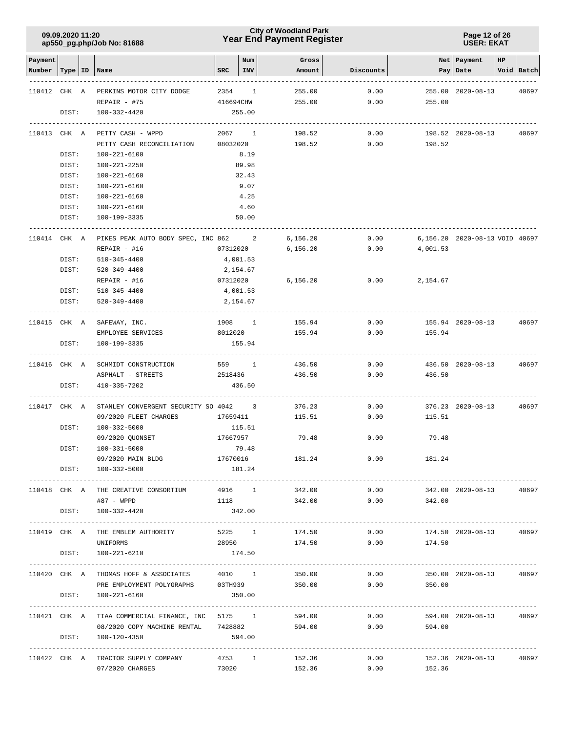| 09.09.2020 11:20           |  |
|----------------------------|--|
| ap550_pg.php/Job No: 81688 |  |

### **Year End Payment Register City of Woodland Park 09.09.2020 11:20**

#### **Page 12 of 26 USER: EKAT**

| Payment<br>Number | Type  | ID | Name                                               | <b>SRC</b> | Num<br>INV   | Gross<br>Amount | Discounts      |                    | Net   Payment<br>Pay   Date    | HP | Void Batch     |
|-------------------|-------|----|----------------------------------------------------|------------|--------------|-----------------|----------------|--------------------|--------------------------------|----|----------------|
|                   |       |    |                                                    |            |              |                 |                |                    |                                |    |                |
| 110412 CHK A      |       |    | PERKINS MOTOR CITY DODGE                           | 2354       | $\mathbf{1}$ | 255.00          | 0.00           |                    | 255.00 2020-08-13              |    | 40697          |
|                   |       |    | $REPAIR - #75$                                     | 416694CHW  |              | 255.00          | 0.00           | 255.00             |                                |    |                |
|                   | DIST: |    | 100-332-4420                                       |            | 255.00       |                 |                |                    |                                |    |                |
| 110413 CHK A      |       |    | PETTY CASH - WPPD                                  | 2067 1     |              | 198.52          | 0.00           |                    | 198.52 2020-08-13              |    | 40697          |
|                   |       |    | PETTY CASH RECONCILIATION 08032020                 |            |              | 198.52          | 0.00           | 198.52             |                                |    |                |
|                   | DIST: |    | 100-221-6100                                       |            | 8.19         |                 |                |                    |                                |    |                |
|                   | DIST: |    | 100-221-2250                                       |            | 89.98        |                 |                |                    |                                |    |                |
|                   | DIST: |    | 100-221-6160                                       |            | 32.43        |                 |                |                    |                                |    |                |
|                   | DIST: |    | 100-221-6160                                       |            | 9.07         |                 |                |                    |                                |    |                |
|                   | DIST: |    | 100-221-6160                                       |            | 4.25         |                 |                |                    |                                |    |                |
|                   | DIST: |    | 100-221-6160                                       |            | 4.60         |                 |                |                    |                                |    |                |
|                   | DIST: |    | 100-199-3335                                       |            | 50.00        |                 |                |                    |                                |    |                |
| 110414 CHK A      |       |    | PIKES PEAK AUTO BODY SPEC, INC 862 2               |            |              | 6,156.20        | 0.00           |                    | 6,156.20 2020-08-13 VOID 40697 |    |                |
|                   |       |    | $REPAIR - #16$                                     | 07312020   |              | 6, 156.20       | 0.00           | 4,001.53           |                                |    |                |
|                   | DIST: |    | 510-345-4400                                       | 4,001.53   |              |                 |                |                    |                                |    |                |
|                   | DIST: |    | 520-349-4400                                       |            | 2,154.67     |                 |                |                    |                                |    |                |
|                   |       |    | $REPAIR - #16$                                     | 07312020   |              | 6,156.20        | 0.00           | 2,154.67           |                                |    |                |
|                   | DIST: |    | 510-345-4400                                       | 4,001.53   |              |                 |                |                    |                                |    |                |
|                   | DIST: |    | 520-349-4400                                       |            | 2,154.67     |                 |                |                    |                                |    |                |
| 110415 CHK A      |       |    | SAFEWAY, INC.                                      | 1908 1     |              | 155.94          | 0.00           |                    | 155.94 2020-08-13              |    | 40697          |
|                   |       |    | EMPLOYEE SERVICES                                  | 8012020    |              | 155.94          | 0.00           | 155.94             |                                |    |                |
|                   | DIST: |    | 100-199-3335                                       |            | 155.94       |                 |                |                    |                                |    |                |
|                   |       |    |                                                    |            |              |                 |                |                    |                                |    |                |
| 110416 CHK A      |       |    | SCHMIDT CONSTRUCTION                               | 559 1      |              | 436.50          | 0.00           |                    | 436.50 2020-08-13              |    | 40697          |
|                   |       |    | ASPHALT - STREETS                                  | 2518436    |              | 436.50          | 0.00           | 436.50             |                                |    |                |
|                   | DIST: |    | 410-335-7202                                       |            | 436.50       |                 |                |                    |                                |    |                |
| 110417 CHK A      |       |    | STANLEY CONVERGENT SECURITY SO 4042 3 376.23       |            |              |                 | 0.00           |                    | 376.23 2020-08-13              |    | 40697          |
|                   |       |    | 09/2020 FLEET CHARGES                              |            |              | 17659411 115.51 | 0.00           | 115.51             |                                |    |                |
|                   | DIST: |    | 100-332-5000                                       |            | 115.51       |                 |                |                    |                                |    |                |
|                   |       |    | 09/2020 OUONSET                                    | 17667957   |              | 79.48           | 0.00           | 79.48              |                                |    |                |
|                   | DIST: |    | 100-331-5000                                       |            | 79.48        |                 |                |                    |                                |    |                |
|                   |       |    | 09/2020 MAIN BLDG                                  | 17670016   |              | 181.24          | 0.00           | 181.24             |                                |    |                |
|                   | DIST: |    | 100-332-5000                                       |            | 181.24       |                 |                |                    |                                |    |                |
|                   |       |    | 110418 CHK A THE CREATIVE CONSORTIUM 4916 1 342.00 |            |              |                 |                | 0.00               | 342.00 2020-08-13              |    | 40697          |
|                   |       |    | #87 - WPPD                                         |            |              | 1118            |                | 342.00 0.00 342.00 |                                |    |                |
|                   |       |    | DIST: 100-332-4420                                 | 342.00     |              |                 |                |                    |                                |    |                |
|                   |       |    | 110419 CHK A THE EMBLEM AUTHORITY                  | 5225 1     |              | 174.50          | 0.00           |                    | 174.50 2020-08-13              |    | 40697          |
|                   |       |    | UNIFORMS                                           | 28950      |              | 174.50          | 0.00           | 174.50             |                                |    |                |
|                   | DIST: |    | 100-221-6210                                       |            | 174.50       |                 |                |                    |                                |    |                |
|                   |       |    |                                                    |            |              |                 |                |                    |                                |    |                |
|                   |       |    | 110420 CHK A THOMAS HOFF & ASSOCIATES 4010 1       |            |              | 350.00          | 0.00           |                    | 350.00 2020-08-13              |    | 40697          |
|                   |       |    | PRE EMPLOYMENT POLYGRAPHS 03TH939                  |            |              | 350.00          | 0.00           | 350.00             |                                |    |                |
|                   | DIST: |    | 100-221-6160                                       |            | 350.00       |                 |                |                    |                                |    | -------------- |
|                   |       |    | 110421 CHK A TIAA COMMERCIAL FINANCE, INC 5175 1   |            |              | 594.00          | 0.00           |                    | 594.00 2020-08-13              |    | 40697          |
|                   |       |    | 08/2020 COPY MACHINE RENTAL 7428882                |            |              |                 | 594.00<br>0.00 | 594.00             |                                |    |                |
|                   | DIST: |    | 100-120-4350                                       |            | 594.00       |                 |                |                    |                                |    |                |
|                   |       |    | 110422 CHK A TRACTOR SUPPLY COMPANY                | 4753 1     |              | 152.36          | 0.00           |                    | 152.36 2020-08-13 40697        |    |                |
|                   |       |    | 07/2020 CHARGES                                    | 73020      |              | 152.36          | 0.00           | 152.36             |                                |    |                |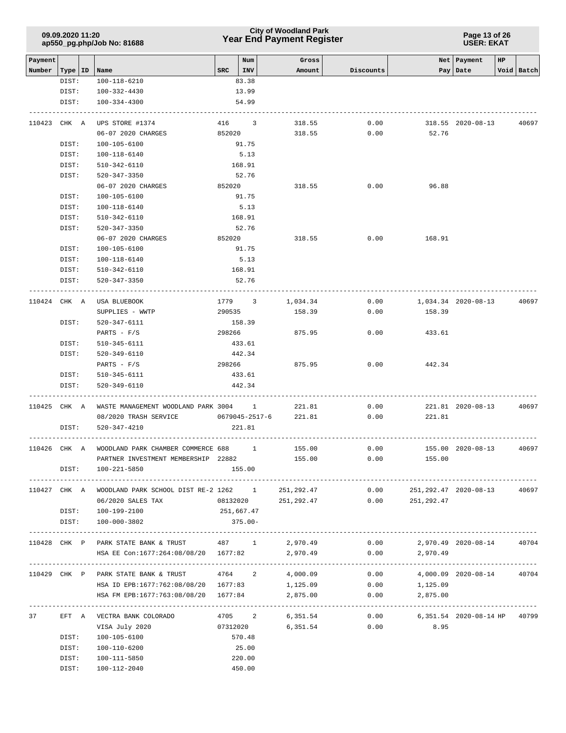|         | 09.09.2020 11:20 | ap550_pg.php/Job No: 81688                          |            |                         | <b>City of Woodland Park</b><br><b>Year End Payment Register</b> |           | Page 13 of 26<br><b>USER: EKAT</b> |                        |            |  |  |  |
|---------|------------------|-----------------------------------------------------|------------|-------------------------|------------------------------------------------------------------|-----------|------------------------------------|------------------------|------------|--|--|--|
| Payment |                  |                                                     |            | Num                     | Gross                                                            |           | Net                                | Payment<br>$_{\rm HP}$ |            |  |  |  |
| Number  | Type   ID        | Name                                                | <b>SRC</b> | INV                     | Amount                                                           | Discounts | Pay                                | Date                   | Void Batch |  |  |  |
|         | DIST:            | 100-118-6210                                        |            | 83.38                   |                                                                  |           |                                    |                        |            |  |  |  |
|         | DIST:            | 100-332-4430                                        |            | 13.99                   |                                                                  |           |                                    |                        |            |  |  |  |
|         | DIST:            | $100 - 334 - 4300$                                  |            | 54.99                   |                                                                  |           |                                    |                        |            |  |  |  |
| 110423  | CHK A            | UPS STORE #1374                                     | 416        | $\overline{\mathbf{3}}$ | 318.55                                                           | 0.00      |                                    | 318.55 2020-08-13      | 40697      |  |  |  |
|         |                  | 06-07 2020 CHARGES                                  | 852020     |                         | 318.55                                                           | 0.00      | 52.76                              |                        |            |  |  |  |
|         | DIST:            | $100 - 105 - 6100$                                  |            | 91.75                   |                                                                  |           |                                    |                        |            |  |  |  |
|         | DIST:            | 100-118-6140                                        |            | 5.13                    |                                                                  |           |                                    |                        |            |  |  |  |
|         | DIST:            | $510 - 342 - 6110$                                  |            | 168.91                  |                                                                  |           |                                    |                        |            |  |  |  |
|         | DIST:            | 520-347-3350                                        |            | 52.76                   |                                                                  |           |                                    |                        |            |  |  |  |
|         |                  | 06-07 2020 CHARGES                                  | 852020     |                         | 318.55                                                           | 0.00      | 96.88                              |                        |            |  |  |  |
|         | DIST:            | 100-105-6100                                        |            | 91.75                   |                                                                  |           |                                    |                        |            |  |  |  |
|         | DIST:            | 100-118-6140                                        |            | 5.13                    |                                                                  |           |                                    |                        |            |  |  |  |
|         | DIST:            | $510 - 342 - 6110$                                  |            | 168.91                  |                                                                  |           |                                    |                        |            |  |  |  |
|         | DIST:            | $520 - 347 - 3350$                                  |            | 52.76                   |                                                                  |           |                                    |                        |            |  |  |  |
|         |                  | 06-07 2020 CHARGES                                  | 852020     |                         | 318.55                                                           | 0.00      | 168.91                             |                        |            |  |  |  |
|         | DIST:            | 100-105-6100                                        |            | 91.75                   |                                                                  |           |                                    |                        |            |  |  |  |
|         | DIST:            | 100-118-6140                                        |            | 5.13                    |                                                                  |           |                                    |                        |            |  |  |  |
|         | DIST:            | 510-342-6110                                        |            | 168.91                  |                                                                  |           |                                    |                        |            |  |  |  |
|         | DIST:            | 520-347-3350                                        |            | 52.76                   |                                                                  |           |                                    |                        |            |  |  |  |
| 110424  | CHK A            | USA BLUEBOOK                                        | 1779       | $\overline{\mathbf{3}}$ | 1,034.34                                                         | 0.00      |                                    | 1,034.34 2020-08-13    | 40697      |  |  |  |
|         |                  | SUPPLIES - WWTP                                     | 290535     |                         | 158.39                                                           | 0.00      | 158.39                             |                        |            |  |  |  |
|         | DIST:            | 520-347-6111                                        |            | 158.39                  |                                                                  |           |                                    |                        |            |  |  |  |
|         |                  | PARTS - $F/S$                                       | 298266     |                         | 875.95                                                           | 0.00      | 433.61                             |                        |            |  |  |  |
|         | DIST:            | 510-345-6111                                        |            | 433.61                  |                                                                  |           |                                    |                        |            |  |  |  |
|         | DIST:            | 520-349-6110                                        |            | 442.34                  |                                                                  |           |                                    |                        |            |  |  |  |
|         |                  | PARTS - $F/S$                                       | 298266     |                         | 875.95                                                           | 0.00      | 442.34                             |                        |            |  |  |  |
|         | DIST:            | 510-345-6111                                        |            | 433.61                  |                                                                  |           |                                    |                        |            |  |  |  |
|         | DIST:            | 520-349-6110                                        |            | 442.34                  |                                                                  |           |                                    |                        |            |  |  |  |
|         |                  |                                                     |            |                         |                                                                  |           |                                    |                        |            |  |  |  |
| 110425  | CHK A            | WASTE MANAGEMENT WOODLAND PARK 3004 1               |            |                         | 221.81                                                           | 0.00      |                                    | 221.81 2020-08-13      | 40697      |  |  |  |
|         |                  | 08/2020 TRASH SERVICE                               |            | $0679045 - 2517 - 6$    | 221.81                                                           | 0.00      | 221.81                             |                        |            |  |  |  |
|         | DIST:            | 520-347-4210                                        |            | 221.81                  |                                                                  |           |                                    |                        |            |  |  |  |
|         |                  | 110426 CHK A WOODLAND PARK CHAMBER COMMERCE 688 1   |            |                         | 155.00                                                           | 0.00      |                                    | 155.00 2020-08-13      | 40697      |  |  |  |
|         |                  | PARTNER INVESTMENT MEMBERSHIP 22882                 |            |                         | 155.00                                                           | 0.00      | 155.00                             |                        |            |  |  |  |
|         | DIST:            | 100-221-5850                                        |            | 155.00                  |                                                                  |           |                                    |                        |            |  |  |  |
|         |                  |                                                     |            |                         |                                                                  |           |                                    |                        |            |  |  |  |
|         |                  | 110427 CHK A WOODLAND PARK SCHOOL DIST RE-2 1262 1  |            |                         | 251,292.47                                                       | 0.00      |                                    | 251,292.47 2020-08-13  | 40697      |  |  |  |
|         |                  | 06/2020 SALES TAX                                   |            | 08132020                | 251,292.47                                                       |           | $0.00$ 251,292.47                  |                        |            |  |  |  |
|         |                  | DIST: 100-199-2100                                  |            | 251,667.47              |                                                                  |           |                                    |                        |            |  |  |  |
|         |                  | DIST: 100-000-3802                                  |            | $375.00 -$              |                                                                  |           |                                    |                        |            |  |  |  |
|         |                  | 110428 CHK P PARK STATE BANK & TRUST 487 1 2,970.49 |            |                         |                                                                  | 0.00      |                                    | 2,970.49 2020-08-14    | 40704      |  |  |  |
|         |                  | HSA EE Con:1677:264:08/08/20  1677:82  2,970.49     |            |                         |                                                                  |           | $0.00$ 2,970.49                    |                        |            |  |  |  |
|         |                  |                                                     |            |                         |                                                                  |           |                                    |                        |            |  |  |  |
|         |                  | 110429 CHK P PARK STATE BANK & TRUST                |            | 4764 2                  | 4,000.09                                                         | 0.00      |                                    | 4,000.09 2020-08-14    | 40704      |  |  |  |
|         |                  | HSA ID EPB:1677:762:08/08/20 1677:83                |            |                         | 1,125.09                                                         | 0.00      | 1,125.09                           |                        |            |  |  |  |
|         |                  | HSA FM EPB:1677:763:08/08/20 1677:84                |            |                         | 2,875.00                                                         | 0.00      | 2,875.00                           |                        |            |  |  |  |
| 37      |                  | EFT A VECTRA BANK COLORADO                          |            | 4705 2                  | 6,351.54                                                         |           | $0.00$ 6,351.54 2020-08-14 HP      |                        | 40799      |  |  |  |
|         |                  | VISA July 2020                                      |            | 07312020                | 6,351.54                                                         |           | $0.00$ 8.95                        |                        |            |  |  |  |
|         | DIST:            | 100-105-6100                                        |            | 570.48                  |                                                                  |           |                                    |                        |            |  |  |  |
|         |                  | DIST: 100-110-6200                                  |            | 25.00                   |                                                                  |           |                                    |                        |            |  |  |  |
|         |                  | DIST: 100-111-5850                                  |            | 220.00                  |                                                                  |           |                                    |                        |            |  |  |  |
|         |                  | DIST: 100-112-2040                                  |            | 450.00                  |                                                                  |           |                                    |                        |            |  |  |  |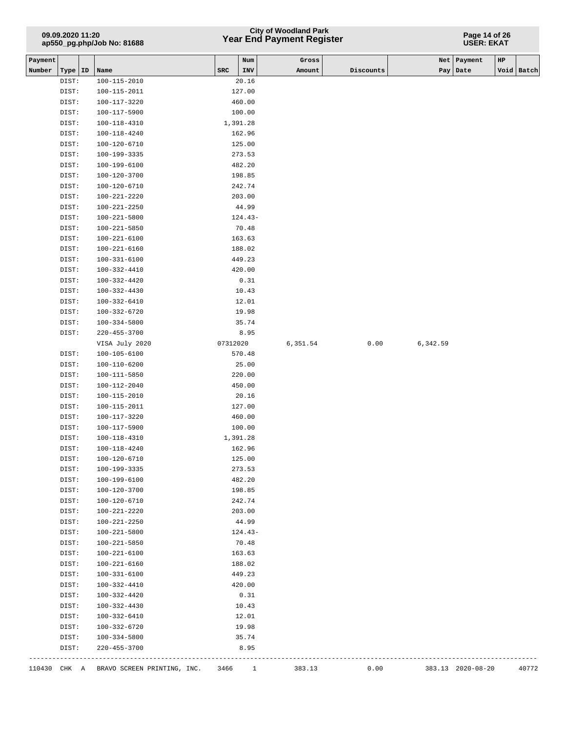## **Year End Payment Register City of Woodland Park 09.09.2020 11:20**

#### **Page 14 of 26 USER: EKAT**

| Payment |                |    |                                                        |          | Num              | Gross    |           |          | Net   Payment     | $_{\rm HP}$ |            |
|---------|----------------|----|--------------------------------------------------------|----------|------------------|----------|-----------|----------|-------------------|-------------|------------|
| Number  | Type           | ID | Name                                                   | SRC      | INV              | Amount   | Discounts |          | Pay   Date        |             | Void Batch |
|         | DIST:          |    | $100 - 115 - 2010$                                     |          | 20.16            |          |           |          |                   |             |            |
|         | DIST:          |    | 100-115-2011                                           |          | 127.00           |          |           |          |                   |             |            |
|         | DIST:          |    | 100-117-3220                                           |          | 460.00           |          |           |          |                   |             |            |
|         | DIST:          |    | 100-117-5900                                           |          | 100.00           |          |           |          |                   |             |            |
|         | DIST:          |    | 100-118-4310                                           |          | 1,391.28         |          |           |          |                   |             |            |
|         | DIST:          |    | 100-118-4240                                           |          | 162.96           |          |           |          |                   |             |            |
|         | DIST:          |    | 100-120-6710                                           |          | 125.00           |          |           |          |                   |             |            |
|         | DIST:          |    | 100-199-3335                                           |          | 273.53           |          |           |          |                   |             |            |
|         | DIST:          |    | 100-199-6100                                           |          | 482.20           |          |           |          |                   |             |            |
|         | DIST:          |    | 100-120-3700                                           |          | 198.85           |          |           |          |                   |             |            |
|         | DIST:          |    | 100-120-6710                                           |          | 242.74           |          |           |          |                   |             |            |
|         | DIST:          |    | 100-221-2220                                           |          | 203.00           |          |           |          |                   |             |            |
|         | DIST:          |    | 100-221-2250                                           |          | 44.99            |          |           |          |                   |             |            |
|         | DIST:          |    | 100-221-5800                                           |          | $124.43-$        |          |           |          |                   |             |            |
|         | DIST:          |    | 100-221-5850                                           |          | 70.48            |          |           |          |                   |             |            |
|         | DIST:          |    | 100-221-6100                                           |          | 163.63           |          |           |          |                   |             |            |
|         | DIST:          |    | 100-221-6160                                           |          | 188.02           |          |           |          |                   |             |            |
|         | DIST:          |    | $100 - 331 - 6100$                                     |          | 449.23           |          |           |          |                   |             |            |
|         | DIST:          |    | 100-332-4410                                           |          | 420.00           |          |           |          |                   |             |            |
|         | DIST:          |    | 100-332-4420                                           |          | 0.31             |          |           |          |                   |             |            |
|         | DIST:          |    | 100-332-4430                                           |          | 10.43            |          |           |          |                   |             |            |
|         | DIST:          |    | $100 - 332 - 6410$                                     |          | 12.01            |          |           |          |                   |             |            |
|         | DIST:          |    | 100-332-6720                                           |          | 19.98            |          |           |          |                   |             |            |
|         | DIST:          |    | 100-334-5800                                           |          | 35.74            |          |           |          |                   |             |            |
|         | DIST:          |    | $220 - 455 - 3700$                                     |          | 8.95             |          |           |          |                   |             |            |
|         |                |    | VISA July 2020                                         | 07312020 |                  | 6,351.54 | 0.00      | 6,342.59 |                   |             |            |
|         | DIST:          |    | 100-105-6100                                           |          | 570.48           |          |           |          |                   |             |            |
|         | DIST:          |    | 100-110-6200                                           |          | 25.00            |          |           |          |                   |             |            |
|         | DIST:          |    | 100-111-5850                                           |          | 220.00           |          |           |          |                   |             |            |
|         | DIST:          |    | 100-112-2040                                           |          | 450.00           |          |           |          |                   |             |            |
|         | DIST:          |    | 100-115-2010                                           |          | 20.16            |          |           |          |                   |             |            |
|         | DIST:          |    | 100-115-2011                                           |          | 127.00           |          |           |          |                   |             |            |
|         | DIST:          |    | 100-117-3220                                           |          | 460.00           |          |           |          |                   |             |            |
|         | DIST:          |    | 100-117-5900                                           |          | 100.00           |          |           |          |                   |             |            |
|         | DIST:          |    | 100-118-4310                                           |          | 1,391.28         |          |           |          |                   |             |            |
|         | DIST:<br>DIST: |    | 100-118-4240<br>100-120-6710                           |          | 162.96<br>125.00 |          |           |          |                   |             |            |
|         |                |    |                                                        |          | 273.53           |          |           |          |                   |             |            |
|         | DIST:          |    | 100-199-3335<br>100-199-6100                           |          |                  |          |           |          |                   |             |            |
|         | DIST:<br>DIST: |    | $100 - 120 - 3700$                                     |          | 482.20<br>198.85 |          |           |          |                   |             |            |
|         | DIST:          |    | 100-120-6710                                           |          | 242.74           |          |           |          |                   |             |            |
|         | DIST:          |    | 100-221-2220                                           |          | 203.00           |          |           |          |                   |             |            |
|         | DIST:          |    | 100-221-2250                                           |          | 44.99            |          |           |          |                   |             |            |
|         | DIST:          |    | 100-221-5800                                           |          | 124.43-          |          |           |          |                   |             |            |
|         | DIST:          |    | 100-221-5850                                           |          | 70.48            |          |           |          |                   |             |            |
|         | DIST:          |    | 100-221-6100                                           |          | 163.63           |          |           |          |                   |             |            |
|         | DIST:          |    | 100-221-6160                                           |          | 188.02           |          |           |          |                   |             |            |
|         | DIST:          |    | 100-331-6100                                           |          | 449.23           |          |           |          |                   |             |            |
|         | DIST:          |    | 100-332-4410                                           |          | 420.00           |          |           |          |                   |             |            |
|         | DIST:          |    | 100-332-4420                                           |          | 0.31             |          |           |          |                   |             |            |
|         | DIST:          |    | 100-332-4430                                           |          | 10.43            |          |           |          |                   |             |            |
|         | DIST:          |    | 100-332-6410                                           |          | 12.01            |          |           |          |                   |             |            |
|         | DIST:          |    | 100-332-6720                                           |          | 19.98            |          |           |          |                   |             |            |
|         | DIST:          |    | 100-334-5800                                           |          | 35.74            |          |           |          |                   |             |            |
|         | DIST:          |    | $220 - 455 - 3700$                                     |          | 8.95             |          |           |          |                   |             |            |
|         |                |    |                                                        |          |                  |          |           |          |                   |             |            |
|         |                |    | 110430 CHK A BRAVO SCREEN PRINTING, INC. 3466 1 383.13 |          |                  |          | 0.00      |          | 383.13 2020-08-20 |             | 40772      |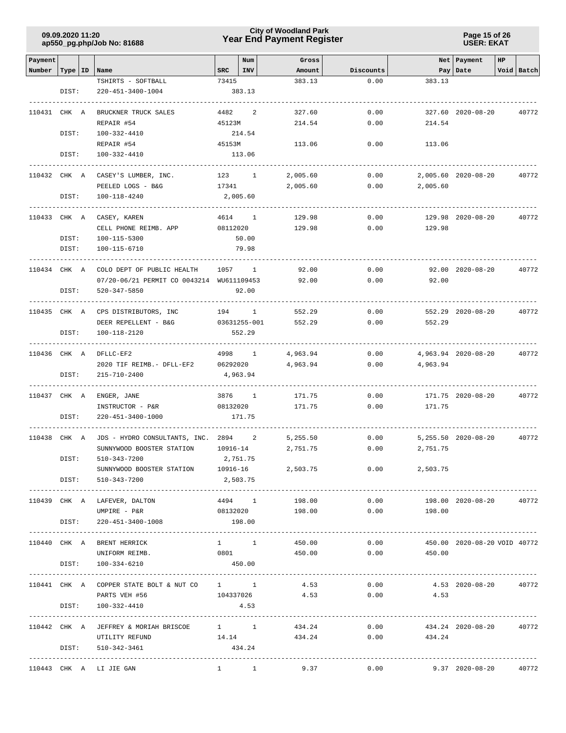### **Year End Payment Register City of Woodland Park 09.09.2020 11:20**

**Page 15 of 26 USER: EKAT**

| Payment                   |       |                                                           |          | Num          | Gross                |                                                             |                  | Net Payment<br>HP            |            |
|---------------------------|-------|-----------------------------------------------------------|----------|--------------|----------------------|-------------------------------------------------------------|------------------|------------------------------|------------|
| Number   Type   ID   Name |       |                                                           | SRC      | INV          | Amount               | Discounts                                                   |                  | Pay   Date                   | Void Batch |
|                           |       | TSHIRTS - SOFTBALL                                        | 73415    |              | 383.13               | 0.00                                                        | 383.13           |                              |            |
|                           | DIST: | 220-451-3400-1004                                         |          | 383.13       |                      |                                                             |                  |                              |            |
| 110431 CHK A              |       | BRUCKNER TRUCK SALES                                      | 4482     | 2            | 327.60               | 0.00                                                        |                  | 327.60 2020-08-20            | 40772      |
|                           |       | REPAIR #54                                                | 45123M   |              | 214.54               | 0.00                                                        | 214.54           |                              |            |
|                           | DIST: | 100-332-4410                                              |          | 214.54       |                      |                                                             |                  |                              |            |
|                           |       | REPAIR #54                                                | 45153M   |              | 113.06               | 0.00                                                        | 113.06           |                              |            |
|                           | DIST: | 100-332-4410                                              |          | 113.06       |                      |                                                             |                  |                              |            |
| 110432 CHK A              |       | CASEY'S LUMBER, INC.                                      | 123 1    |              | 2,005.60             | 0.00                                                        |                  | 2,005.60 2020-08-20          | 40772      |
|                           |       | PEELED LOGS - B&G                                         | 17341    |              | 2,005.60             | 0.00                                                        | 2,005.60         |                              |            |
|                           | DIST: | 100-118-4240                                              |          | 2,005.60     |                      |                                                             |                  |                              |            |
|                           |       | -----------                                               |          |              |                      |                                                             |                  |                              |            |
| 110433 CHK A              |       | CASEY, KAREN                                              |          | 4614 1       | 129.98               | 0.00                                                        |                  | 129.98 2020-08-20            | 40772      |
|                           |       | CELL PHONE REIMB. APP                                     | 08112020 |              | 129.98               | 0.00                                                        | 129.98           |                              |            |
|                           | DIST: | 100-115-5300                                              |          | 50.00        |                      |                                                             |                  |                              |            |
|                           | DIST: | 100-115-6710                                              |          | 79.98        |                      |                                                             |                  |                              |            |
| 110434 CHK A              |       | COLO DEPT OF PUBLIC HEALTH                                |          | 1057 1       | 92.00                | 0.00                                                        |                  | 92.00 2020-08-20             | 40772      |
|                           |       | 07/20-06/21 PERMIT CO 0043214 WU611109453                 |          |              | 92.00                | 0.00                                                        | 92.00            |                              |            |
|                           | DIST: | 520-347-5850                                              |          | 92.00        |                      |                                                             |                  |                              |            |
|                           |       | ---------------<br>110435 CHK A CPS DISTRIBUTORS, INC     |          | 194 1        | 552.29               | 0.00                                                        |                  | 552.29 2020-08-20            | 40772      |
|                           |       | DEER REPELLENT - B&G                                      |          | 03631255-001 | 552.29               | 0.00                                                        | 552.29           |                              |            |
|                           | DIST: | 100-118-2120                                              |          | 552.29       |                      |                                                             |                  |                              |            |
|                           |       |                                                           |          |              |                      |                                                             |                  |                              |            |
| 110436 CHK A              |       | DFLLC-EF2<br>2020 TIF REIMB.- DFLL-EF2 06292020           |          | 4998 1       | 4,963.94<br>4,963.94 | 0.00<br>0.00                                                | 4,963.94         | 4,963.94 2020-08-20          | 40772      |
|                           | DIST: | 215-710-2400                                              | 4,963.94 |              |                      |                                                             |                  |                              |            |
|                           |       |                                                           |          |              |                      |                                                             |                  |                              |            |
| 110437 CHK A              |       | ENGER, JANE                                               |          | 3876 1       | 171.75               | 0.00                                                        |                  | 171.75 2020-08-20            | 40772      |
|                           |       | INSTRUCTOR - P&R                                          | 08132020 |              | 171.75               | 0.00                                                        | 171.75           |                              |            |
|                           | DIST: | 220-451-3400-1000                                         |          | 171.75       |                      |                                                             |                  |                              |            |
| 110438 CHK A              |       | JDS - HYDRO CONSULTANTS, INC. 2894 2                      |          |              | 5,255.50             | 0.00                                                        |                  | 5, 255.50 2020-08-20         | 40772      |
|                           |       | SUNNYWOOD BOOSTER STATION                                 | 10916-14 |              | 2,751.75             | 0.00                                                        | 2,751.75         |                              |            |
|                           | DIST: | 510-343-7200                                              |          | 2,751.75     |                      |                                                             |                  |                              |            |
|                           |       | SUNNYWOOD BOOSTER STATION 10916-16                        |          |              | 2,503.75             |                                                             | 0.00<br>2,503.75 |                              |            |
|                           | DIST: | 510-343-7200                                              | 2,503.75 |              |                      |                                                             |                  |                              |            |
|                           |       | 110439 CHK A LAFEVER, DALTON                              |          | 4494 1       | 198.00               | 0.00                                                        |                  | 198.00 2020-08-20            | 40772      |
|                           |       | UMPIRE - P&R                                              |          | 08132020     | 198.00               |                                                             | 0.00<br>198.00   |                              |            |
|                           | DIST: | 220-451-3400-1008                                         |          | 198.00       |                      |                                                             |                  |                              |            |
|                           |       | 110440 CHK A BRENT HERRICK                                |          |              |                      | $1 \qquad \qquad 1 \qquad \qquad 450.00 \qquad \qquad 0.00$ |                  | 450.00 2020-08-20 VOID 40772 |            |
|                           |       |                                                           |          |              |                      |                                                             |                  |                              |            |
|                           |       | DIST: 100-334-6210                                        | 450.00   |              |                      |                                                             |                  |                              |            |
|                           |       |                                                           |          |              |                      |                                                             |                  |                              |            |
|                           |       | 110441 CHK A COPPER STATE BOLT & NUT CO 1 1               |          |              | 4.53                 | 0.00                                                        |                  | 4.53 2020-08-20 40772        |            |
|                           |       | PARTS VEH #56                                             |          | 104337026    |                      | 4.53 0.00                                                   | 4.53             |                              |            |
|                           |       | DIST: 100-332-4410                                        |          | 4.53         |                      |                                                             |                  |                              |            |
|                           |       | $110442$ CHK A JEFFREY & MORIAH BRISCOE $1$ 1 434.24 0.00 |          |              |                      |                                                             |                  | 434.24 2020-08-20            | 40772      |
|                           |       | UTILITY REFUND 14.14 434.24 0.00 434.24                   |          |              |                      |                                                             |                  |                              |            |
|                           |       | DIST: 510-342-3461                                        | 434.24   |              |                      |                                                             |                  |                              |            |
|                           |       | 110443 CHK A LIJIE GAN                                    |          | $1 \quad 1$  | 9.37                 | 0.00                                                        |                  | $9.37$ $2020 - 08 - 20$      | 40772      |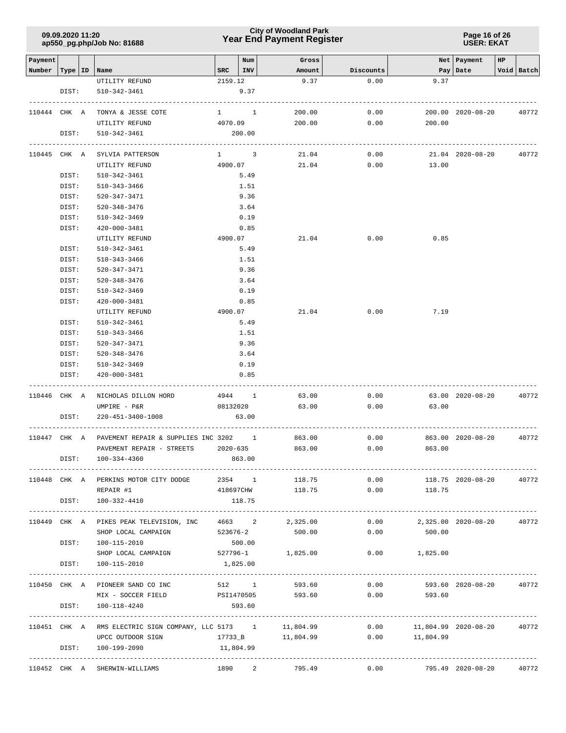### **Year End Payment Register City of Woodland Park 09.09.2020 11:20**

**Page 16 of 26 USER: EKAT**

| Payment<br>Number | Type   ID   Name |                                                         | $SRC$   INV         | Num  | Gross<br>Amount   | Discounts |                                   | Net   Payment     | HP | Void Batch |
|-------------------|------------------|---------------------------------------------------------|---------------------|------|-------------------|-----------|-----------------------------------|-------------------|----|------------|
|                   |                  | UTILITY REFUND                                          | 2159.12             |      | 9.37              | 0.00      | 9.37                              | Pay   Date        |    |            |
|                   | DIST:            | 510-342-3461                                            |                     | 9.37 |                   |           |                                   |                   |    |            |
|                   |                  |                                                         |                     |      |                   |           |                                   |                   |    |            |
| 110444 CHK A      |                  | TONYA & JESSE COTE                                      | $1 \quad 1$         |      | 200.00            | 0.00      |                                   | 200.00 2020-08-20 |    | 40772      |
|                   |                  | UTILITY REFUND                                          | 4070.09             |      | 200.00            | 0.00      | 200.00                            |                   |    |            |
|                   | DIST:            | 510-342-3461                                            | 200.00              |      |                   |           |                                   |                   |    |            |
|                   |                  |                                                         |                     |      |                   |           |                                   |                   |    |            |
| 110445 CHK A      |                  | SYLVIA PATTERSON                                        | $1 \qquad \qquad 3$ |      | 21.04             | 0.00      |                                   | 21.04 2020-08-20  |    | 40772      |
|                   |                  | UTILITY REFUND                                          | 4900.07             |      | 21.04             | 0.00      | 13.00                             |                   |    |            |
|                   | DIST:            | 510-342-3461                                            | 5.49                |      |                   |           |                                   |                   |    |            |
|                   | DIST:            | 510-343-3466                                            | 1.51                |      |                   |           |                                   |                   |    |            |
|                   | DIST:            | 520-347-3471                                            | 9.36                |      |                   |           |                                   |                   |    |            |
|                   | DIST:            | 520-348-3476                                            | 3.64                |      |                   |           |                                   |                   |    |            |
|                   | DIST:            | 510-342-3469                                            | 0.19                |      |                   |           |                                   |                   |    |            |
|                   | DIST:            | 420-000-3481                                            |                     | 0.85 |                   |           |                                   |                   |    |            |
|                   |                  | UTILITY REFUND                                          | 4900.07             |      | 21.04             | 0.00      | 0.85                              |                   |    |            |
|                   | DIST:            | 510-342-3461                                            |                     | 5.49 |                   |           |                                   |                   |    |            |
|                   | DIST:            | 510-343-3466                                            | 1.51                |      |                   |           |                                   |                   |    |            |
|                   | DIST:            | 520-347-3471                                            |                     | 9.36 |                   |           |                                   |                   |    |            |
|                   | DIST:            | 520-348-3476                                            | 3.64                |      |                   |           |                                   |                   |    |            |
|                   | DIST:            | 510-342-3469                                            | 0.19                |      |                   |           |                                   |                   |    |            |
|                   | DIST:            | 420-000-3481                                            |                     | 0.85 |                   |           |                                   |                   |    |            |
|                   |                  | UTILITY REFUND                                          | 4900.07             |      | 21.04             | 0.00      | 7.19                              |                   |    |            |
|                   | DIST:            | 510-342-3461                                            |                     | 5.49 |                   |           |                                   |                   |    |            |
|                   | DIST:            | 510-343-3466                                            |                     | 1.51 |                   |           |                                   |                   |    |            |
|                   | DIST:            | 520-347-3471                                            |                     | 9.36 |                   |           |                                   |                   |    |            |
|                   | DIST:            | 520-348-3476                                            |                     | 3.64 |                   |           |                                   |                   |    |            |
|                   | DIST:            | 510-342-3469                                            |                     | 0.19 |                   |           |                                   |                   |    |            |
|                   | DIST:            | 420-000-3481                                            |                     | 0.85 |                   |           |                                   |                   |    |            |
|                   |                  | 110446 CHK A NICHOLAS DILLON HORD                       | 4944 1              |      | 63.00             | 0.00      |                                   | 63.00 2020-08-20  |    | 40772      |
|                   |                  | UMPIRE - P&R                                            | 08132020            |      | 63.00             | 0.00      | 63.00                             |                   |    |            |
|                   | DIST:            | 220-451-3400-1008                                       | 63.00               |      |                   |           |                                   |                   |    |            |
|                   |                  |                                                         |                     |      |                   |           |                                   |                   |    |            |
|                   |                  | 110447 CHK A PAVEMENT REPAIR & SUPPLIES INC 3202 1      |                     |      | 863.00            | 0.00      |                                   | 863.00 2020-08-20 |    | 40772      |
|                   |                  | PAVEMENT REPAIR - STREETS                               | 2020-635            |      | 863.00            | 0.00      | 863.00                            |                   |    |            |
|                   |                  | DIST: 100-334-4360                                      | 863.00              |      |                   |           |                                   |                   |    |            |
|                   |                  |                                                         |                     |      |                   |           |                                   |                   |    |            |
|                   |                  | 110448 CHK A PERKINS MOTOR CITY DODGE 2354 1 118.75     |                     |      |                   |           | 0.00                              | 118.75 2020-08-20 |    | 40772      |
|                   |                  | REPAIR #1                                               |                     |      | 418697CHW 118.75  |           | $0.00$ 118.75                     |                   |    |            |
|                   |                  | DIST: 100-332-4410                                      | 118.75              |      |                   |           |                                   |                   |    |            |
|                   |                  |                                                         |                     |      |                   |           |                                   |                   |    |            |
|                   |                  | 110449 CHK A PIKES PEAK TELEVISION, INC 4663 2 2,325.00 |                     |      |                   |           | $0.00$ 2,325.00 2020-08-20 40772  |                   |    |            |
|                   |                  | SHOP LOCAL CAMPAIGN                                     | 523676-2            |      | 500.00            | 0.00      | 500.00                            |                   |    |            |
|                   |                  | DIST: 100-115-2010                                      | 500.00              |      |                   |           |                                   |                   |    |            |
|                   |                  | SHOP LOCAL CAMPAIGN                                     | 527796-1            |      | 1,825.00          |           | $0.00$ 1,825.00                   |                   |    |            |
|                   | DIST:            | 100-115-2010                                            | 1,825.00            |      |                   |           |                                   |                   |    |            |
|                   |                  | 110450 CHK A PIONEER SAND CO INC                        |                     |      | 512 1 593.60 0.00 |           |                                   | 593.60 2020-08-20 |    | 40772      |
|                   |                  | MIX - SOCCER FIELD PSI1470505 593.60 0.00 593.60        |                     |      |                   |           |                                   |                   |    |            |
|                   | DIST:            | 100-118-4240                                            | 593.60              |      |                   |           |                                   |                   |    |            |
|                   |                  |                                                         |                     |      |                   |           |                                   |                   |    |            |
|                   |                  | 110451 CHK A RMS ELECTRIC SIGN COMPANY, LLC 5173 1      |                     |      | 11,804.99         |           | $0.00$ 11,804.99 2020-08-20 40772 |                   |    |            |
|                   |                  | UPCC OUTDOOR SIGN                                       |                     |      | 17733_B 11,804.99 | 0.00      | 11,804.99                         |                   |    |            |
|                   |                  | DIST: 100-199-2090                                      | 11,804.99           |      |                   |           |                                   |                   |    |            |
|                   |                  |                                                         |                     |      |                   |           |                                   |                   |    |            |
|                   |                  | 110452 CHK A SHERWIN-WILLIAMS                           |                     |      | 1890 2 795.49     |           | $0.00$ $795.49$ $2020-08-20$      |                   |    | 40772      |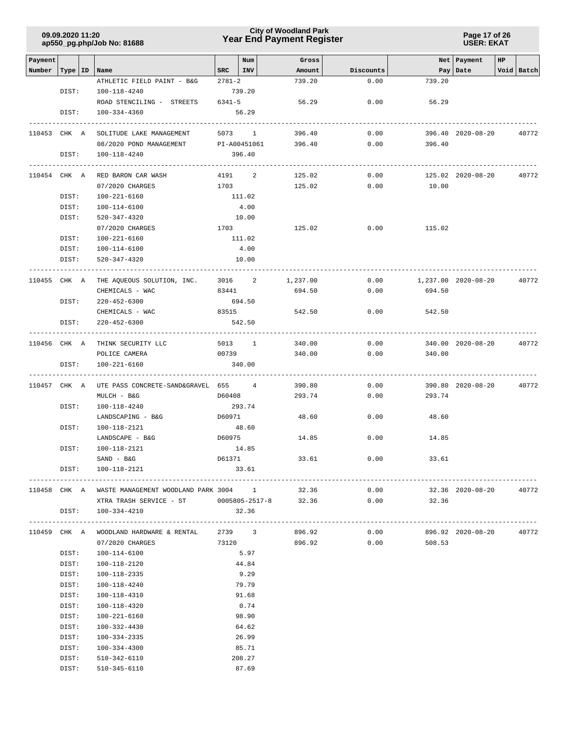### **Year End Payment Register City of Woodland Park 09.09.2020 11:20**

**Page 17 of 26 USER: EKAT**

| Payment |              |                                                       |              | Num                          | Gross    |           |               | Net Payment         | HP |            |
|---------|--------------|-------------------------------------------------------|--------------|------------------------------|----------|-----------|---------------|---------------------|----|------------|
| Number  | Type   ID    | Name                                                  | $_{\rm SRC}$ | INV                          | Amount   | Discounts |               | Pay Date            |    | Void Batch |
|         |              | ATHLETIC FIELD PAINT - B&G                            | $2781 - 2$   |                              | 739.20   | 0.00      | 739.20        |                     |    |            |
|         | DIST:        | 100-118-4240                                          |              | 739.20                       |          |           |               |                     |    |            |
|         |              | ROAD STENCILING - STREETS                             | 6341-5       |                              | 56.29    | 0.00      | 56.29         |                     |    |            |
|         | DIST:        | 100-334-4360                                          |              | 56.29                        |          |           |               |                     |    |            |
|         | 110453 CHK A | ---------------------<br>SOLITUDE LAKE MANAGEMENT     |              | ------------------<br>5073 1 | 396.40   | 0.00      |               | 396.40 2020-08-20   |    | 40772      |
|         |              | 08/2020 POND MANAGEMENT                               |              | PI-A00451061                 | 396.40   | 0.00      | 396.40        |                     |    |            |
|         | DIST:        | 100-118-4240                                          |              | 396.40                       |          |           |               |                     |    |            |
|         |              |                                                       |              |                              |          |           |               |                     |    |            |
|         | 110454 CHK A | RED BARON CAR WASH                                    |              | 4191 2                       | 125.02   | 0.00      |               | 125.02 2020-08-20   |    | 40772      |
|         |              | 07/2020 CHARGES                                       | 1703         |                              | 125.02   | 0.00      | 10.00         |                     |    |            |
|         | DIST:        | 100-221-6160                                          |              | 111.02                       |          |           |               |                     |    |            |
|         | DIST:        | 100-114-6100                                          |              | 4.00                         |          |           |               |                     |    |            |
|         | DIST:        | 520-347-4320                                          |              | 10.00                        |          |           |               |                     |    |            |
|         |              | 07/2020 CHARGES                                       |              | 1703                         | 125.02   | 0.00      | 115.02        |                     |    |            |
|         | DIST:        | 100-221-6160                                          |              | 111.02                       |          |           |               |                     |    |            |
|         | DIST:        | 100-114-6100                                          |              | 4.00                         |          |           |               |                     |    |            |
|         | DIST:        | $520 - 347 - 4320$                                    |              | 10.00                        |          |           |               |                     |    |            |
|         |              | -----------------------------------                   |              |                              |          |           |               |                     |    |            |
|         | 110455 CHK A | THE AQUEOUS SOLUTION, INC. 3016 2                     |              |                              | 1,237.00 | 0.00      |               | 1,237.00 2020-08-20 |    | 40772      |
|         |              | CHEMICALS - WAC                                       | 83441        |                              | 694.50   | 0.00      | 694.50        |                     |    |            |
|         | DIST:        | $220 - 452 - 6300$                                    |              | 694.50                       |          |           |               |                     |    |            |
|         |              | CHEMICALS - WAC                                       | 83515        |                              | 542.50   | 0.00      | 542.50        |                     |    |            |
|         | DIST:        | $220 - 452 - 6300$                                    |              | 542.50                       |          |           |               |                     |    |            |
|         |              |                                                       |              |                              |          |           |               |                     |    |            |
|         | 110456 CHK A | THINK SECURITY LLC                                    |              | 5013 1                       | 340.00   | 0.00      |               | 340.00 2020-08-20   |    | 40772      |
|         |              | POLICE CAMERA                                         | 00739        |                              | 340.00   | 0.00      | 340.00        |                     |    |            |
|         | DIST:        | 100-221-6160                                          |              | 340.00                       |          |           |               |                     |    |            |
|         |              | 110457 CHK A UTE PASS CONCRETE-SAND&GRAVEL 655 4      |              |                              | 390.80   | 0.00      |               | 390.80 2020-08-20   |    | 40772      |
|         |              | MULCH - B&G                                           | D60408       |                              | 293.74   | 0.00      | 293.74        |                     |    |            |
|         | DIST:        | 100-118-4240                                          |              | 293.74                       |          |           |               |                     |    |            |
|         |              | LANDSCAPING - B&G                                     | D60971       |                              | 48.60    | 0.00      | 48.60         |                     |    |            |
|         | DIST:        | 100-118-2121                                          |              | 48.60                        |          |           |               |                     |    |            |
|         |              | LANDSCAPE - B&G                                       |              | D60975                       | 14.85    | 0.00      | 14.85         |                     |    |            |
|         | DIST:        | 100-118-2121                                          |              | 14.85                        |          |           |               |                     |    |            |
|         |              | $SAND - B&G$                                          | D61371       |                              | 33.61    | 0.00      | 33.61         |                     |    |            |
|         | DIST:        | 100-118-2121                                          |              | 33.61                        |          |           |               |                     |    |            |
|         |              |                                                       |              |                              |          |           |               |                     |    |            |
|         |              | 110458 CHK A WASTE MANAGEMENT WOODLAND PARK 3004 1    |              |                              | 32.36    | 0.00      |               | 32.36 2020-08-20    |    | 40772      |
|         |              | XTRA TRASH SERVICE - ST 0005805-2517-8 32.36          |              |                              |          | 0.00      | 32.36         |                     |    |            |
|         | DIST:        | 100-334-4210                                          |              | 32.36                        |          |           |               |                     |    |            |
|         |              |                                                       |              |                              |          |           |               |                     |    |            |
|         |              | 110459 CHK A WOODLAND HARDWARE & RENTAL 2739 3 896.92 |              |                              |          | 0.00      |               | 896.92 2020-08-20   |    | 40772      |
|         |              | 07/2020 CHARGES                                       |              | 73120                        | 896.92   |           | $0.00$ 508.53 |                     |    |            |
|         | DIST:        | 100-114-6100                                          |              | 5.97                         |          |           |               |                     |    |            |
|         | DIST:        | 100-118-2120                                          |              | 44.84                        |          |           |               |                     |    |            |
|         | DIST:        | 100-118-2335                                          |              | 9.29                         |          |           |               |                     |    |            |
|         | DIST:        | 100-118-4240                                          |              | 79.79                        |          |           |               |                     |    |            |
|         | DIST:        | 100-118-4310                                          |              | 91.68                        |          |           |               |                     |    |            |
|         | DIST:        | 100-118-4320                                          |              | 0.74                         |          |           |               |                     |    |            |
|         | DIST:        | 100-221-6160                                          |              | 98.90                        |          |           |               |                     |    |            |
|         | DIST:        | 100-332-4430                                          |              | 64.62                        |          |           |               |                     |    |            |
|         | DIST:        | 100-334-2335                                          |              | 26.99                        |          |           |               |                     |    |            |
|         | DIST:        | 100-334-4300                                          |              | 85.71                        |          |           |               |                     |    |            |
|         | DIST:        | 510-342-6110                                          |              | 208.27                       |          |           |               |                     |    |            |
|         | DIST:        | 510-345-6110                                          |              | 87.69                        |          |           |               |                     |    |            |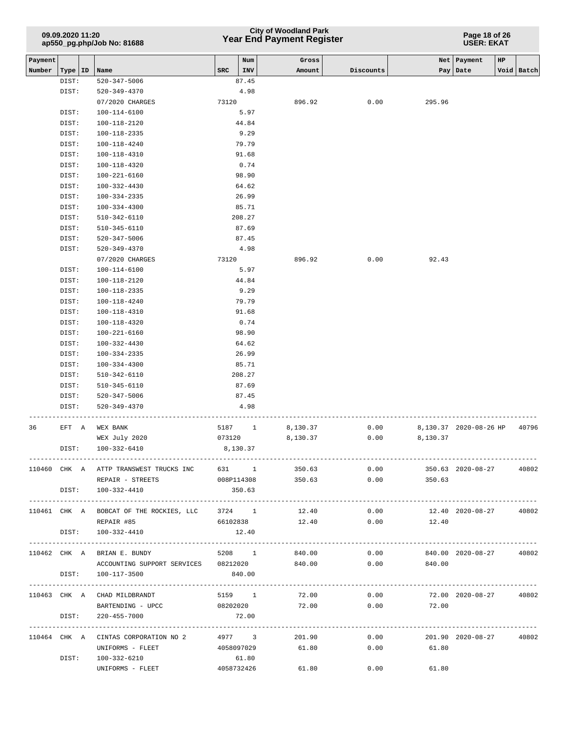# **Year End Payment Register City of Woodland Park 09.09.2020 11:20**

**Page 18 of 26 USER: EKAT**

| Payment<br>Number |                    | Name                                            | SRC        | Num<br>INV | Gross<br>Amount     | Discounts     | Pay            | Net   Payment<br>HP<br>Date | Void Batch |
|-------------------|--------------------|-------------------------------------------------|------------|------------|---------------------|---------------|----------------|-----------------------------|------------|
|                   | Type   ID<br>DIST: | 520-347-5006                                    |            | 87.45      |                     |               |                |                             |            |
|                   | DIST:              | 520-349-4370                                    |            | 4.98       |                     |               |                |                             |            |
|                   |                    | 07/2020 CHARGES                                 | 73120      |            | 896.92              | 0.00          | 295.96         |                             |            |
|                   | DIST:              | $100 - 114 - 6100$                              |            | 5.97       |                     |               |                |                             |            |
|                   | DIST:              | 100-118-2120                                    |            | 44.84      |                     |               |                |                             |            |
|                   | DIST:              | 100-118-2335                                    |            | 9.29       |                     |               |                |                             |            |
|                   | DIST:              | 100-118-4240                                    |            | 79.79      |                     |               |                |                             |            |
|                   | DIST:              | 100-118-4310                                    |            | 91.68      |                     |               |                |                             |            |
|                   | DIST:              | 100-118-4320                                    |            | 0.74       |                     |               |                |                             |            |
|                   | DIST:              | 100-221-6160                                    |            | 98.90      |                     |               |                |                             |            |
|                   | DIST:              | 100-332-4430                                    |            | 64.62      |                     |               |                |                             |            |
|                   | DIST:              | 100-334-2335                                    |            | 26.99      |                     |               |                |                             |            |
|                   | DIST:              | 100-334-4300                                    |            | 85.71      |                     |               |                |                             |            |
|                   | DIST:              | 510-342-6110                                    |            | 208.27     |                     |               |                |                             |            |
|                   | DIST:              | 510-345-6110                                    |            | 87.69      |                     |               |                |                             |            |
|                   | DIST:              | 520-347-5006                                    |            | 87.45      |                     |               |                |                             |            |
|                   | DIST:              | 520-349-4370                                    |            | 4.98       |                     |               |                |                             |            |
|                   |                    | 07/2020 CHARGES                                 | 73120      |            | 896.92              | 0.00          | 92.43          |                             |            |
|                   | DIST:              | 100-114-6100                                    |            | 5.97       |                     |               |                |                             |            |
|                   | DIST:              | 100-118-2120                                    |            | 44.84      |                     |               |                |                             |            |
|                   | DIST:              | 100-118-2335                                    |            | 9.29       |                     |               |                |                             |            |
|                   | DIST:              | 100-118-4240                                    |            | 79.79      |                     |               |                |                             |            |
|                   | DIST:              | 100-118-4310                                    |            | 91.68      |                     |               |                |                             |            |
|                   | DIST:              | 100-118-4320                                    |            | 0.74       |                     |               |                |                             |            |
|                   | DIST:              | 100-221-6160                                    |            | 98.90      |                     |               |                |                             |            |
|                   | DIST:              | 100-332-4430                                    |            | 64.62      |                     |               |                |                             |            |
|                   | DIST:              | $100 - 334 - 2335$                              |            | 26.99      |                     |               |                |                             |            |
|                   | DIST:              | 100-334-4300                                    |            | 85.71      |                     |               |                |                             |            |
|                   | DIST:              | 510-342-6110                                    |            | 208.27     |                     |               |                |                             |            |
|                   | DIST:              | 510-345-6110                                    |            | 87.69      |                     |               |                |                             |            |
|                   | DIST:              | 520-347-5006                                    |            | 87.45      |                     |               |                |                             |            |
|                   | DIST:              | 520-349-4370                                    |            | 4.98       |                     |               |                |                             |            |
| 36                | EFT A              | WEX BANK                                        |            | 5187 1     | 8,130.37            | 0.00          |                | 8,130.37 2020-08-26 HP      | 40796      |
|                   |                    | WEX July 2020                                   | 073120     |            | 8,130.37            | 0.00          | 8,130.37       |                             |            |
|                   | DIST:              | 100-332-6410                                    |            | 8,130.37   |                     |               |                |                             |            |
|                   |                    |                                                 |            |            |                     |               |                |                             |            |
|                   |                    | 110460 CHK A ATTP TRANSWEST TRUCKS INC          |            |            | 631 1 350.63        | 0.00          |                | 350.63 2020-08-27 40802     |            |
|                   |                    | REPAIR - STREETS                                |            |            | 008P114308 350.63   |               | 0.00<br>350.63 |                             |            |
|                   |                    | DIST: 100-332-4410                              | 350.63     |            |                     |               |                |                             |            |
|                   |                    |                                                 |            |            |                     |               |                |                             |            |
|                   |                    | 110461 CHK A BOBCAT OF THE ROCKIES, LLC 3724 1  |            |            | 12.40               | 0.00          |                | 12.40 2020-08-27 40802      |            |
|                   |                    | REPAIR #85                                      | 66102838   |            |                     | 12.40<br>0.00 | 12.40          |                             |            |
|                   | DIST:              | 100-332-4410                                    |            | 12.40      |                     |               |                |                             |            |
|                   |                    | 110462 CHK A BRIAN E. BUNDY                     |            | 5208 1     | 840.00              | 0.00          |                | 840.00 2020-08-27 40802     |            |
|                   |                    | ACCOUNTING SUPPORT SERVICES 08212020            |            |            | 840.00              | 0.00          | 840.00         |                             |            |
|                   |                    | DIST: 100-117-3500                              |            | 840.00     |                     |               |                |                             |            |
|                   |                    |                                                 |            |            |                     |               |                |                             |            |
|                   |                    | 110463 CHK A CHAD MILDBRANDT                    |            | 5159 1     | 72.00               | 0.00          |                | 72.00 2020-08-27            | 40802      |
|                   |                    | BARTENDING - UPCC 08202020 0 72.00 0.00 0 72.00 |            |            |                     |               |                |                             |            |
|                   | DIST:              | 220-455-7000                                    |            | 72.00      |                     |               |                |                             |            |
|                   |                    |                                                 |            |            |                     |               |                | ---------------------       |            |
|                   |                    | 110464 CHK A CINTAS CORPORATION NO 2            | 4977 3     |            | 201.90              | 0.00          |                | 201.90 2020-08-27 40802     |            |
|                   |                    | UNIFORMS - FLEET                                | 4058097029 |            | 61.80               | 0.00          | 61.80          |                             |            |
|                   |                    | DIST: 100-332-6210                              |            | 61.80      |                     |               |                |                             |            |
|                   |                    | UNIFORMS - FLEET                                |            |            | 4058732426<br>61.80 | 0.00          | 61.80          |                             |            |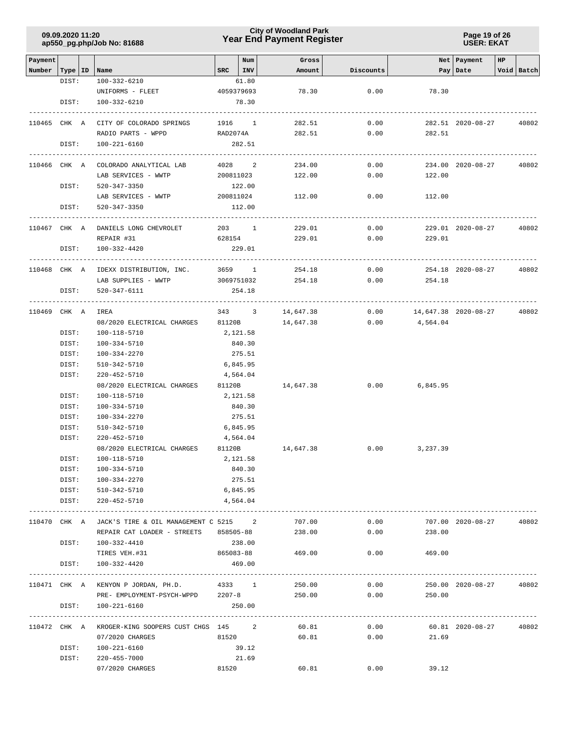### **Year End Payment Register City of Woodland Park 09.09.2020 11:20**

**Page 19 of 26 USER: EKAT**

| Payment |                                    |                                                    | $SRC$   INV          | Num    | Gross<br>Amount  | Discounts          |                             | Net Payment       | HP | Void Batch |
|---------|------------------------------------|----------------------------------------------------|----------------------|--------|------------------|--------------------|-----------------------------|-------------------|----|------------|
|         | Number   Type   ID   Name<br>DIST: | 100-332-6210                                       | 61.80                |        |                  |                    |                             | Pay Date          |    |            |
|         |                                    | UNIFORMS - FLEET                                   | 4059379693           |        | 78.30            | 0.00               | 78.30                       |                   |    |            |
|         | DIST:                              | 100-332-6210                                       |                      | 78.30  |                  |                    |                             |                   |    |            |
|         |                                    | ---------------------------------                  | -------------        |        |                  |                    |                             |                   |    |            |
|         |                                    | 110465 CHK A CITY OF COLORADO SPRINGS              | 1916 1               |        | 282.51           | 0.00               |                             | 282.51 2020-08-27 |    | 40802      |
|         |                                    | RADIO PARTS - WPPD<br>RAD2074A                     |                      |        |                  | 282.51 0.00 282.51 |                             |                   |    |            |
|         |                                    | DIST: 100-221-6160                                 |                      | 282.51 |                  |                    |                             |                   |    |            |
|         |                                    | ----------------------                             |                      |        |                  |                    |                             |                   |    |            |
|         |                                    | 110466 CHK A COLORADO ANALYTICAL LAB               | 4028 2               |        | 234.00           | 0.00               |                             | 234.00 2020-08-27 |    | 40802      |
|         |                                    | LAB SERVICES - WWTP                                | 200811023            |        | 122.00           | 0.00               | 122.00                      |                   |    |            |
|         | DIST:                              | 520-347-3350                                       | 122.00               |        |                  |                    |                             |                   |    |            |
|         |                                    | LAB SERVICES - WWTP                                |                      |        | 200811024 112.00 |                    | 0.00<br>112.00              |                   |    |            |
|         | DIST:                              | 520-347-3350                                       | 112.00               |        |                  |                    |                             |                   |    |            |
|         |                                    | -------------------------------                    |                      |        |                  |                    |                             |                   |    |            |
|         |                                    | 110467 CHK A DANIELS LONG CHEVROLET 203 1          |                      |        | 229.01           | 0.00               |                             | 229.01 2020-08-27 |    | 40802      |
|         |                                    | REPAIR #31                                         | 628154               |        | 229.01           |                    | $0.00$ 229.01               |                   |    |            |
|         | DIST:                              | 100-332-4420                                       | 229.01               |        |                  |                    |                             |                   |    |            |
|         |                                    |                                                    |                      |        |                  |                    |                             |                   |    |            |
|         |                                    | 110468 CHK A IDEXX DISTRIBUTION, INC.              | 3659 1<br>3069751032 |        | 254.18<br>254.18 | 0.00<br>0.00       | 254.18                      | 254.18 2020-08-27 |    | 40802      |
|         | DIST:                              | LAB SUPPLIES - WWTP<br>520-347-6111                | 254.18               |        |                  |                    |                             |                   |    |            |
|         |                                    | -------------------------------                    |                      |        |                  |                    |                             |                   |    |            |
|         | 110469 CHK A                       | IREA                                               |                      |        | 343 3 14,647.38  |                    | $0.00$ 14,647.38 2020-08-27 |                   |    | 40802      |
|         |                                    | 08/2020 ELECTRICAL CHARGES 81120B 14,647.38        |                      |        |                  |                    | $0.00$ 4,564.04             |                   |    |            |
|         | DIST:                              | 100-118-5710                                       | 2,121.58             |        |                  |                    |                             |                   |    |            |
|         | DIST:                              | 100-334-5710                                       | 840.30               |        |                  |                    |                             |                   |    |            |
|         | DIST:                              | 100-334-2270                                       | 275.51               |        |                  |                    |                             |                   |    |            |
|         | DIST:                              | 510-342-5710                                       | 6,845.95             |        |                  |                    |                             |                   |    |            |
|         | DIST:                              | 220-452-5710                                       | 4,564.04             |        |                  |                    |                             |                   |    |            |
|         |                                    | 08/2020 ELECTRICAL CHARGES 81120B                  |                      |        | 14,647.38        |                    | 0.00<br>6,845.95            |                   |    |            |
|         | DIST:                              | 100-118-5710                                       | 2,121.58             |        |                  |                    |                             |                   |    |            |
|         | DIST:                              | 100-334-5710                                       | 840.30               |        |                  |                    |                             |                   |    |            |
|         | DIST:                              | 100-334-2270                                       | 275.51               |        |                  |                    |                             |                   |    |            |
|         | DIST:                              | 510-342-5710                                       | 6,845.95             |        |                  |                    |                             |                   |    |            |
|         | DIST:                              | 220-452-5710                                       | 4,564.04             |        |                  |                    |                             |                   |    |            |
|         |                                    | 08/2020 ELECTRICAL CHARGES                         | 81120B               |        | 14,647.38        | 0.00               | 3,237.39                    |                   |    |            |
|         | DIST:                              | 100-118-5710                                       | 2,121.58             |        |                  |                    |                             |                   |    |            |
|         | DIST:                              | 100-334-5710                                       |                      | 840.30 |                  |                    |                             |                   |    |            |
|         | DIST:                              | 100-334-2270                                       | 275.51               |        |                  |                    |                             |                   |    |            |
|         |                                    | DIST: 510-342-5710                                 | 6,845.95             |        |                  |                    |                             |                   |    |            |
|         | DIST:                              | 220-452-5710                                       | 4,564.04             |        |                  |                    |                             |                   |    |            |
|         |                                    | 110470 CHK A JACK'S TIRE & OIL MANAGEMENT C 5215 2 |                      |        | 707.00           | 0.00               |                             | 707.00 2020-08-27 |    | 40802      |
|         |                                    | REPAIR CAT LOADER - STREETS 858505-88              |                      |        | 238.00           | 0.00               | 238.00                      |                   |    |            |
|         | DIST:                              | 100-332-4410                                       | 238.00               |        |                  |                    |                             |                   |    |            |
|         |                                    | TIRES VEH.#31                                      | 865083-88            |        | 469.00           | 0.00               | 469.00                      |                   |    |            |
|         | DIST:                              | 100-332-4420                                       | 469.00               |        |                  |                    |                             |                   |    |            |
|         |                                    |                                                    |                      |        |                  |                    |                             |                   |    |            |
|         |                                    | 110471 CHK A KENYON P JORDAN, PH.D. 4333 1 250.00  |                      |        |                  | 0.00               |                             | 250.00 2020-08-27 |    | 40802      |
|         |                                    | PRE- EMPLOYMENT-PSYCH-WPPD 2207-8                  |                      |        | 250.00           |                    | 0.00<br>250.00              |                   |    |            |
|         | DIST:                              | 100-221-6160                                       |                      | 250.00 |                  |                    |                             |                   |    |            |
|         |                                    |                                                    |                      |        |                  |                    |                             |                   |    |            |
|         |                                    | 110472 CHK A KROGER-KING SOOPERS CUST CHGS 145 2   |                      |        | 60.81            | 0.00               |                             | 60.81 2020-08-27  |    | 40802      |
|         |                                    | 07/2020 CHARGES                                    | 81520                |        | 60.81            | 0.00               | 21.69                       |                   |    |            |
|         | DIST:                              | 100-221-6160                                       |                      | 39.12  |                  |                    |                             |                   |    |            |
|         | DIST:                              | 220-455-7000                                       |                      | 21.69  |                  |                    |                             |                   |    |            |
|         |                                    | 07/2020 CHARGES                                    | 81520                |        | 60.81            | 0.00               | 39.12                       |                   |    |            |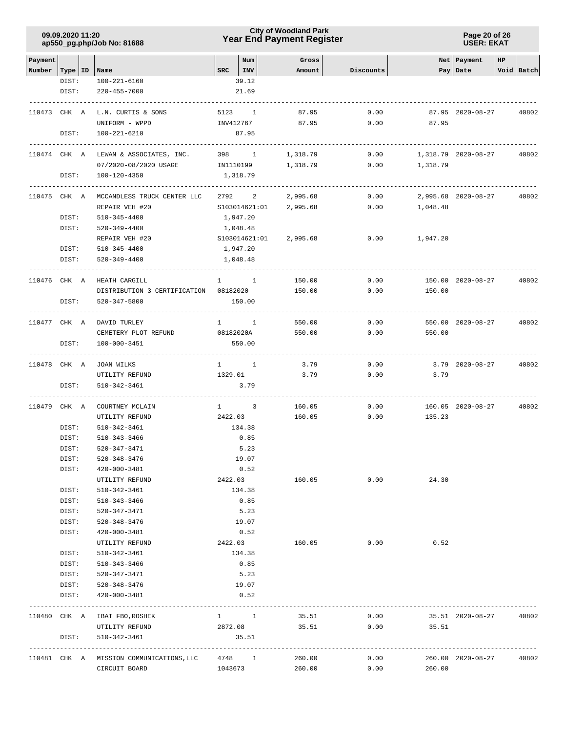### **Year End Payment Register City of Woodland Park 09.09.2020 11:20**

**Page 20 of 26 USER: EKAT**

| Payment | Number   Type   ID   Name |                                          | Num<br>$SRC$   INV     | Gross    |           |          | Net   Payment       | HP<br>Void Batch |
|---------|---------------------------|------------------------------------------|------------------------|----------|-----------|----------|---------------------|------------------|
|         | DIST:                     | 100-221-6160                             | 39.12                  | Amount   | Discounts |          | Pay Date            |                  |
|         | DIST:                     | 220-455-7000                             | 21.69                  |          |           |          |                     |                  |
|         |                           |                                          |                        |          |           |          |                     |                  |
|         | 110473 CHK A              | L.N. CURTIS & SONS                       | 5123 1                 | 87.95    | 0.00      |          | 87.95 2020-08-27    | 40802            |
|         |                           | UNIFORM - WPPD                           | INV412767              | 87.95    | 0.00      | 87.95    |                     |                  |
|         | DIST:                     | 100-221-6210                             | 87.95                  |          |           |          |                     |                  |
|         |                           |                                          |                        |          |           |          |                     |                  |
|         | 110474 CHK A              | LEWAN & ASSOCIATES, INC.                 | 398 1                  | 1,318.79 | 0.00      |          | 1,318.79 2020-08-27 | 40802            |
|         |                           | 07/2020-08/2020 USAGE                    | IN1110199              | 1,318.79 | 0.00      | 1,318.79 |                     |                  |
|         | DIST:                     | 100-120-4350                             | 1,318.79               |          |           |          |                     |                  |
|         |                           |                                          |                        |          |           |          |                     |                  |
|         | 110475 CHK A              | MCCANDLESS TRUCK CENTER LLC              | 2792 2                 | 2,995.68 | 0.00      |          | 2,995.68 2020-08-27 | 40802            |
|         |                           | REPAIR VEH #20                           | S103014621:01          | 2,995.68 | 0.00      | 1,048.48 |                     |                  |
|         | DIST:                     | 510-345-4400                             | 1,947.20               |          |           |          |                     |                  |
|         | DIST:                     | 520-349-4400                             | 1,048.48               |          |           |          |                     |                  |
|         |                           | REPAIR VEH #20                           | S103014621:01 2,995.68 |          | 0.00      | 1,947.20 |                     |                  |
|         | DIST:                     | 510-345-4400                             | 1,947.20               |          |           |          |                     |                  |
|         | DIST:                     | 520-349-4400                             | 1,048.48               |          |           |          |                     |                  |
|         |                           |                                          |                        |          |           |          |                     |                  |
|         | 110476 CHK A              | HEATH CARGILL                            | $1 \quad 1$            | 150.00   | 0.00      |          | 150.00 2020-08-27   | 40802            |
|         |                           | DISTRIBUTION 3 CERTIFICATION 08182020    |                        | 150.00   | 0.00      | 150.00   |                     |                  |
|         | DIST:                     | 520-347-5800                             | 150.00                 |          |           |          |                     |                  |
|         |                           |                                          |                        |          |           |          |                     |                  |
|         | 110477 CHK A              | DAVID TURLEY                             | $1 \quad 1$            | 550.00   | 0.00      |          | 550.00 2020-08-27   | 40802            |
|         |                           | CEMETERY PLOT REFUND                     | 08182020A              | 550.00   | 0.00      | 550.00   |                     |                  |
|         | DIST:                     | 100-000-3451                             | 550.00                 |          |           |          |                     |                  |
|         | 110478 CHK A              | JOAN WILKS                               | $1 \quad 1$            | 3.79     | 0.00      |          | 3.79 2020-08-27     | 40802            |
|         |                           | UTILITY REFUND                           | 1329.01                | 3.79     | 0.00      | 3.79     |                     |                  |
|         | DIST:                     | 510-342-3461                             | 3.79                   |          |           |          |                     |                  |
|         |                           |                                          |                        |          |           |          |                     |                  |
|         | 110479 CHK A              | COURTNEY MCLAIN                          | $1 \quad 3$            | 160.05   | 0.00      |          | 160.05 2020-08-27   | 40802            |
|         |                           | UTILITY REFUND                           | 2422.03                | 160.05   | 0.00      | 135.23   |                     |                  |
|         | DIST:                     | 510-342-3461                             | 134.38                 |          |           |          |                     |                  |
|         | DIST:                     | 510-343-3466                             | 0.85                   |          |           |          |                     |                  |
|         | DIST:                     | 520-347-3471                             | 5.23                   |          |           |          |                     |                  |
|         | DIST:                     | $520 - 348 - 3476$                       | 19.07                  |          |           |          |                     |                  |
|         | DIST:                     | 420-000-3481                             | 0.52                   |          |           |          |                     |                  |
|         |                           | UTILITY REFUND                           | 2422.03                | 160.05   | 0.00      | 24.30    |                     |                  |
|         | DIST:                     | 510-342-3461                             | 134.38                 |          |           |          |                     |                  |
|         | DIST:                     | 510-343-3466                             | 0.85                   |          |           |          |                     |                  |
|         | DIST:                     | 520-347-3471                             | 5.23                   |          |           |          |                     |                  |
|         | DIST:                     | 520-348-3476                             | 19.07                  |          |           |          |                     |                  |
|         | DIST:                     | 420-000-3481                             | 0.52                   |          |           |          |                     |                  |
|         |                           | UTILITY REFUND                           | 2422.03                | 160.05   | 0.00      | 0.52     |                     |                  |
|         | DIST:                     | 510-342-3461                             | 134.38                 |          |           |          |                     |                  |
|         | DIST:                     | 510-343-3466                             | 0.85                   |          |           |          |                     |                  |
|         | DIST:                     | 520-347-3471                             | 5.23                   |          |           |          |                     |                  |
|         | DIST:                     | 520-348-3476                             | 19.07                  |          |           |          |                     |                  |
|         | DIST:                     | 420-000-3481                             | 0.52                   |          |           |          |                     |                  |
|         |                           |                                          |                        |          |           |          |                     |                  |
|         |                           | 110480 CHK A IBAT FBO, ROSHEK            | $1 \quad 1$            | 35.51    | 0.00      |          | 35.51 2020-08-27    | 40802            |
|         |                           | UTILITY REFUND                           | 2872.08                | 35.51    | 0.00      | 35.51    |                     |                  |
|         | DIST:                     | 510-342-3461                             | 35.51                  |          |           |          |                     |                  |
|         |                           | 110481 CHK A MISSION COMMUNICATIONS, LLC | 4748 1                 | 260.00   | 0.00      |          | 260.00 2020-08-27   | 40802            |
|         |                           | CIRCUIT BOARD                            | 1043673                | 260.00   | 0.00      | 260.00   |                     |                  |
|         |                           |                                          |                        |          |           |          |                     |                  |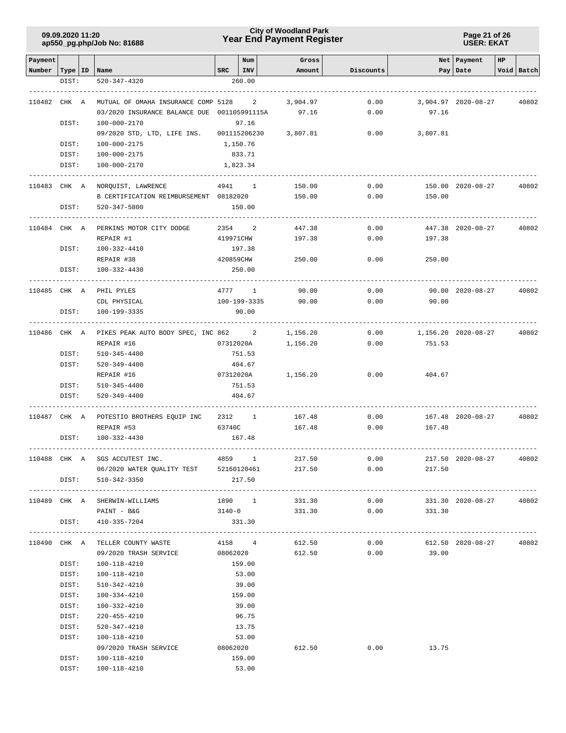### **Year End Payment Register City of Woodland Park 09.09.2020 11:20**

**Page 21 of 26 USER: EKAT**

| Payment                   |       |                                        |              | Num           | Gross    |           |          | Net   Payment       | HP |            |
|---------------------------|-------|----------------------------------------|--------------|---------------|----------|-----------|----------|---------------------|----|------------|
| Number   Type   ID   Name |       |                                        | $_{\rm SRC}$ | INV           | Amount   | Discounts |          | Pay   Date          |    | Void Batch |
|                           | DIST: | $520 - 347 - 4320$                     |              | 260.00        |          |           |          |                     |    |            |
|                           |       |                                        |              |               |          |           |          |                     |    |            |
| 110482 CHK A              |       | MUTUAL OF OMAHA INSURANCE COMP 5128    |              | 2             | 3,904.97 | 0.00      |          | 3,904.97 2020-08-27 |    | 40802      |
|                           |       | 03/2020 INSURANCE BALANCE DUE          |              | 001105991115A | 97.16    | 0.00      | 97.16    |                     |    |            |
|                           | DIST: | 100-000-2170                           |              | 97.16         |          |           |          |                     |    |            |
|                           |       | 09/2020 STD, LTD, LIFE INS.            |              | 001115206230  | 3,807.81 | 0.00      | 3,807.81 |                     |    |            |
|                           | DIST: | 100-000-2175                           |              | 1,150.76      |          |           |          |                     |    |            |
|                           | DIST: | 100-000-2175                           |              | 833.71        |          |           |          |                     |    |            |
|                           | DIST: | 100-000-2170                           |              | 1,823.34      |          |           |          |                     |    |            |
| 110483 CHK A              |       | NORQUIST, LAWRENCE                     |              | 4941 1        | 150.00   | 0.00      |          | 150.00 2020-08-27   |    | 40802      |
|                           |       | B CERTIFICATION REIMBURSEMENT 08182020 |              |               | 150.00   | 0.00      | 150.00   |                     |    |            |
|                           | DIST: | 520-347-5800                           |              | 150.00        |          |           |          |                     |    |            |
| 110484 CHK A              |       | PERKINS MOTOR CITY DODGE               | 2354         | 2             | 447.38   | 0.00      |          | 447.38 2020-08-27   |    | 40802      |
|                           |       | REPAIR #1                              | 419971CHW    |               | 197.38   | 0.00      | 197.38   |                     |    |            |
|                           | DIST: | 100-332-4410                           |              | 197.38        |          |           |          |                     |    |            |
|                           |       | REPAIR #38                             | 420859CHW    |               | 250.00   | 0.00      | 250.00   |                     |    |            |
|                           | DIST: | 100-332-4430                           |              | 250.00        |          |           |          |                     |    |            |
| 110485 CHK A              |       | PHIL PYLES                             |              | 4777 1        | 90.00    | 0.00      |          | 90.00 2020-08-27    |    | 40802      |
|                           |       | CDL PHYSICAL                           |              | 100-199-3335  | 90.00    | 0.00      | 90.00    |                     |    |            |
|                           | DIST: | 100-199-3335                           |              | 90.00         |          |           |          |                     |    |            |
| 110486 CHK A              |       | PIKES PEAK AUTO BODY SPEC, INC 862 2   |              |               | 1,156.20 | 0.00      |          | 1,156.20 2020-08-27 |    | 40802      |
|                           |       | REPAIR #16                             | 07312020A    |               | 1,156.20 | 0.00      | 751.53   |                     |    |            |
|                           | DIST: | 510-345-4400                           |              | 751.53        |          |           |          |                     |    |            |
|                           | DIST: | $520 - 349 - 4400$                     |              | 404.67        |          |           |          |                     |    |            |
|                           |       | REPAIR #16                             | 07312020A    |               | 1,156.20 | 0.00      | 404.67   |                     |    |            |
|                           | DIST: | 510-345-4400                           |              | 751.53        |          |           |          |                     |    |            |
|                           | DIST: | $520 - 349 - 4400$                     |              | 404.67        |          |           |          |                     |    |            |
| 110487                    | CHK A | POTESTIO BROTHERS EQUIP INC            |              | 2312 1        | 167.48   | 0.00      |          | 167.48 2020-08-27   |    | 40802      |
|                           |       | REPAIR #53                             | 63740C       |               | 167.48   | 0.00      | 167.48   |                     |    |            |
|                           | DIST: | 100-332-4430                           |              | 167.48        |          |           |          |                     |    |            |
| 110488 CHK A              |       | SGS ACCUTEST INC.                      | 4859         | $\mathbf{1}$  | 217.50   | 0.00      |          | 217.50 2020-08-27   |    | 40802      |
|                           |       | 06/2020 WATER QUALITY TEST 52160120461 |              |               | 217.50   | 0.00      | 217.50   |                     |    |            |
|                           | DIST: | 510-342-3350                           |              | 217.50        |          |           |          |                     |    |            |
|                           |       | 110489 CHK A SHERWIN-WILLIAMS          |              | 1890 1        | 331.30   | 0.00      |          | 331.30 2020-08-27   |    | 40802      |
|                           |       | PAINT - B&G                            |              | $3140 - 0$    | 331.30   | 0.00      | 331.30   |                     |    |            |
|                           | DIST: | 410-335-7204                           |              | 331.30        |          |           |          |                     |    |            |
|                           |       | 110490 CHK A TELLER COUNTY WASTE       |              | 4158 4        | 612.50   | 0.00      |          | 612.50 2020-08-27   |    | 40802      |
|                           |       | 09/2020 TRASH SERVICE                  |              | 08062020      | 612.50   | 0.00      | 39.00    |                     |    |            |
|                           | DIST: | 100-118-4210                           |              | 159.00        |          |           |          |                     |    |            |
|                           | DIST: | 100-118-4210                           |              | 53.00         |          |           |          |                     |    |            |
|                           | DIST: | 510-342-4210                           |              | 39.00         |          |           |          |                     |    |            |
|                           | DIST: | 100-334-4210                           |              | 159.00        |          |           |          |                     |    |            |
|                           | DIST: | 100-332-4210                           |              | 39.00         |          |           |          |                     |    |            |
|                           | DIST: | 220-455-4210                           |              | 96.75         |          |           |          |                     |    |            |
|                           | DIST: | 520-347-4210                           |              | 13.75         |          |           |          |                     |    |            |
|                           | DIST: | 100-118-4210                           |              | 53.00         |          |           |          |                     |    |            |
|                           |       | 09/2020 TRASH SERVICE                  |              | 08062020      | 612.50   | 0.00      | 13.75    |                     |    |            |
|                           | DIST: | 100-118-4210                           |              | 159.00        |          |           |          |                     |    |            |
|                           | DIST: | 100-118-4210                           |              | 53.00         |          |           |          |                     |    |            |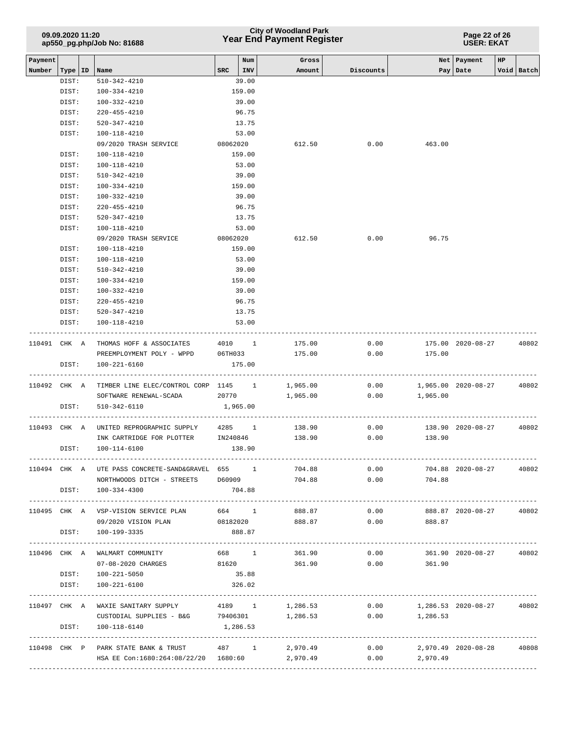| 09.09.2020 11:20<br>ap550_pg.php/Job No: 81688 |                    |  |                                                          |            |               | <b>City of Woodland Park</b><br><b>Year End Payment Register</b> |           | Page 22 of 26<br><b>USER: EKAT</b> |                         |            |  |
|------------------------------------------------|--------------------|--|----------------------------------------------------------|------------|---------------|------------------------------------------------------------------|-----------|------------------------------------|-------------------------|------------|--|
| Payment                                        |                    |  |                                                          |            | Num           | Gross                                                            |           |                                    | Net   Payment           | HP         |  |
| Number                                         | Type   ID<br>DIST: |  | Name<br>$510 - 342 - 4210$                               | <b>SRC</b> | INV<br>39.00  | Amount                                                           | Discounts |                                    | Pay   Date              | Void Batch |  |
|                                                | DIST:              |  | 100-334-4210                                             |            | 159.00        |                                                                  |           |                                    |                         |            |  |
|                                                | DIST:              |  | 100-332-4210                                             |            | 39.00         |                                                                  |           |                                    |                         |            |  |
|                                                | DIST:              |  | $220 - 455 - 4210$                                       |            | 96.75         |                                                                  |           |                                    |                         |            |  |
|                                                | DIST:              |  | 520-347-4210                                             |            | 13.75         |                                                                  |           |                                    |                         |            |  |
|                                                | DIST:              |  | 100-118-4210                                             |            | 53.00         |                                                                  |           |                                    |                         |            |  |
|                                                |                    |  | 09/2020 TRASH SERVICE                                    | 08062020   |               | 612.50                                                           | 0.00      | 463.00                             |                         |            |  |
|                                                | DIST:              |  | 100-118-4210                                             |            | 159.00        |                                                                  |           |                                    |                         |            |  |
|                                                | DIST:              |  | 100-118-4210                                             |            | 53.00         |                                                                  |           |                                    |                         |            |  |
|                                                | DIST:              |  | $510 - 342 - 4210$                                       |            | 39.00         |                                                                  |           |                                    |                         |            |  |
|                                                | DIST:              |  | 100-334-4210                                             |            | 159.00        |                                                                  |           |                                    |                         |            |  |
|                                                | DIST:              |  | 100-332-4210                                             |            | 39.00         |                                                                  |           |                                    |                         |            |  |
|                                                | DIST:              |  | $220 - 455 - 4210$                                       |            | 96.75         |                                                                  |           |                                    |                         |            |  |
|                                                | DIST:              |  | $520 - 347 - 4210$                                       |            | 13.75         |                                                                  |           |                                    |                         |            |  |
|                                                | DIST:              |  | 100-118-4210                                             |            | 53.00         |                                                                  |           |                                    |                         |            |  |
|                                                |                    |  | 09/2020 TRASH SERVICE                                    | 08062020   |               | 612.50                                                           | 0.00      | 96.75                              |                         |            |  |
|                                                | DIST:              |  | 100-118-4210                                             |            | 159.00        |                                                                  |           |                                    |                         |            |  |
|                                                | DIST:              |  | 100-118-4210                                             |            | 53.00         |                                                                  |           |                                    |                         |            |  |
|                                                | DIST:              |  | 510-342-4210                                             |            | 39.00         |                                                                  |           |                                    |                         |            |  |
|                                                | DIST:              |  | 100-334-4210                                             |            | 159.00        |                                                                  |           |                                    |                         |            |  |
|                                                | DIST:              |  | 100-332-4210                                             |            | 39.00         |                                                                  |           |                                    |                         |            |  |
|                                                | DIST:              |  | $220 - 455 - 4210$                                       |            | 96.75         |                                                                  |           |                                    |                         |            |  |
|                                                | DIST:              |  | $520 - 347 - 4210$                                       |            | 13.75         |                                                                  |           |                                    |                         |            |  |
|                                                | DIST:              |  | 100-118-4210                                             |            | 53.00         |                                                                  |           |                                    |                         |            |  |
| 110491 CHK A                                   |                    |  | THOMAS HOFF & ASSOCIATES                                 |            | 4010 1        | 175.00                                                           | 0.00      |                                    | 175.00 2020-08-27       | 40802      |  |
|                                                |                    |  | PREEMPLOYMENT POLY - WPPD                                | 06TH033    |               | 175.00                                                           | 0.00      | 175.00                             |                         |            |  |
|                                                | DIST:              |  | 100-221-6160                                             |            | 175.00        |                                                                  |           |                                    |                         |            |  |
| 110492 CHK A                                   |                    |  | TIMBER LINE ELEC/CONTROL CORP 1145 1                     |            |               | 1,965.00                                                         | 0.00      |                                    | 1,965.00 2020-08-27     | 40802      |  |
|                                                |                    |  | SOFTWARE RENEWAL-SCADA                                   | 20770      |               | 1,965.00                                                         | 0.00      | 1,965.00                           |                         |            |  |
|                                                | DIST:              |  | 510-342-6110                                             |            | 1,965.00      |                                                                  |           |                                    |                         |            |  |
| 110493 CHK A                                   |                    |  | UNITED REPROGRAPHIC SUPPLY 4285                          |            | $\frac{1}{2}$ | 138.90                                                           | 0.00      |                                    | 138.90 2020-08-27       | 40802      |  |
|                                                |                    |  | INK CARTRIDGE FOR PLOTTER                                | IN240846   |               | 138.90                                                           | 0.00      | 138.90                             |                         |            |  |
|                                                |                    |  | DIST: 100-114-6100                                       |            | 138.90        |                                                                  |           |                                    |                         |            |  |
|                                                |                    |  | 110494 CHK A UTE PASS CONCRETE-SAND&GRAVEL 655 1         |            |               | 704.88                                                           | 0.00      |                                    | 704.88 2020-08-27       | 40802      |  |
|                                                |                    |  | NORTHWOODS DITCH - STREETS D60909                        |            |               | 704.88                                                           | 0.00      | 704.88                             |                         |            |  |
|                                                | DIST:              |  | 100-334-4300                                             | 704.88     |               |                                                                  |           |                                    |                         |            |  |
|                                                |                    |  | 110495 CHK A VSP-VISION SERVICE PLAN 664 1               |            |               | 888.87                                                           | 0.00      |                                    | 888.87 2020-08-27 40802 |            |  |
|                                                |                    |  | 09/2020 VISION PLAN 08182020                             |            |               | 888.87 0.00                                                      |           | 888.87                             |                         |            |  |
|                                                | DIST:              |  | 100-199-3335                                             |            | 888.87        |                                                                  |           |                                    |                         |            |  |
|                                                |                    |  | 110496 CHK A WALMART COMMUNITY                           |            | 668 1         | 361.90                                                           | 0.00      |                                    | 361.90 2020-08-27 40802 |            |  |
|                                                |                    |  | 07-08-2020 CHARGES                                       | 81620      |               | 361.90                                                           | 0.00      | 361.90                             |                         |            |  |
|                                                |                    |  | DIST: 100-221-5050                                       |            | 35.88         |                                                                  |           |                                    |                         |            |  |
|                                                | DIST:              |  | 100-221-6100                                             |            | 326.02        |                                                                  |           |                                    |                         |            |  |
|                                                |                    |  | 110497 CHK A WAXIE SANITARY SUPPLY                       |            | 4189 1        | 1,286.53                                                         |           | $0.00$ 1,286.53 2020-08-27 40802   |                         |            |  |
|                                                |                    |  | CUSTODIAL SUPPLIES - B&G 79406301 1,286.53 0.00 1,286.53 |            |               |                                                                  |           |                                    |                         |            |  |
|                                                | DIST:              |  | 100-118-6140                                             |            | 1,286.53      |                                                                  |           |                                    |                         |            |  |
|                                                |                    |  | 110498 CHK P PARK STATE BANK & TRUST                     |            |               | 487 1 2,970.49                                                   |           | $0.00$ 2,970.49 2020-08-28 40808   |                         |            |  |
|                                                |                    |  | HSA EE Con:1680:264:08/22/20 1680:60                     |            |               | 2,970.49                                                         | 0.00      | 2,970.49                           |                         |            |  |
|                                                |                    |  |                                                          |            |               |                                                                  |           |                                    |                         |            |  |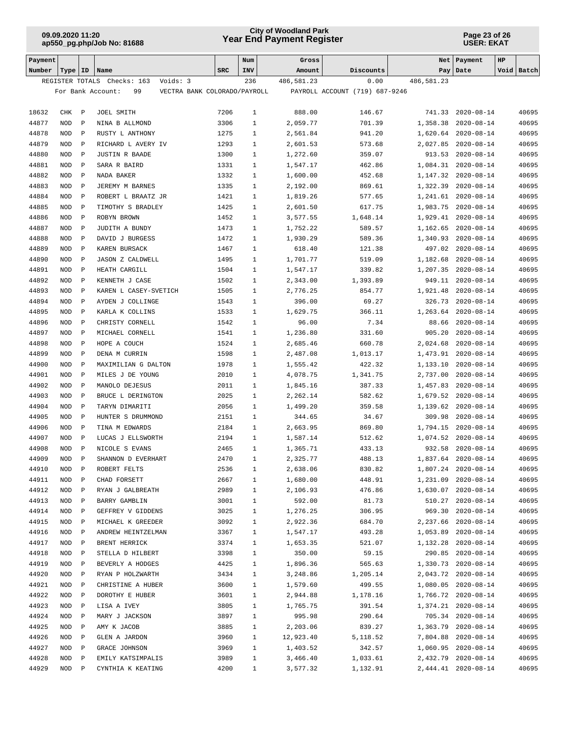## **Year End Payment Register City of Woodland Park 09.09.2020 11:20**

**Page 23 of 26 USER: EKAT**

| Payment |            |              |                                                         |            | Num          | Gross      |                                |            | Net   Payment        | HP |            |
|---------|------------|--------------|---------------------------------------------------------|------------|--------------|------------|--------------------------------|------------|----------------------|----|------------|
| Number  | Type   ID  |              | Name                                                    | <b>SRC</b> | INV          | Amount     | Discounts                      |            | Pay   Date           |    | Void Batch |
|         |            |              | Voids: 3<br>REGISTER TOTALS Checks: 163                 |            | 236          | 486,581.23 | 0.00                           | 486,581.23 |                      |    |            |
|         |            |              | 99<br>For Bank Account:<br>VECTRA BANK COLORADO/PAYROLL |            |              |            | PAYROLL ACCOUNT (719) 687-9246 |            |                      |    |            |
|         |            |              |                                                         |            |              |            |                                |            |                      |    |            |
| 18632   | CHK        | $\mathbf{P}$ | JOEL SMITH                                              | 7206       | $\mathbf{1}$ | 888.00     | 146.67                         |            | 741.33 2020-08-14    |    | 40695      |
| 44877   | <b>NOD</b> | $\mathbb{P}$ | NINA B ALLMOND                                          | 3306       | $\mathbf{1}$ | 2,059.77   | 701.39                         | 1,358.38   | $2020 - 08 - 14$     |    | 40695      |
| 44878   | <b>NOD</b> | $\mathbb{P}$ | RUSTY L ANTHONY                                         | 1275       | $\mathbf{1}$ | 2,561.84   | 941.20                         |            | 1,620.64 2020-08-14  |    | 40695      |
| 44879   | <b>NOD</b> | $\mathbf{P}$ | RICHARD L AVERY IV                                      | 1293       | $\mathbf{1}$ | 2,601.53   | 573.68                         | 2,027.85   | $2020 - 08 - 14$     |    | 40695      |
| 44880   | <b>NOD</b> | $\mathbf{P}$ | <b>JUSTIN R BAADE</b>                                   | 1300       | $\mathbf{1}$ | 1,272.60   | 359.07                         |            | 913.53 2020-08-14    |    | 40695      |
| 44881   | <b>NOD</b> | $\mathbb{P}$ | SARA R BAIRD                                            | 1331       | $\mathbf{1}$ | 1,547.17   | 462.86                         |            | 1,084.31 2020-08-14  |    | 40695      |
| 44882   | <b>NOD</b> | $\mathbf{P}$ | NADA BAKER                                              | 1332       | $\mathbf{1}$ | 1,600.00   | 452.68                         |            | 1, 147.32 2020-08-14 |    | 40695      |
| 44883   | <b>NOD</b> | $\mathbb{P}$ | JEREMY M BARNES                                         | 1335       | 1            | 2,192.00   | 869.61                         | 1,322.39   | $2020 - 08 - 14$     |    | 40695      |
| 44884   | <b>NOD</b> | $\mathbf{P}$ | ROBERT L BRAATZ JR                                      | 1421       | 1            | 1,819.26   | 577.65                         |            | 1,241.61 2020-08-14  |    | 40695      |
| 44885   | <b>NOD</b> | $\mathbb{P}$ | TIMOTHY S BRADLEY                                       | 1425       | $\mathbf{1}$ | 2,601.50   | 617.75                         | 1,983.75   | $2020 - 08 - 14$     |    | 40695      |
| 44886   | <b>NOD</b> | $\mathbf{P}$ | ROBYN BROWN                                             | 1452       | 1            | 3,577.55   | 1,648.14                       |            | 1,929.41 2020-08-14  |    | 40695      |
| 44887   | <b>NOD</b> | $\mathbb{P}$ | JUDITH A BUNDY                                          | 1473       | $\mathbf{1}$ | 1,752.22   | 589.57                         |            | 1, 162.65 2020-08-14 |    | 40695      |
| 44888   | <b>NOD</b> | $\mathbf{P}$ | DAVID J BURGESS                                         | 1472       | $\mathbf{1}$ | 1,930.29   | 589.36                         |            | 1,340.93 2020-08-14  |    | 40695      |
| 44889   | <b>NOD</b> | $\mathbf{P}$ | KAREN BURSACK                                           | 1467       | $\mathbf{1}$ | 618.40     | 121.38                         |            | 497.02 2020-08-14    |    | 40695      |
| 44890   | <b>NOD</b> | $\mathbf{P}$ | <b>JASON Z CALDWELL</b>                                 | 1495       | $\mathbf{1}$ | 1,701.77   | 519.09                         | 1,182.68   | $2020 - 08 - 14$     |    | 40695      |
| 44891   | <b>NOD</b> | $\mathbf{P}$ | HEATH CARGILL                                           | 1504       | $\mathbf{1}$ | 1,547.17   | 339.82                         |            | 1,207.35 2020-08-14  |    | 40695      |
| 44892   | <b>NOD</b> | $\mathbb{P}$ | KENNETH J CASE                                          | 1502       | $\mathbf{1}$ | 2,343.00   | 1,393.89                       |            | 949.11 2020-08-14    |    | 40695      |
| 44893   |            |              |                                                         | 1505       |              |            |                                |            | $2020 - 08 - 14$     |    | 40695      |
|         | <b>NOD</b> | $\mathbf{P}$ | KAREN L CASEY-SVETICH                                   |            | $\mathbf{1}$ | 2,776.25   | 854.77                         | 1,921.48   |                      |    |            |
| 44894   | <b>NOD</b> | $\mathbb{P}$ | AYDEN J COLLINGE                                        | 1543       | $\mathbf{1}$ | 396.00     | 69.27                          |            | 326.73 2020-08-14    |    | 40695      |
| 44895   | <b>NOD</b> | $\mathbf{P}$ | KARLA K COLLINS                                         | 1533       | $\mathbf{1}$ | 1,629.75   | 366.11                         |            | 1,263.64 2020-08-14  |    | 40695      |
| 44896   | <b>NOD</b> | $\mathbb{P}$ | CHRISTY CORNELL                                         | 1542       | $\mathbf{1}$ | 96.00      | 7.34                           |            | 88.66 2020-08-14     |    | 40695      |
| 44897   | <b>NOD</b> | $\mathbb{P}$ | MICHAEL CORNELL                                         | 1541       | $\mathbf{1}$ | 1,236.80   | 331.60                         | 905.20     | $2020 - 08 - 14$     |    | 40695      |
| 44898   | <b>NOD</b> | $\mathbf{P}$ | HOPE A COUCH                                            | 1524       | $\mathbf{1}$ | 2,685.46   | 660.78                         | 2,024.68   | $2020 - 08 - 14$     |    | 40695      |
| 44899   | <b>NOD</b> | $\mathbf{P}$ | DENA M CURRIN                                           | 1598       | $\mathbf{1}$ | 2,487.08   | 1,013.17                       |            | 1,473.91 2020-08-14  |    | 40695      |
| 44900   | <b>NOD</b> | $\mathbf{P}$ | MAXIMILIAN G DALTON                                     | 1978       | $\mathbf{1}$ | 1,555.42   | 422.32                         | 1,133.10   | $2020 - 08 - 14$     |    | 40695      |
| 44901   | <b>NOD</b> | $\mathbb{P}$ | MILES J DE YOUNG                                        | 2010       | $\mathbf{1}$ | 4,078.75   | 1,341.75                       | 2,737.00   | $2020 - 08 - 14$     |    | 40695      |
| 44902   | <b>NOD</b> | $\mathbf{P}$ | MANOLO DEJESUS                                          | 2011       | $\mathbf{1}$ | 1,845.16   | 387.33                         | 1,457.83   | $2020 - 08 - 14$     |    | 40695      |
| 44903   | <b>NOD</b> | $\mathbb{P}$ | BRUCE L DERINGTON                                       | 2025       | $\mathbf{1}$ | 2,262.14   | 582.62                         | 1,679.52   | $2020 - 08 - 14$     |    | 40695      |
| 44904   | <b>NOD</b> | $\mathbb{P}$ | TARYN DIMARITI                                          | 2056       | $\mathbf{1}$ | 1,499.20   | 359.58                         | 1,139.62   | $2020 - 08 - 14$     |    | 40695      |
| 44905   | <b>NOD</b> | $\mathbb{P}$ | HUNTER S DRUMMOND                                       | 2151       | $\mathbf{1}$ | 344.65     | 34.67                          | 309.98     | $2020 - 08 - 14$     |    | 40695      |
| 44906   | <b>NOD</b> | $\mathbf{P}$ | TINA M EDWARDS                                          | 2184       | $\mathbf{1}$ | 2,663.95   | 869.80                         | 1,794.15   | $2020 - 08 - 14$     |    | 40695      |
| 44907   | <b>NOD</b> | $\mathbf{P}$ | LUCAS J ELLSWORTH                                       | 2194       | $\mathbf{1}$ | 1,587.14   | 512.62                         |            | 1,074.52 2020-08-14  |    | 40695      |
| 44908   | NOD        | $\mathbb{P}$ | NICOLE S EVANS                                          | 2465       | $\mathbf{1}$ | 1,365.71   | 433.13                         | 932.58     | $2020 - 08 - 14$     |    | 40695      |
| 44909   | <b>NOD</b> | $\mathbf{P}$ | SHANNON D EVERHART                                      | 2470       | $\mathbf{1}$ | 2,325.77   | 488.13                         |            | 1,837.64 2020-08-14  |    | 40695      |
| 44910   | NOD P      |              | ROBERT FELTS                                            | 2536       | $\mathbf{1}$ | 2,638.06   | 830.82                         |            | 1,807.24 2020-08-14  |    | 40695      |
| 44911   | NOD P      |              | CHAD FORSETT                                            | 2667       | $\mathbf{1}$ | 1,680.00   | 448.91                         |            | 1,231.09 2020-08-14  |    | 40695      |
| 44912   | NOD P      |              | RYAN J GALBREATH                                        | 2989       | $\mathbf{1}$ | 2,106.93   | 476.86                         |            | 1,630.07 2020-08-14  |    | 40695      |
| 44913   | NOD P      |              | BARRY GAMBLIN                                           | 3001       | $\mathbf{1}$ | 592.00     | 81.73                          |            | 510.27 2020-08-14    |    | 40695      |
| 44914   | NOD P      |              | GEFFREY V GIDDENS                                       | 3025       | $\mathbf{1}$ | 1,276.25   | 306.95                         |            | 969.30 2020-08-14    |    | 40695      |
| 44915   | NOD P      |              | MICHAEL K GREEDER                                       | 3092       | $\mathbf{1}$ | 2,922.36   | 684.70                         |            | 2, 237.66 2020-08-14 |    | 40695      |
| 44916   | NOD P      |              | ANDREW HEINTZELMAN                                      | 3367       | $\mathbf{1}$ | 1,547.17   | 493.28                         |            | 1,053.89 2020-08-14  |    | 40695      |
| 44917   | NOD P      |              | BRENT HERRICK                                           | 3374       | $\mathbf{1}$ | 1,653.35   | 521.07                         |            |                      |    | 40695      |
| 44918   |            |              |                                                         |            |              |            |                                |            | 290.85 2020-08-14    |    |            |
|         | NOD P      |              | STELLA D HILBERT                                        | 3398       | $\mathbf{1}$ | 350.00     | 59.15                          |            |                      |    | 40695      |
| 44919   | NOD P      |              | BEVERLY A HODGES                                        | 4425       | $\mathbf{1}$ | 1,896.36   | 565.63                         |            | 1,330.73 2020-08-14  |    | 40695      |
| 44920   | NOD P      |              | RYAN P HOLZWARTH                                        | 3434       | $\mathbf{1}$ | 3,248.86   | 1,205.14                       |            | 2,043.72 2020-08-14  |    | 40695      |
| 44921   | NOD P      |              | CHRISTINE A HUBER                                       | 3600       | $\mathbf{1}$ | 1,579.60   | 499.55                         |            | 1,080.05 2020-08-14  |    | 40695      |
| 44922   | NOD P      |              | DOROTHY E HUBER                                         | 3601       | $\mathbf{1}$ | 2,944.88   | 1,178.16                       |            | 1,766.72 2020-08-14  |    | 40695      |
| 44923   | NOD P      |              | LISA A IVEY                                             | 3805       | $\mathbf{1}$ | 1,765.75   | 391.54                         |            | 1,374.21 2020-08-14  |    | 40695      |
| 44924   | NOD P      |              | MARY J JACKSON                                          | 3897       | $\mathbf{1}$ | 995.98     | 290.64                         |            | 705.34 2020-08-14    |    | 40695      |
| 44925   | NOD P      |              | AMY K JACOB                                             | 3885       | $\mathbf{1}$ | 2,203.06   | 839.27                         |            | 1,363.79 2020-08-14  |    | 40695      |
| 44926   | NOD P      |              | GLEN A JARDON                                           | 3960       | $\mathbf{1}$ | 12,923.40  | 5,118.52                       |            | 7,804.88 2020-08-14  |    | 40695      |
| 44927   | NOD P      |              | GRACE JOHNSON                                           | 3969       | $\mathbf{1}$ | 1,403.52   | 342.57                         |            | 1,060.95 2020-08-14  |    | 40695      |
| 44928   | NOD P      |              | EMILY KATSIMPALIS                                       | 3989       | $\mathbf{1}$ | 3,466.40   | 1,033.61                       |            | 2,432.79 2020-08-14  |    | 40695      |
| 44929   | NOD P      |              | CYNTHIA K KEATING                                       | 4200       | $\mathbf{1}$ | 3,577.32   | 1,132.91                       |            | 2,444.41 2020-08-14  |    | 40695      |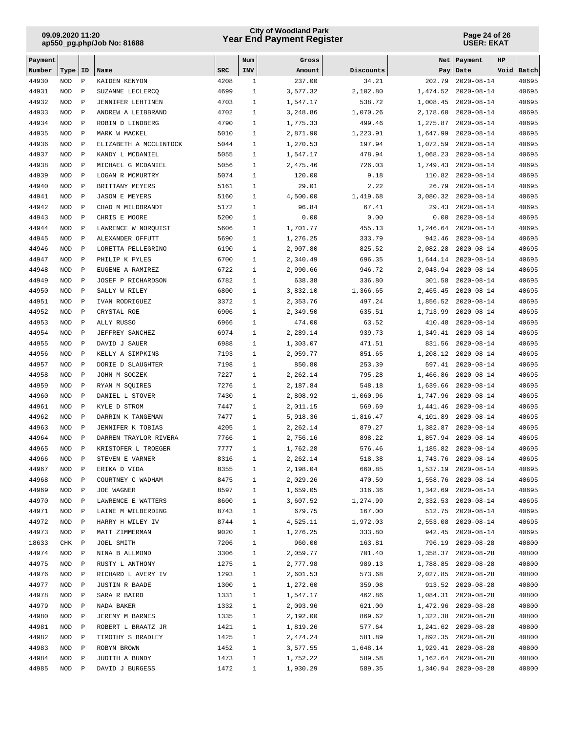## **Year End Payment Register City of Woodland Park 09.09.2020 11:20**

#### **Page 24 of 26 USER: EKAT**

| Payment        |                          |                            |                                            |              | Num                          | Gross                |                    |                      | Net   Payment                        | HP |                |
|----------------|--------------------------|----------------------------|--------------------------------------------|--------------|------------------------------|----------------------|--------------------|----------------------|--------------------------------------|----|----------------|
| Number         | Type   ID                |                            | Name                                       | <b>SRC</b>   | INV                          | Amount               | Discounts          | Pay                  | Date                                 |    | Void Batch     |
| 44930          | <b>NOD</b>               | $\, {\bf P}$               | KAIDEN KENYON                              | 4208         | $\mathbf{1}$                 | 237.00               | 34.21              | 202.79               | $2020 - 08 - 14$                     |    | 40695          |
| 44931          | <b>NOD</b>               | $\mathbf P$                | SUZANNE LECLERCO                           | 4699         | $\mathbf{1}$                 | 3,577.32             | 2,102.80           | 1,474.52             | $2020 - 08 - 14$                     |    | 40695          |
| 44932          | <b>NOD</b>               | $\mathbf P$                | JENNIFER LEHTINEN                          | 4703         | $\mathbf{1}$                 | 1,547.17             | 538.72             | 1,008.45             | $2020 - 08 - 14$                     |    | 40695          |
| 44933          | <b>NOD</b>               | $\mathbf P$                | ANDREW A LEIBBRAND                         | 4702         | $\mathbf{1}$                 | 3,248.86             | 1,070.26           | 2,178.60             | $2020 - 08 - 14$                     |    | 40695          |
| 44934          | <b>NOD</b>               | $\mathbf P$                | ROBIN D LINDBERG                           | 4790         | $\mathbf{1}$                 | 1,775.33             | 499.46             | 1,275.87             | $2020 - 08 - 14$                     |    | 40695          |
| 44935          | <b>NOD</b>               | $\mathbf P$                | MARK W MACKEL                              | 5010         | $\mathbf{1}$                 | 2,871.90             | 1,223.91           | 1,647.99             | $2020 - 08 - 14$                     |    | 40695          |
| 44936          | <b>NOD</b>               | $\mathbf P$                | ELIZABETH A MCCLINTOCK                     | 5044         | $\mathbf{1}$                 | 1,270.53             | 197.94             | 1,072.59             | $2020 - 08 - 14$                     |    | 40695          |
| 44937          | <b>NOD</b>               | $\mathbf{P}$               | KANDY L MCDANIEL                           | 5055         | $\mathbf{1}$                 | 1,547.17             | 478.94             | 1,068.23             | $2020 - 08 - 14$                     |    | 40695          |
| 44938          | <b>NOD</b>               | $\mathbf P$                | MICHAEL G MCDANIEL                         | 5056         | $\mathbf{1}$                 | 2,475.46             | 726.03             | 1,749.43             | $2020 - 08 - 14$                     |    | 40695          |
| 44939          | <b>NOD</b>               | $\mathbf P$                | LOGAN R MCMURTRY                           | 5074         | $\mathbf{1}$                 | 120.00               | 9.18               | 110.82               | $2020 - 08 - 14$                     |    | 40695          |
| 44940          | <b>NOD</b>               | $\mathbf P$                | BRITTANY MEYERS                            | 5161         | $\mathbf{1}$                 | 29.01                | 2.22               | 26.79                | $2020 - 08 - 14$                     |    | 40695          |
| 44941          | <b>NOD</b>               | $\mathbf P$                | <b>JASON E MEYERS</b>                      | 5160         | $\mathbf{1}$                 | 4,500.00             | 1,419.68           | 3,080.32             | $2020 - 08 - 14$                     |    | 40695          |
| 44942          | <b>NOD</b>               | $\mathbf{P}$               | CHAD M MILDBRANDT                          | 5172         | $\mathbf{1}$                 | 96.84                | 67.41              | 29.43                | $2020 - 08 - 14$                     |    | 40695          |
| 44943          | <b>NOD</b>               | $\mathbf P$                | CHRIS E MOORE                              | 5200         | $\mathbf{1}$                 | 0.00                 | 0.00               | 0.00                 | $2020 - 08 - 14$                     |    | 40695          |
| 44944          | <b>NOD</b>               | $\mathbf P$                | LAWRENCE W NORQUIST                        | 5606         | $\mathbf{1}$                 | 1,701.77             | 455.13             | 1,246.64             | $2020 - 08 - 14$                     |    | 40695          |
| 44945          | <b>NOD</b>               | $\mathbf P$                | ALEXANDER OFFUTT                           | 5690         | $\mathbf{1}$                 | 1,276.25             | 333.79             | 942.46               | $2020 - 08 - 14$                     |    | 40695          |
| 44946          | <b>NOD</b>               | $\mathbf P$                | LORETTA PELLEGRINO                         | 6190         | $\mathbf{1}$                 | 2,907.80             | 825.52             | 2,082.28             | $2020 - 08 - 14$                     |    | 40695          |
| 44947          | <b>NOD</b>               | $\mathbf P$                | PHILIP K PYLES                             | 6700         | $\mathbf{1}$                 | 2,340.49             | 696.35             | 1,644.14             | $2020 - 08 - 14$                     |    | 40695          |
| 44948          | <b>NOD</b>               | $\mathbf P$                | EUGENE A RAMIREZ                           | 6722         | $\mathbf{1}$                 | 2,990.66             | 946.72             | 2,043.94             | $2020 - 08 - 14$                     |    | 40695          |
| 44949          | <b>NOD</b>               | $\mathbf P$                | JOSEF P RICHARDSON                         | 6782         | $\mathbf{1}$                 | 638.38               | 336.80             | 301.58               | $2020 - 08 - 14$                     |    | 40695          |
| 44950          | <b>NOD</b>               | $\mathbf P$                | SALLY W RILEY                              | 6800         | $\mathbf{1}$                 | 3,832.10             | 1,366.65           | 2,465.45             | $2020 - 08 - 14$                     |    | 40695          |
| 44951          | <b>NOD</b>               | $\mathbf P$                | IVAN RODRIGUEZ                             | 3372         | $\mathbf{1}$                 | 2,353.76             | 497.24             | 1,856.52             | $2020 - 08 - 14$                     |    | 40695          |
| 44952          | <b>NOD</b>               | $\mathbf P$                | CRYSTAL ROE                                | 6906         | $\mathbf{1}$                 | 2,349.50             | 635.51             | 1,713.99             | $2020 - 08 - 14$                     |    | 40695          |
| 44953          | <b>NOD</b>               | $\mathbf P$                | ALLY RUSSO                                 | 6966         | $\mathbf{1}$                 | 474.00               | 63.52              | 410.48               | $2020 - 08 - 14$                     |    | 40695          |
| 44954          | <b>NOD</b>               | $\mathbf P$                | JEFFREY SANCHEZ                            | 6974         | $\mathbf{1}$                 | 2,289.14             | 939.73             | 1,349.41             | $2020 - 08 - 14$                     |    | 40695          |
| 44955          | <b>NOD</b>               | $\mathbf P$                | DAVID J SAUER                              | 6988         | $\mathbf{1}$                 | 1,303.07             | 471.51             | 831.56               | $2020 - 08 - 14$                     |    | 40695          |
| 44956          | <b>NOD</b>               | $\mathbf P$                | KELLY A SIMPKINS                           | 7193         | $\mathbf{1}$                 | 2,059.77             | 851.65             | 1,208.12             | $2020 - 08 - 14$                     |    | 40695          |
| 44957          | <b>NOD</b>               | $\mathbf P$                | DORIE D SLAUGHTER                          | 7198         | $\mathbf{1}$                 | 850.80               | 253.39             | 597.41               | $2020 - 08 - 14$                     |    | 40695          |
| 44958          | <b>NOD</b>               | $\mathbf{P}$               | JOHN M SOCZEK                              | 7227         | $\mathbf{1}$                 | 2,262.14             | 795.28             | 1,466.86             | $2020 - 08 - 14$                     |    | 40695          |
| 44959          | <b>NOD</b>               | $\mathbf P$                | RYAN M SQUIRES                             | 7276         | $\mathbf{1}$                 | 2,187.84             | 548.18             | 1,639.66             | $2020 - 08 - 14$                     |    | 40695          |
| 44960          | <b>NOD</b>               | $\mathbf P$                | DANIEL L STOVER                            | 7430         | $\mathbf{1}$                 | 2,808.92             | 1,060.96           | 1,747.96             | $2020 - 08 - 14$                     |    | 40695          |
| 44961          | <b>NOD</b>               | $\mathbf P$                | KYLE D STROM                               | 7447         | $\mathbf{1}$<br>$\mathbf{1}$ | 2,011.15             | 569.69             | 1,441.46             | $2020 - 08 - 14$                     |    | 40695          |
| 44962<br>44963 | <b>NOD</b><br><b>NOD</b> | $\mathbf P$<br>$\mathbf P$ | DARRIN K TANGEMAN                          | 7477<br>4205 | $\mathbf{1}$                 | 5,918.36             | 1,816.47<br>879.27 | 4,101.89<br>1,382.87 | $2020 - 08 - 14$<br>$2020 - 08 - 14$ |    | 40695<br>40695 |
| 44964          | <b>NOD</b>               | $\mathbf P$                | JENNIFER K TOBIAS<br>DARREN TRAYLOR RIVERA | 7766         | $\mathbf{1}$                 | 2,262.14<br>2,756.16 | 898.22             | 1,857.94             | $2020 - 08 - 14$                     |    | 40695          |
| 44965          | <b>NOD</b>               | $\mathbf P$                | KRISTOFER L TROEGER                        | 7777         | $\mathbf{1}$                 | 1,762.28             | 576.46             | 1,185.82             | $2020 - 08 - 14$                     |    | 40695          |
| 44966          | <b>NOD</b>               | $\mathbf P$                | STEVEN E VARNER                            | 8316         | $\mathbf{1}$                 | 2,262.14             | 518.38             | 1,743.76             | $2020 - 08 - 14$                     |    | 40695          |
| 44967          | NOD                      | $\mathbf{P}$               | ERIKA D VIDA                               | 8355         | $\mathbf{1}$                 | 2,198.04             | 660.85             |                      | 1,537.19 2020-08-14                  |    | 40695          |
| 44968          | NOD                      | $\mathbf{P}$               | COURTNEY C WADHAM                          | 8475         | $\mathbf{1}$                 | 2,029.26             | 470.50             |                      | 1,558.76 2020-08-14                  |    | 40695          |
| 44969          | NOD                      | $\mathbb{P}$               | JOE WAGNER                                 | 8597         | $\mathbf{1}$                 | 1,659.05             | 316.36             |                      | 1,342.69 2020-08-14                  |    | 40695          |
| 44970          | NOD                      | $\mathbf P$                | LAWRENCE E WATTERS                         | 8600         | $\mathbf{1}$                 | 3,607.52             | 1,274.99           |                      | 2,332.53 2020-08-14                  |    | 40695          |
| 44971          | NOD                      | $\mathbf{P}$               | LAINE M WILBERDING                         | 8743         | 1                            | 679.75               | 167.00             |                      | 512.75 2020-08-14                    |    | 40695          |
| 44972          | NOD                      | $\mathbf P$                | HARRY H WILEY IV                           | 8744         | $\mathbf{1}$                 | 4,525.11             | 1,972.03           |                      | 2,553.08 2020-08-14                  |    | 40695          |
| 44973          | NOD                      | $\mathbb{P}$               | MATT ZIMMERMAN                             | 9020         | $\mathbf{1}$                 | 1,276.25             | 333.80             |                      | 942.45 2020-08-14                    |    | 40695          |
| 18633          | CHK                      | $\mathbb{P}$               | JOEL SMITH                                 | 7206         | $\mathbf{1}$                 | 960.00               | 163.81             | 796.19               | $2020 - 08 - 28$                     |    | 40800          |
| 44974          | NOD                      | $\mathbf P$                | NINA B ALLMOND                             | 3306         | $\mathbf{1}$                 | 2,059.77             | 701.40             |                      | 1,358.37 2020-08-28                  |    | 40800          |
| 44975          | NOD                      | $\mathbf P$                | RUSTY L ANTHONY                            | 1275         | $\mathbf{1}$                 | 2,777.98             | 989.13             |                      | 1,788.85 2020-08-28                  |    | 40800          |
| 44976          | NOD                      | $\mathbf P$                | RICHARD L AVERY IV                         | 1293         | $\mathbf{1}$                 | 2,601.53             | 573.68             |                      | 2,027.85 2020-08-28                  |    | 40800          |
| 44977          | NOD                      | $\mathbb{P}$               | JUSTIN R BAADE                             | 1300         | $\mathbf{1}$                 | 1,272.60             | 359.08             |                      | 913.52 2020-08-28                    |    | 40800          |
| 44978          | NOD                      | $\mathbb{P}$               | SARA R BAIRD                               | 1331         | $\mathbf{1}$                 | 1,547.17             | 462.86             |                      | 1,084.31 2020-08-28                  |    | 40800          |
| 44979          | NOD                      | $\mathbb{P}$               | NADA BAKER                                 | 1332         | $\mathbf{1}$                 | 2,093.96             | 621.00             |                      | 1,472.96 2020-08-28                  |    | 40800          |
| 44980          | NOD                      | $\mathbf P$                | JEREMY M BARNES                            | 1335         | $\mathbf{1}$                 | 2,192.00             | 869.62             |                      | 1,322.38 2020-08-28                  |    | 40800          |
| 44981          | NOD                      | $\mathbb{P}$               | ROBERT L BRAATZ JR                         | 1421         | $\mathbf{1}$                 | 1,819.26             | 577.64             |                      | 1,241.62 2020-08-28                  |    | 40800          |
| 44982          | NOD                      | $\mathbb{P}$               | TIMOTHY S BRADLEY                          | 1425         | $\mathbf{1}$                 | 2,474.24             | 581.89             |                      | 1,892.35 2020-08-28                  |    | 40800          |
| 44983          | NOD                      | $\mathbb P$                | ROBYN BROWN                                | 1452         | $\mathbf{1}$                 | 3,577.55             | 1,648.14           |                      | 1,929.41 2020-08-28                  |    | 40800          |
| 44984          | NOD                      | $\mathbb P$                | JUDITH A BUNDY                             | 1473         | $\mathbf{1}$                 | 1,752.22             | 589.58             |                      | 1, 162.64 2020-08-28                 |    | 40800          |
| 44985          | NOD                      | $\mathbb{P}$               | DAVID J BURGESS                            | 1472         | $\mathbf{1}$                 | 1,930.29             | 589.35             |                      | 1,340.94 2020-08-28                  |    | 40800          |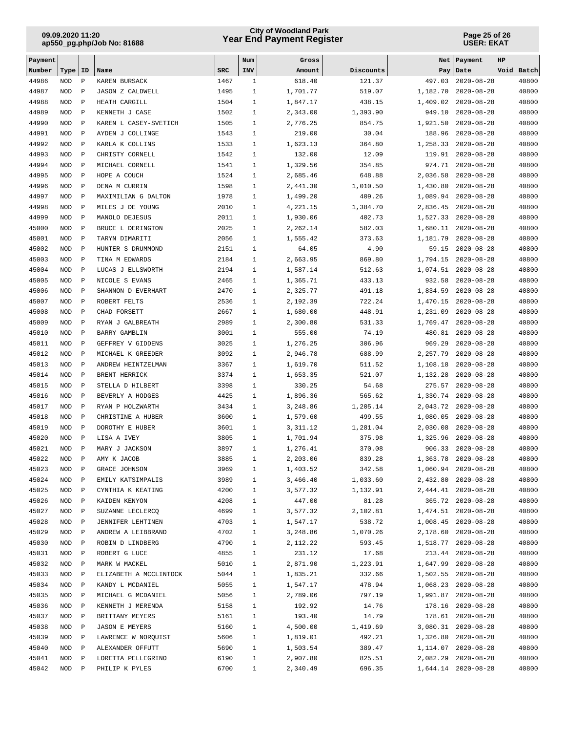## **Year End Payment Register City of Woodland Park 09.09.2020 11:20**

#### **Page 25 of 26 USER: EKAT**

| Payment        |                          |                              |                                         |              | Num                          | Gross                |                    | Net                  | Payment                                    | HP |                |
|----------------|--------------------------|------------------------------|-----------------------------------------|--------------|------------------------------|----------------------|--------------------|----------------------|--------------------------------------------|----|----------------|
| Number         | Type                     | ID                           | Name                                    | <b>SRC</b>   | INV                          | Amount               | Discounts          | Pay                  | Date                                       |    | Void Batch     |
| 44986          | <b>NOD</b>               | $\, {\bf P}$                 | KAREN BURSACK                           | 1467         | $\mathbf{1}$                 | 618.40               | 121.37             | 497.03               | $2020 - 08 - 28$                           |    | 40800          |
| 44987          | <b>NOD</b>               | $\, {\bf P}$                 | <b>JASON Z CALDWELL</b>                 | 1495         | $\mathbf{1}$                 | 1,701.77             | 519.07             | 1,182.70             | $2020 - 08 - 28$                           |    | 40800          |
| 44988          | <b>NOD</b>               | $\, {\bf P}$                 | HEATH CARGILL                           | 1504         | $\mathbf{1}$                 | 1,847.17             | 438.15             | 1,409.02             | $2020 - 08 - 28$                           |    | 40800          |
| 44989          | <b>NOD</b>               | $\, {\bf P}$                 | KENNETH J CASE                          | 1502         | $\mathbf{1}$                 | 2,343.00             | 1,393.90           | 949.10               | $2020 - 08 - 28$                           |    | 40800          |
| 44990          | <b>NOD</b>               | $\, {\bf P}$                 | KAREN L CASEY-SVETICH                   | 1505         | $\mathbf{1}$                 | 2,776.25             | 854.75             | 1,921.50             | $2020 - 08 - 28$                           |    | 40800          |
| 44991          | <b>NOD</b>               | $\, {\bf P}$                 | AYDEN J COLLINGE                        | 1543         | $\mathbf{1}$                 | 219.00               | 30.04              | 188.96               | $2020 - 08 - 28$                           |    | 40800          |
| 44992<br>44993 | <b>NOD</b><br><b>NOD</b> | $\, {\bf P}$<br>$\, {\bf P}$ | KARLA K COLLINS<br>CHRISTY CORNELL      | 1533<br>1542 | $\mathbf{1}$<br>$\mathbf{1}$ | 1,623.13<br>132.00   | 364.80<br>12.09    | 1,258.33<br>119.91   | $2020 - 08 - 28$<br>$2020 - 08 - 28$       |    | 40800<br>40800 |
| 44994          | <b>NOD</b>               | $\, {\bf P}$                 | MICHAEL CORNELL                         | 1541         | $\mathbf{1}$                 | 1,329.56             | 354.85             | 974.71               | $2020 - 08 - 28$                           |    | 40800          |
| 44995          | <b>NOD</b>               | $\, {\bf P}$                 | HOPE A COUCH                            | 1524         | $\mathbf{1}$                 | 2,685.46             | 648.88             | 2,036.58             | $2020 - 08 - 28$                           |    | 40800          |
| 44996          | <b>NOD</b>               | $\, {\bf P}$                 | DENA M CURRIN                           | 1598         | $\mathbf{1}$                 | 2,441.30             | 1,010.50           | 1,430.80             | $2020 - 08 - 28$                           |    | 40800          |
| 44997          | <b>NOD</b>               | $\, {\bf P}$                 | MAXIMILIAN G DALTON                     | 1978         | $\mathbf{1}$                 | 1,499.20             | 409.26             | 1,089.94             | $2020 - 08 - 28$                           |    | 40800          |
| 44998          | <b>NOD</b>               | $\, {\bf P}$                 | MILES J DE YOUNG                        | 2010         | $\mathbf{1}$                 | 4,221.15             | 1,384.70           | 2,836.45             | $2020 - 08 - 28$                           |    | 40800          |
| 44999          | <b>NOD</b>               | $\, {\bf P}$                 | MANOLO DEJESUS                          | 2011         | $\mathbf{1}$                 | 1,930.06             | 402.73             | 1,527.33             | $2020 - 08 - 28$                           |    | 40800          |
| 45000          | <b>NOD</b>               | $\mathbf{P}$                 | BRUCE L DERINGTON                       | 2025         | $\mathbf{1}$                 | 2,262.14             | 582.03             | 1,680.11             | $2020 - 08 - 28$                           |    | 40800          |
| 45001          | <b>NOD</b>               | $\, {\bf P}$                 | TARYN DIMARITI                          | 2056         | $\mathbf{1}$                 | 1,555.42             | 373.63             | 1,181.79             | $2020 - 08 - 28$                           |    | 40800          |
| 45002          | <b>NOD</b>               | $\mathbf{P}$                 | HUNTER S DRUMMOND                       | 2151         | $\mathbf{1}$                 | 64.05                | 4.90               | 59.15                | $2020 - 08 - 28$                           |    | 40800          |
| 45003          | <b>NOD</b>               | $\, {\bf P}$                 | TINA M EDWARDS                          | 2184         | $\mathbf{1}$                 | 2,663.95             | 869.80             | 1,794.15             | $2020 - 08 - 28$                           |    | 40800          |
| 45004          | <b>NOD</b>               | $\, {\bf P}$                 | LUCAS J ELLSWORTH                       | 2194         | $\mathbf{1}$                 | 1,587.14             | 512.63             | 1,074.51             | $2020 - 08 - 28$                           |    | 40800          |
| 45005          | <b>NOD</b>               | $\, {\bf P}$                 | NICOLE S EVANS                          | 2465         | $\mathbf{1}$                 | 1,365.71             | 433.13             | 932.58               | $2020 - 08 - 28$                           |    | 40800          |
| 45006          | <b>NOD</b>               | $\, {\bf P}$                 | SHANNON D EVERHART                      | 2470         | $\mathbf{1}$                 | 2,325.77             | 491.18             | 1,834.59             | $2020 - 08 - 28$                           |    | 40800          |
| 45007          | <b>NOD</b>               | $\, {\bf P}$                 | ROBERT FELTS                            | 2536         | $\mathbf{1}$                 | 2,192.39             | 722.24             | 1,470.15             | $2020 - 08 - 28$                           |    | 40800          |
| 45008          | <b>NOD</b>               | $\, {\bf P}$                 | CHAD FORSETT                            | 2667         | $\mathbf{1}$                 | 1,680.00             | 448.91             | 1,231.09             | $2020 - 08 - 28$                           |    | 40800          |
| 45009          | <b>NOD</b>               | $\, {\bf P}$                 | RYAN J GALBREATH                        | 2989         | $\mathbf{1}$                 | 2,300.80             | 531.33             | 1,769.47             | $2020 - 08 - 28$                           |    | 40800          |
| 45010          | <b>NOD</b>               | $\, {\bf P}$                 | BARRY GAMBLIN                           | 3001         | $\mathbf{1}$                 | 555.00               | 74.19              | 480.81               | $2020 - 08 - 28$                           |    | 40800          |
| 45011          | <b>NOD</b>               | $\, {\bf P}$                 | GEFFREY V GIDDENS                       | 3025         | $\mathbf{1}$                 | 1,276.25             | 306.96             | 969.29               | $2020 - 08 - 28$                           |    | 40800          |
| 45012<br>45013 | <b>NOD</b><br><b>NOD</b> | $\, {\bf P}$<br>$\, {\bf P}$ | MICHAEL K GREEDER<br>ANDREW HEINTZELMAN | 3092<br>3367 | $\mathbf{1}$<br>$\mathbf{1}$ | 2,946.78<br>1,619.70 | 688.99<br>511.52   | 2,257.79<br>1,108.18 | $2020 - 08 - 28$<br>$2020 - 08 - 28$       |    | 40800<br>40800 |
| 45014          | <b>NOD</b>               | $\, {\bf P}$                 | BRENT HERRICK                           | 3374         | $\mathbf{1}$                 | 1,653.35             | 521.07             | 1,132.28             | $2020 - 08 - 28$                           |    | 40800          |
| 45015          | <b>NOD</b>               | $\, {\bf P}$                 | STELLA D HILBERT                        | 3398         | $\mathbf{1}$                 | 330.25               | 54.68              | 275.57               | $2020 - 08 - 28$                           |    | 40800          |
| 45016          | <b>NOD</b>               | $\, {\bf P}$                 | BEVERLY A HODGES                        | 4425         | $\mathbf{1}$                 | 1,896.36             | 565.62             | 1,330.74             | $2020 - 08 - 28$                           |    | 40800          |
| 45017          | <b>NOD</b>               | $\, {\bf P}$                 | RYAN P HOLZWARTH                        | 3434         | $\mathbf{1}$                 | 3,248.86             | 1,205.14           | 2,043.72             | $2020 - 08 - 28$                           |    | 40800          |
| 45018          | <b>NOD</b>               | $\, {\bf P}$                 | CHRISTINE A HUBER                       | 3600         | $\mathbf{1}$                 | 1,579.60             | 499.55             | 1,080.05             | $2020 - 08 - 28$                           |    | 40800          |
| 45019          | <b>NOD</b>               | $\, {\bf P}$                 | DOROTHY E HUBER                         | 3601         | $\mathbf{1}$                 | 3, 311.12            | 1,281.04           | 2,030.08             | $2020 - 08 - 28$                           |    | 40800          |
| 45020          | <b>NOD</b>               | $\, {\bf P}$                 | LISA A IVEY                             | 3805         | $\mathbf{1}$                 | 1,701.94             | 375.98             | 1,325.96             | $2020 - 08 - 28$                           |    | 40800          |
| 45021          | <b>NOD</b>               | $\, {\bf P}$                 | MARY J JACKSON                          | 3897         | $\mathbf{1}$                 | 1,276.41             | 370.08             | 906.33               | $2020 - 08 - 28$                           |    | 40800          |
| 45022          | <b>NOD</b>               | $\mathbf{P}$                 | AMY K JACOB                             | 3885         | $\mathbf{1}$                 | 2,203.06             | 839.28             | 1,363.78             | $2020 - 08 - 28$                           |    | 40800          |
| 45023          | NOD                      | $\mathbb{P}$                 | GRACE JOHNSON                           | 3969         | 1                            | 1,403.52             | 342.58             |                      | 1,060.94 2020-08-28                        |    | 40800          |
| 45024          | NOD                      | $\, {\bf P}$                 | EMILY KATSIMPALIS                       | 3989         | 1                            | 3,466.40             | 1,033.60           |                      | 2,432.80 2020-08-28                        |    | 40800          |
| 45025          | NOD                      | $\, {\bf P}$                 | CYNTHIA K KEATING                       | 4200         | 1                            | 3,577.32             | 1,132.91           |                      | 2,444.41 2020-08-28                        |    | 40800          |
| 45026          | NOD                      | $\, {\bf P}$                 | KAIDEN KENYON                           | 4208         | $\mathbf{1}$                 | 447.00               | 81.28              |                      | 365.72 2020-08-28                          |    | 40800          |
| 45027          | NOD                      | $\, {\bf P}$                 | SUZANNE LECLERCO                        | 4699         | $\mathbf{1}$                 | 3,577.32             | 2,102.81           |                      | 1,474.51 2020-08-28                        |    | 40800          |
| 45028          | NOD                      | $\, {\bf P}$                 | <b>JENNIFER LEHTINEN</b>                | 4703         | $\mathbf{1}$                 | 1,547.17             | 538.72             |                      | 1,008.45 2020-08-28                        |    | 40800          |
| 45029          | NOD                      | $\, {\bf P}$                 | ANDREW A LEIBBRAND                      | 4702         | $\mathbf{1}$                 | 3,248.86             | 1,070.26           |                      | 2,178.60 2020-08-28                        |    | 40800          |
| 45030          | NOD                      | $\, {\bf P}$                 | ROBIN D LINDBERG                        | 4790         | $\mathbf{1}$                 | 2,112.22             | 593.45             |                      | 1,518.77 2020-08-28                        |    | 40800          |
| 45031          | NOD                      | $\, {\bf P}$                 | ROBERT G LUCE                           | 4855         | $\mathbf{1}$                 | 231.12               | 17.68              |                      | 213.44 2020-08-28                          |    | 40800          |
| 45032<br>45033 | NOD<br>NOD               | $\mathbb{P}$<br>$\mathbb{P}$ | MARK W MACKEL<br>ELIZABETH A MCCLINTOCK | 5010<br>5044 | $\mathbf{1}$<br>$\mathbf{1}$ | 2,871.90<br>1,835.21 | 1,223.91<br>332.66 |                      | 1,647.99 2020-08-28<br>1,502.55 2020-08-28 |    | 40800<br>40800 |
| 45034          | NOD                      | $\mathbb{P}$                 | KANDY L MCDANIEL                        | 5055         | 1                            | 1,547.17             | 478.94             |                      | 1,068.23 2020-08-28                        |    | 40800          |
| 45035          | NOD                      | $\, {\bf P}$                 | MICHAEL G MCDANIEL                      | 5056         | $\mathbf{1}$                 | 2,789.06             | 797.19             |                      | 1,991.87 2020-08-28                        |    | 40800          |
| 45036          | $\rm NOD$                | $\, {\bf P}$                 | KENNETH J MERENDA                       | 5158         | $\mathbf{1}$                 | 192.92               | 14.76              |                      | 178.16 2020-08-28                          |    | 40800          |
| 45037          | NOD                      | $\mathbb{P}$                 | BRITTANY MEYERS                         | 5161         | $\mathbf{1}$                 | 193.40               | 14.79              |                      | 178.61 2020-08-28                          |    | 40800          |
| 45038          | NOD                      | $\, {\bf P}$                 | <b>JASON E MEYERS</b>                   | 5160         | $\mathbf{1}$                 | 4,500.00             | 1,419.69           |                      | 3,080.31 2020-08-28                        |    | 40800          |
| 45039          | NOD                      | $\, {\bf P}$                 | LAWRENCE W NORQUIST                     | 5606         | $\mathbf{1}$                 | 1,819.01             | 492.21             |                      | 1,326.80 2020-08-28                        |    | 40800          |
| 45040          | NOD                      | $\, {\bf P}$                 | ALEXANDER OFFUTT                        | 5690         | $\mathbf{1}$                 | 1,503.54             | 389.47             |                      | 1, 114.07 2020-08-28                       |    | 40800          |
| 45041          | $\rm NOD$                | $\mathbb{P}$                 | LORETTA PELLEGRINO                      | 6190         | $\mathbf{1}$                 | 2,907.80             | 825.51             | 2,082.29             | $2020 - 08 - 28$                           |    | 40800          |
| 45042          | NOD                      | $\mathbb{P}$                 | PHILIP K PYLES                          | 6700         | $\mathbf{1}$                 | 2,340.49             | 696.35             |                      | 1,644.14 2020-08-28                        |    | 40800          |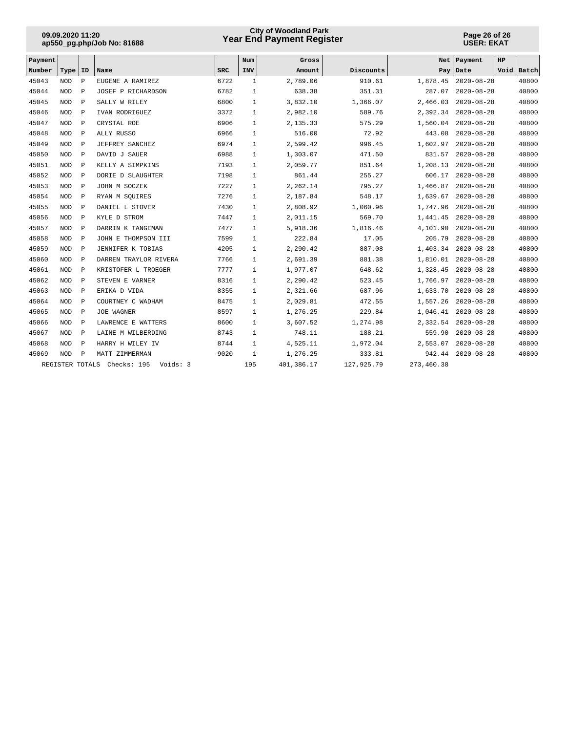## **Year End Payment Register City of Woodland Park 09.09.2020 11:20**

#### **Page 26 of 26 USER: EKAT**

| Payment |                 |              |                         |            | Num          | Gross      |            | Net        | Payment             | <b>HP</b> |            |
|---------|-----------------|--------------|-------------------------|------------|--------------|------------|------------|------------|---------------------|-----------|------------|
| Number  | Type            | ID           | Name                    | <b>SRC</b> | <b>INV</b>   | Amount     | Discounts  | Pay        | Date                |           | Void Batch |
| 45043   | <b>NOD</b>      | $\mathbf{P}$ | EUGENE A RAMIREZ        | 6722       | $\mathbf{1}$ | 2,789.06   | 910.61     | 1,878.45   | $2020 - 08 - 28$    |           | 40800      |
| 45044   | <b>NOD</b>      | $\mathbf{P}$ | JOSEF P RICHARDSON      | 6782       | $\mathbf{1}$ | 638.38     | 351.31     | 287.07     | $2020 - 08 - 28$    |           | 40800      |
| 45045   | <b>NOD</b>      | $\mathbf{P}$ | SALLY W RILEY           | 6800       | $\mathbf{1}$ | 3,832.10   | 1,366.07   | 2,466.03   | $2020 - 08 - 28$    |           | 40800      |
| 45046   | <b>NOD</b>      | $\mathbf{P}$ | IVAN RODRIGUEZ          | 3372       | $\mathbf{1}$ | 2,982.10   | 589.76     | 2,392.34   | $2020 - 08 - 28$    |           | 40800      |
| 45047   | <b>NOD</b>      | $\mathbf{P}$ | CRYSTAL ROE             | 6906       | $\mathbf{1}$ | 2,135.33   | 575.29     | 1,560.04   | $2020 - 08 - 28$    |           | 40800      |
| 45048   | <b>NOD</b>      | $\mathbb{P}$ | ALLY RUSSO              | 6966       | $\mathbf{1}$ | 516.00     | 72.92      | 443.08     | $2020 - 08 - 28$    |           | 40800      |
| 45049   | <b>NOD</b>      | $\mathbf{P}$ | JEFFREY SANCHEZ         | 6974       | $\mathbf{1}$ | 2,599.42   | 996.45     | 1,602.97   | $2020 - 08 - 28$    |           | 40800      |
| 45050   | <b>NOD</b>      | $\mathbf{P}$ | DAVID J SAUER           | 6988       | $\mathbf{1}$ | 1,303.07   | 471.50     | 831.57     | $2020 - 08 - 28$    |           | 40800      |
| 45051   | <b>NOD</b>      | $\mathbf{P}$ | KELLY A SIMPKINS        | 7193       | $\mathbf{1}$ | 2,059.77   | 851.64     | 1,208.13   | $2020 - 08 - 28$    |           | 40800      |
| 45052   | <b>NOD</b>      | $\mathbf{P}$ | DORIE D SLAUGHTER       | 7198       | $\mathbf{1}$ | 861.44     | 255.27     | 606.17     | $2020 - 08 - 28$    |           | 40800      |
| 45053   | <b>NOD</b>      | $\mathbf{P}$ | JOHN M SOCZEK           | 7227       | $\mathbf{1}$ | 2,262.14   | 795.27     | 1,466.87   | $2020 - 08 - 28$    |           | 40800      |
| 45054   | <b>NOD</b>      | $\mathbb P$  | RYAN M SQUIRES          | 7276       | $\mathbf{1}$ | 2,187.84   | 548.17     | 1,639.67   | $2020 - 08 - 28$    |           | 40800      |
| 45055   | <b>NOD</b>      | $\mathbf{P}$ | DANIEL L STOVER         | 7430       | $\mathbf{1}$ | 2,808.92   | 1,060.96   | 1,747.96   | $2020 - 08 - 28$    |           | 40800      |
| 45056   | <b>NOD</b>      | $\mathbf P$  | KYLE D STROM            | 7447       | $\mathbf{1}$ | 2,011.15   | 569.70     | 1,441.45   | $2020 - 08 - 28$    |           | 40800      |
| 45057   | <b>NOD</b>      | $\mathbf{P}$ | DARRIN K TANGEMAN       | 7477       | $\mathbf{1}$ | 5,918.36   | 1,816.46   | 4,101.90   | $2020 - 08 - 28$    |           | 40800      |
| 45058   | <b>NOD</b>      | $\mathbf{P}$ | JOHN E THOMPSON III     | 7599       | $\mathbf{1}$ | 222.84     | 17.05      | 205.79     | $2020 - 08 - 28$    |           | 40800      |
| 45059   | <b>NOD</b>      | $\mathbf{P}$ | JENNIFER K TOBIAS       | 4205       | $\mathbf{1}$ | 2,290.42   | 887.08     | 1,403.34   | $2020 - 08 - 28$    |           | 40800      |
| 45060   | <b>NOD</b>      | $\mathbf{P}$ | DARREN TRAYLOR RIVERA   | 7766       | $\mathbf{1}$ | 2,691.39   | 881.38     | 1,810.01   | $2020 - 08 - 28$    |           | 40800      |
| 45061   | <b>NOD</b>      | $\mathbf{P}$ | KRISTOFER L TROEGER     | 7777       | $\mathbf{1}$ | 1,977.07   | 648.62     | 1,328.45   | $2020 - 08 - 28$    |           | 40800      |
| 45062   | <b>NOD</b>      | $\mathbb P$  | STEVEN E VARNER         | 8316       | $\mathbf{1}$ | 2,290.42   | 523.45     | 1,766.97   | $2020 - 08 - 28$    |           | 40800      |
| 45063   | <b>NOD</b>      | $\mathbf{P}$ | ERIKA D VIDA            | 8355       | $\mathbf{1}$ | 2,321.66   | 687.96     | 1,633.70   | $2020 - 08 - 28$    |           | 40800      |
| 45064   | <b>NOD</b>      | $\mathbf{P}$ | COURTNEY C WADHAM       | 8475       | $\mathbf{1}$ | 2,029.81   | 472.55     | 1,557.26   | $2020 - 08 - 28$    |           | 40800      |
| 45065   | <b>NOD</b>      | $\mathbf{P}$ | <b>JOE WAGNER</b>       | 8597       | $\mathbf{1}$ | 1,276.25   | 229.84     | 1,046.41   | $2020 - 08 - 28$    |           | 40800      |
| 45066   | <b>NOD</b>      | $\mathbf{P}$ | LAWRENCE E WATTERS      | 8600       | $\mathbf{1}$ | 3,607.52   | 1,274.98   |            | 2,332.54 2020-08-28 |           | 40800      |
| 45067   | <b>NOD</b>      | $\mathbf{P}$ | LAINE M WILBERDING      | 8743       | $\mathbf{1}$ | 748.11     | 188.21     | 559.90     | $2020 - 08 - 28$    |           | 40800      |
| 45068   | <b>NOD</b>      | $\mathbf P$  | HARRY H WILEY IV        | 8744       | $\mathbf{1}$ | 4,525.11   | 1,972.04   | 2,553.07   | $2020 - 08 - 28$    |           | 40800      |
| 45069   | <b>NOD</b>      | $\mathsf{P}$ | MATT ZIMMERMAN          | 9020       | $\mathbf{1}$ | 1,276.25   | 333.81     | 942.44     | $2020 - 08 - 28$    |           | 40800      |
|         | REGISTER TOTALS |              | Checks: 195<br>Voids: 3 |            | 195          | 401,386.17 | 127,925.79 | 273,460.38 |                     |           |            |